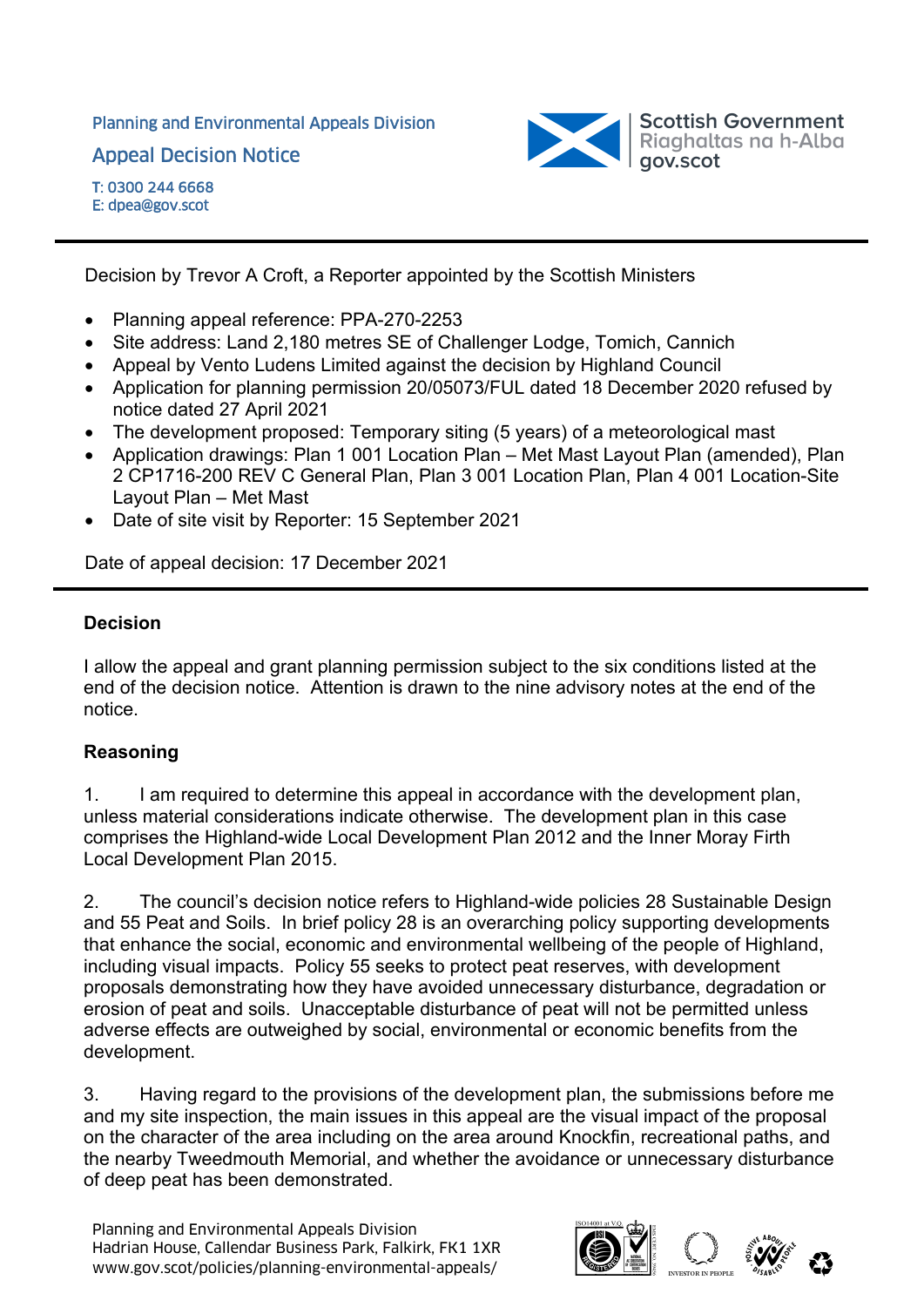Planning and Environmental Appeals Division

Appeal Decision Notice



T: 0300 244 6668 E: dpea@gov.scot

Decision by Trevor A Croft, a Reporter appointed by the Scottish Ministers

- Planning appeal reference: PPA-270-2253
- Site address: Land 2,180 metres SE of Challenger Lodge, Tomich, Cannich
- Appeal by Vento Ludens Limited against the decision by Highland Council
- Application for planning permission 20/05073/FUL dated 18 December 2020 refused by notice dated 27 April 2021
- The development proposed: Temporary siting (5 years) of a meteorological mast
- Application drawings: Plan 1 001 Location Plan Met Mast Layout Plan (amended), Plan 2 CP1716-200 REV C General Plan, Plan 3 001 Location Plan, Plan 4 001 Location-Site Layout Plan – Met Mast
- Date of site visit by Reporter: 15 September 2021

Date of appeal decision: 17 December 2021

### **Decision**

I allow the appeal and grant planning permission subject to the six conditions listed at the end of the decision notice. Attention is drawn to the nine advisory notes at the end of the notice.

### **Reasoning**

1. I am required to determine this appeal in accordance with the development plan, unless material considerations indicate otherwise. The development plan in this case comprises the Highland-wide Local Development Plan 2012 and the Inner Moray Firth Local Development Plan 2015.

2. The council's decision notice refers to Highland-wide policies 28 Sustainable Design and 55 Peat and Soils. In brief policy 28 is an overarching policy supporting developments that enhance the social, economic and environmental wellbeing of the people of Highland, including visual impacts. Policy 55 seeks to protect peat reserves, with development proposals demonstrating how they have avoided unnecessary disturbance, degradation or erosion of peat and soils. Unacceptable disturbance of peat will not be permitted unless adverse effects are outweighed by social, environmental or economic benefits from the development.

3. Having regard to the provisions of the development plan, the submissions before me and my site inspection, the main issues in this appeal are the visual impact of the proposal on the character of the area including on the area around Knockfin, recreational paths, and the nearby Tweedmouth Memorial, and whether the avoidance or unnecessary disturbance of deep peat has been demonstrated.

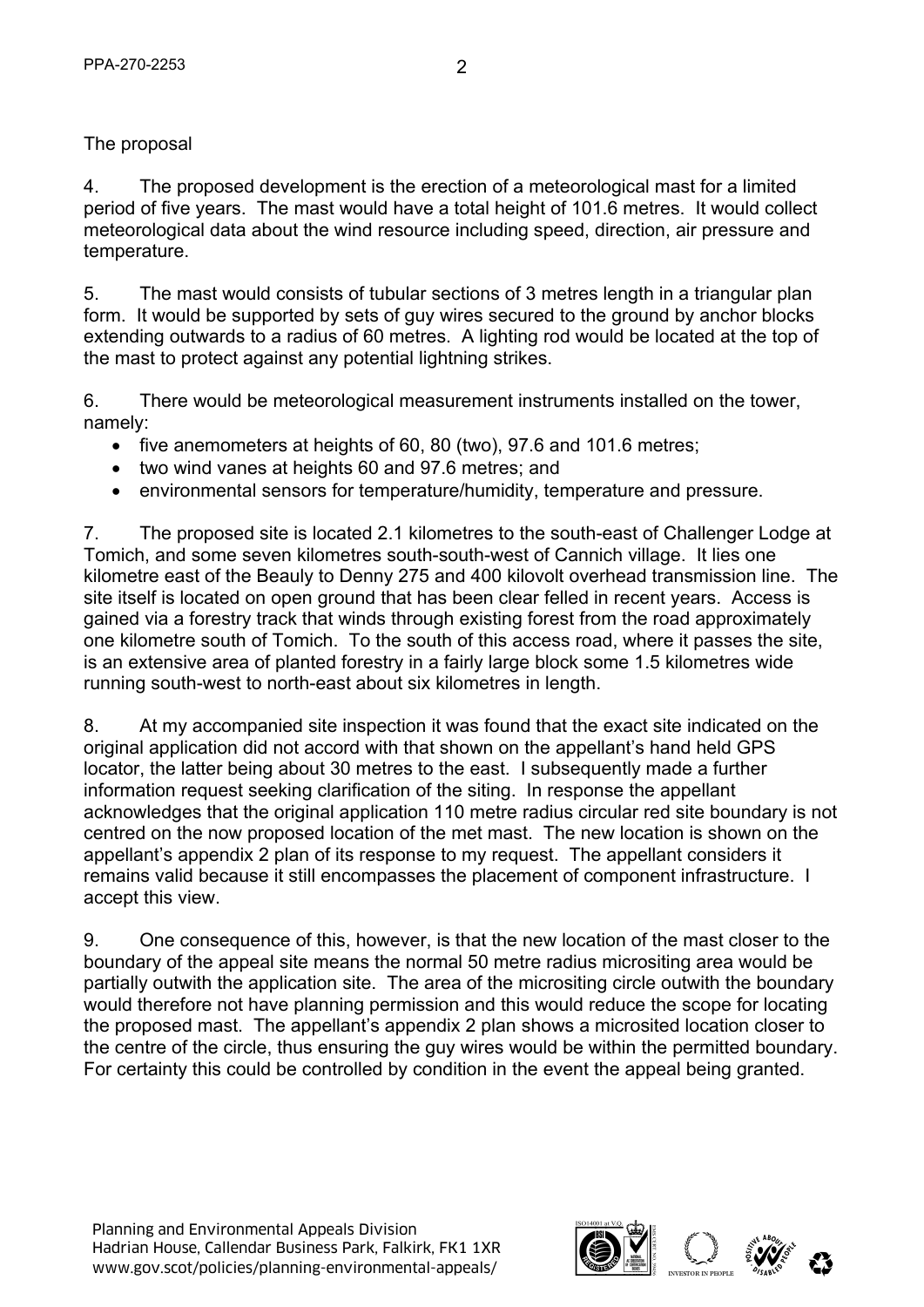# The proposal

4. The proposed development is the erection of a meteorological mast for a limited period of five years. The mast would have a total height of 101.6 metres. It would collect meteorological data about the wind resource including speed, direction, air pressure and temperature.

5. The mast would consists of tubular sections of 3 metres length in a triangular plan form. It would be supported by sets of guy wires secured to the ground by anchor blocks extending outwards to a radius of 60 metres. A lighting rod would be located at the top of the mast to protect against any potential lightning strikes.

6. There would be meteorological measurement instruments installed on the tower, namely:

- five anemometers at heights of 60, 80 (two), 97.6 and 101.6 metres;
- two wind vanes at heights 60 and 97.6 metres; and
- environmental sensors for temperature/humidity, temperature and pressure.

7. The proposed site is located 2.1 kilometres to the south-east of Challenger Lodge at Tomich, and some seven kilometres south-south-west of Cannich village. It lies one kilometre east of the Beauly to Denny 275 and 400 kilovolt overhead transmission line. The site itself is located on open ground that has been clear felled in recent years. Access is gained via a forestry track that winds through existing forest from the road approximately one kilometre south of Tomich. To the south of this access road, where it passes the site, is an extensive area of planted forestry in a fairly large block some 1.5 kilometres wide running south-west to north-east about six kilometres in length.

8. At my accompanied site inspection it was found that the exact site indicated on the original application did not accord with that shown on the appellant's hand held GPS locator, the latter being about 30 metres to the east. I subsequently made a further information request seeking clarification of the siting. In response the appellant acknowledges that the original application 110 metre radius circular red site boundary is not centred on the now proposed location of the met mast. The new location is shown on the appellant's appendix 2 plan of its response to my request. The appellant considers it remains valid because it still encompasses the placement of component infrastructure. I accept this view.

9. One consequence of this, however, is that the new location of the mast closer to the boundary of the appeal site means the normal 50 metre radius micrositing area would be partially outwith the application site. The area of the micrositing circle outwith the boundary would therefore not have planning permission and this would reduce the scope for locating the proposed mast. The appellant's appendix 2 plan shows a microsited location closer to the centre of the circle, thus ensuring the guy wires would be within the permitted boundary. For certainty this could be controlled by condition in the event the appeal being granted.

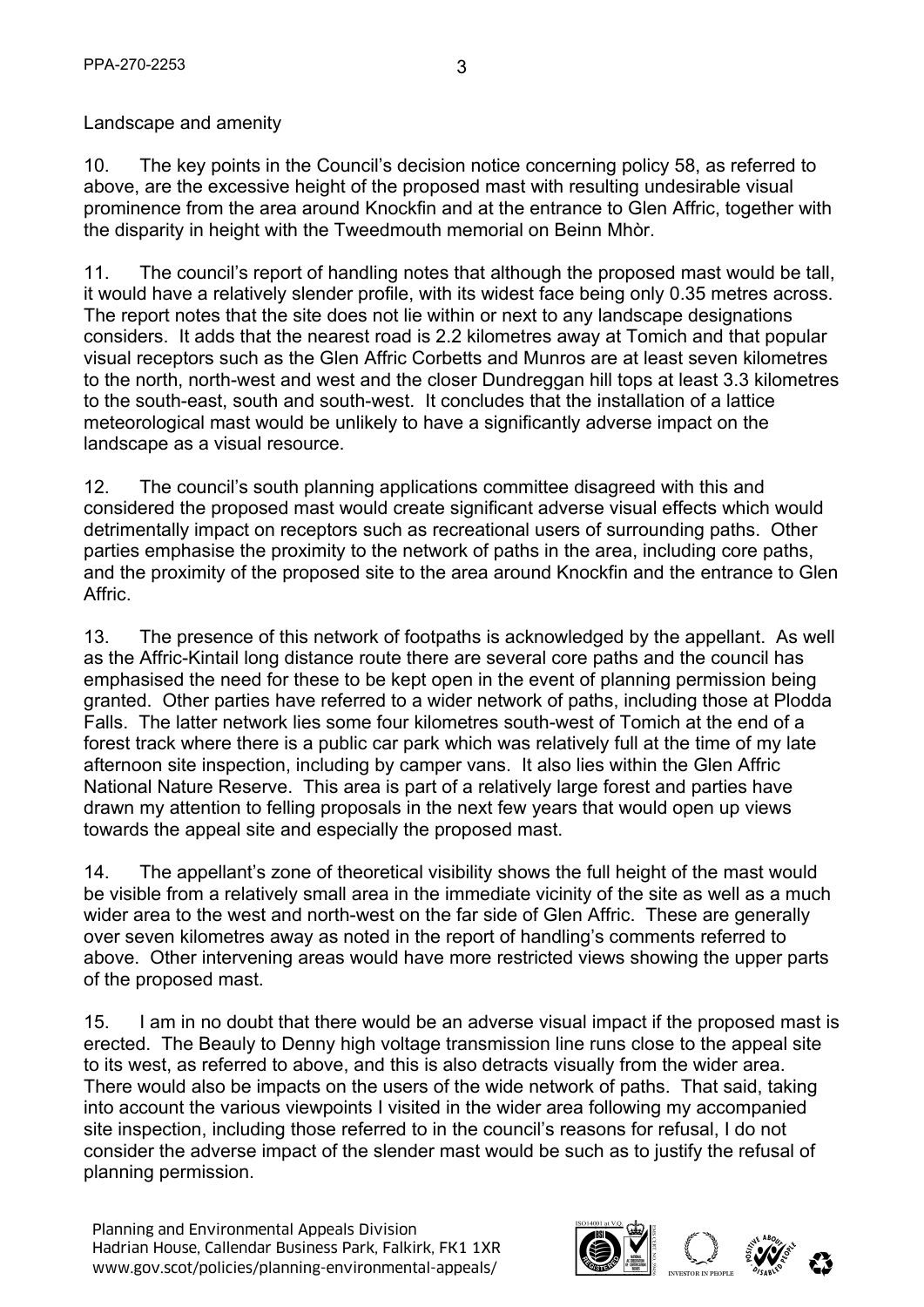#### Landscape and amenity

10. The key points in the Council's decision notice concerning policy 58, as referred to above, are the excessive height of the proposed mast with resulting undesirable visual prominence from the area around Knockfin and at the entrance to Glen Affric, together with the disparity in height with the Tweedmouth memorial on Beinn Mhòr.

11. The council's report of handling notes that although the proposed mast would be tall, it would have a relatively slender profile, with its widest face being only 0.35 metres across. The report notes that the site does not lie within or next to any landscape designations considers. It adds that the nearest road is 2.2 kilometres away at Tomich and that popular visual receptors such as the Glen Affric Corbetts and Munros are at least seven kilometres to the north, north-west and west and the closer Dundreggan hill tops at least 3.3 kilometres to the south-east, south and south-west. It concludes that the installation of a lattice meteorological mast would be unlikely to have a significantly adverse impact on the landscape as a visual resource.

12. The council's south planning applications committee disagreed with this and considered the proposed mast would create significant adverse visual effects which would detrimentally impact on receptors such as recreational users of surrounding paths. Other parties emphasise the proximity to the network of paths in the area, including core paths, and the proximity of the proposed site to the area around Knockfin and the entrance to Glen Affric.

13. The presence of this network of footpaths is acknowledged by the appellant. As well as the Affric-Kintail long distance route there are several core paths and the council has emphasised the need for these to be kept open in the event of planning permission being granted. Other parties have referred to a wider network of paths, including those at Plodda Falls. The latter network lies some four kilometres south-west of Tomich at the end of a forest track where there is a public car park which was relatively full at the time of my late afternoon site inspection, including by camper vans. It also lies within the Glen Affric National Nature Reserve. This area is part of a relatively large forest and parties have drawn my attention to felling proposals in the next few years that would open up views towards the appeal site and especially the proposed mast.

14. The appellant's zone of theoretical visibility shows the full height of the mast would be visible from a relatively small area in the immediate vicinity of the site as well as a much wider area to the west and north-west on the far side of Glen Affric. These are generally over seven kilometres away as noted in the report of handling's comments referred to above. Other intervening areas would have more restricted views showing the upper parts of the proposed mast.

15. I am in no doubt that there would be an adverse visual impact if the proposed mast is erected. The Beauly to Denny high voltage transmission line runs close to the appeal site to its west, as referred to above, and this is also detracts visually from the wider area. There would also be impacts on the users of the wide network of paths. That said, taking into account the various viewpoints I visited in the wider area following my accompanied site inspection, including those referred to in the council's reasons for refusal, I do not consider the adverse impact of the slender mast would be such as to justify the refusal of planning permission.

Planning and Environmental Appeals Division Hadrian House, Callendar Business Park, Falkirk, FK1 1XR Planning and Environmental Appeals Division<br>Hadrian House, Callendar Business Park, Falkirk, FK1 1XR<br>www.gov.scot/policies/planning-environmental-appeals/ abcorded about a correct about a correct about a correct

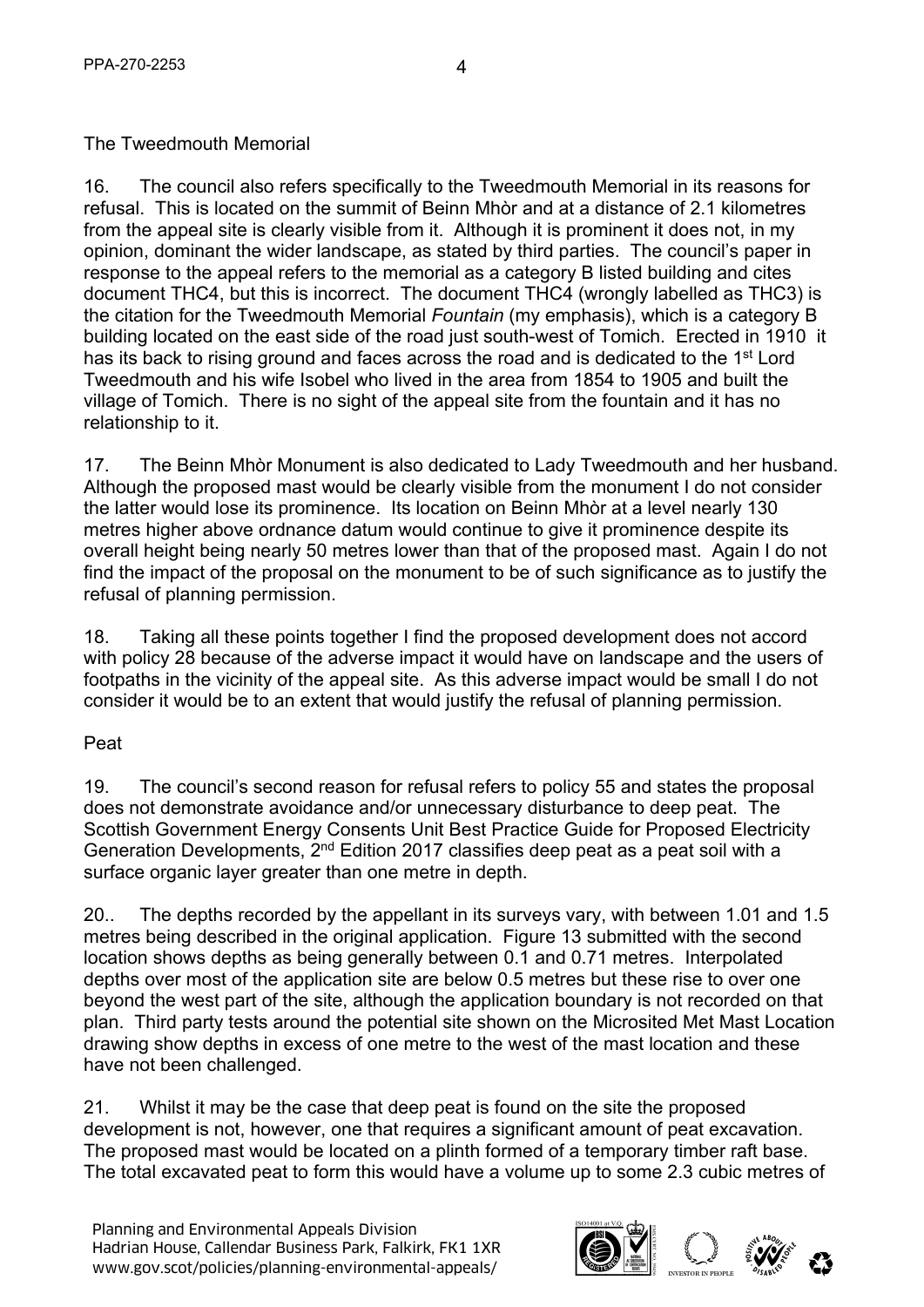# The Tweedmouth Memorial

16. The council also refers specifically to the Tweedmouth Memorial in its reasons for refusal. This is located on the summit of Beinn Mhòr and at a distance of 2.1 kilometres from the appeal site is clearly visible from it. Although it is prominent it does not, in my opinion, dominant the wider landscape, as stated by third parties. The council's paper in response to the appeal refers to the memorial as a category B listed building and cites document THC4, but this is incorrect. The document THC4 (wrongly labelled as THC3) is the citation for the Tweedmouth Memorial *Fountain* (my emphasis), which is a category B building located on the east side of the road just south-west of Tomich. Erected in 1910 it has its back to rising ground and faces across the road and is dedicated to the 1<sup>st</sup> Lord Tweedmouth and his wife Isobel who lived in the area from 1854 to 1905 and built the village of Tomich. There is no sight of the appeal site from the fountain and it has no relationship to it.

4

17. The Beinn Mhòr Monument is also dedicated to Lady Tweedmouth and her husband. Although the proposed mast would be clearly visible from the monument I do not consider the latter would lose its prominence. Its location on Beinn Mhòr at a level nearly 130 metres higher above ordnance datum would continue to give it prominence despite its overall height being nearly 50 metres lower than that of the proposed mast. Again I do not find the impact of the proposal on the monument to be of such significance as to justify the refusal of planning permission.

18. Taking all these points together I find the proposed development does not accord with policy 28 because of the adverse impact it would have on landscape and the users of footpaths in the vicinity of the appeal site. As this adverse impact would be small I do not consider it would be to an extent that would justify the refusal of planning permission.

### Peat

19. The council's second reason for refusal refers to policy 55 and states the proposal does not demonstrate avoidance and/or unnecessary disturbance to deep peat. The Scottish Government Energy Consents Unit Best Practice Guide for Proposed Electricity Generation Developments, 2nd Edition 2017 classifies deep peat as a peat soil with a surface organic layer greater than one metre in depth.

20.. The depths recorded by the appellant in its surveys vary, with between 1.01 and 1.5 metres being described in the original application. Figure 13 submitted with the second location shows depths as being generally between 0.1 and 0.71 metres. Interpolated depths over most of the application site are below 0.5 metres but these rise to over one beyond the west part of the site, although the application boundary is not recorded on that plan. Third party tests around the potential site shown on the Microsited Met Mast Location drawing show depths in excess of one metre to the west of the mast location and these have not been challenged.

21. Whilst it may be the case that deep peat is found on the site the proposed development is not, however, one that requires a significant amount of peat excavation. The proposed mast would be located on a plinth formed of a temporary timber raft base. The total excavated peat to form this would have a volume up to some 2.3 cubic metres of

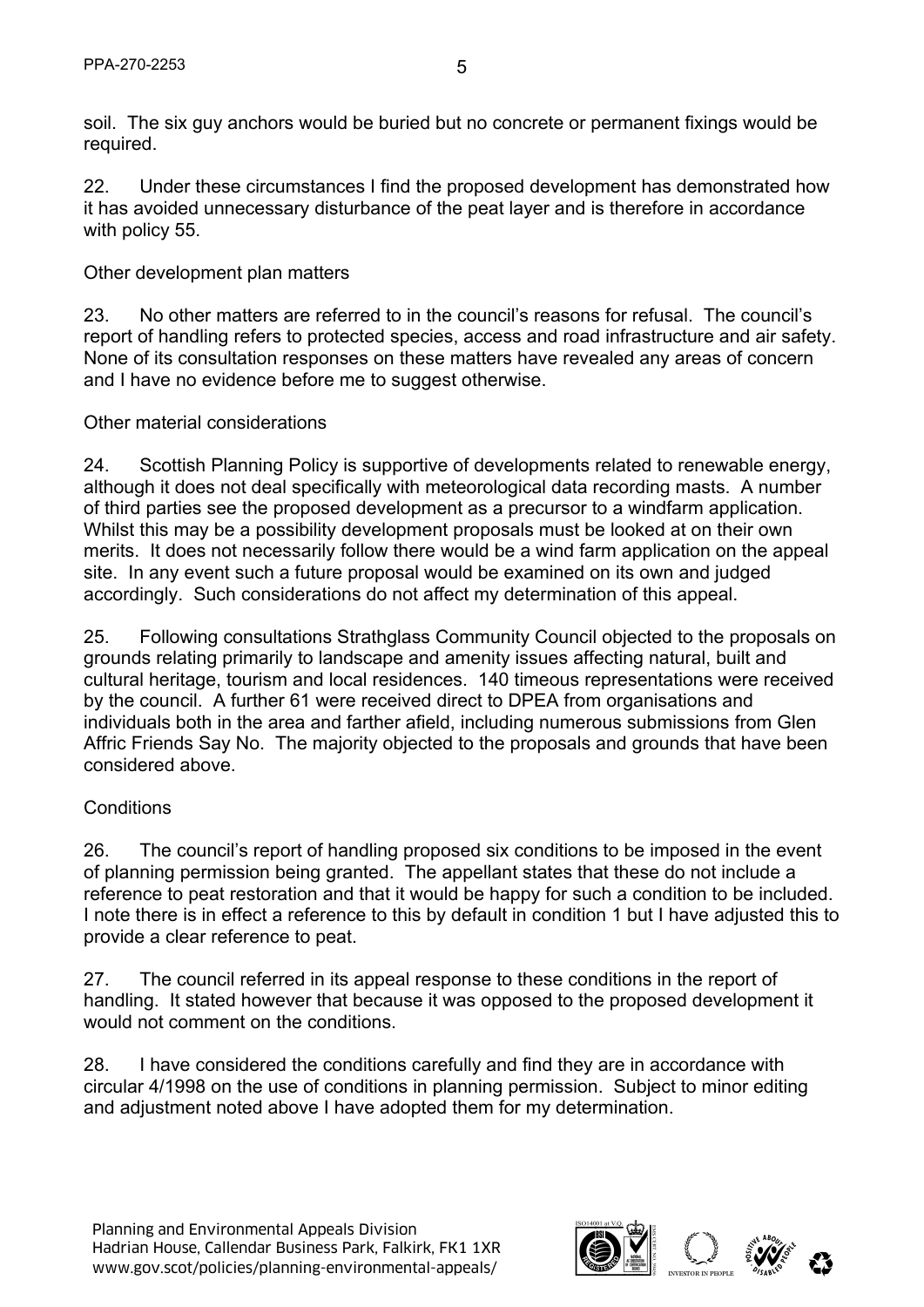soil. The six guy anchors would be buried but no concrete or permanent fixings would be required.

22. Under these circumstances I find the proposed development has demonstrated how it has avoided unnecessary disturbance of the peat layer and is therefore in accordance with policy 55.

### Other development plan matters

23. No other matters are referred to in the council's reasons for refusal. The council's report of handling refers to protected species, access and road infrastructure and air safety. None of its consultation responses on these matters have revealed any areas of concern and I have no evidence before me to suggest otherwise.

### Other material considerations

24. Scottish Planning Policy is supportive of developments related to renewable energy, although it does not deal specifically with meteorological data recording masts. A number of third parties see the proposed development as a precursor to a windfarm application. Whilst this may be a possibility development proposals must be looked at on their own merits. It does not necessarily follow there would be a wind farm application on the appeal site. In any event such a future proposal would be examined on its own and judged accordingly. Such considerations do not affect my determination of this appeal.

25. Following consultations Strathglass Community Council objected to the proposals on grounds relating primarily to landscape and amenity issues affecting natural, built and cultural heritage, tourism and local residences. 140 timeous representations were received by the council. A further 61 were received direct to DPEA from organisations and individuals both in the area and farther afield, including numerous submissions from Glen Affric Friends Say No. The majority objected to the proposals and grounds that have been considered above.

### **Conditions**

26. The council's report of handling proposed six conditions to be imposed in the event of planning permission being granted. The appellant states that these do not include a reference to peat restoration and that it would be happy for such a condition to be included. I note there is in effect a reference to this by default in condition 1 but I have adjusted this to provide a clear reference to peat.

27. The council referred in its appeal response to these conditions in the report of handling. It stated however that because it was opposed to the proposed development it would not comment on the conditions.

28. I have considered the conditions carefully and find they are in accordance with circular 4/1998 on the use of conditions in planning permission. Subject to minor editing and adjustment noted above I have adopted them for my determination.

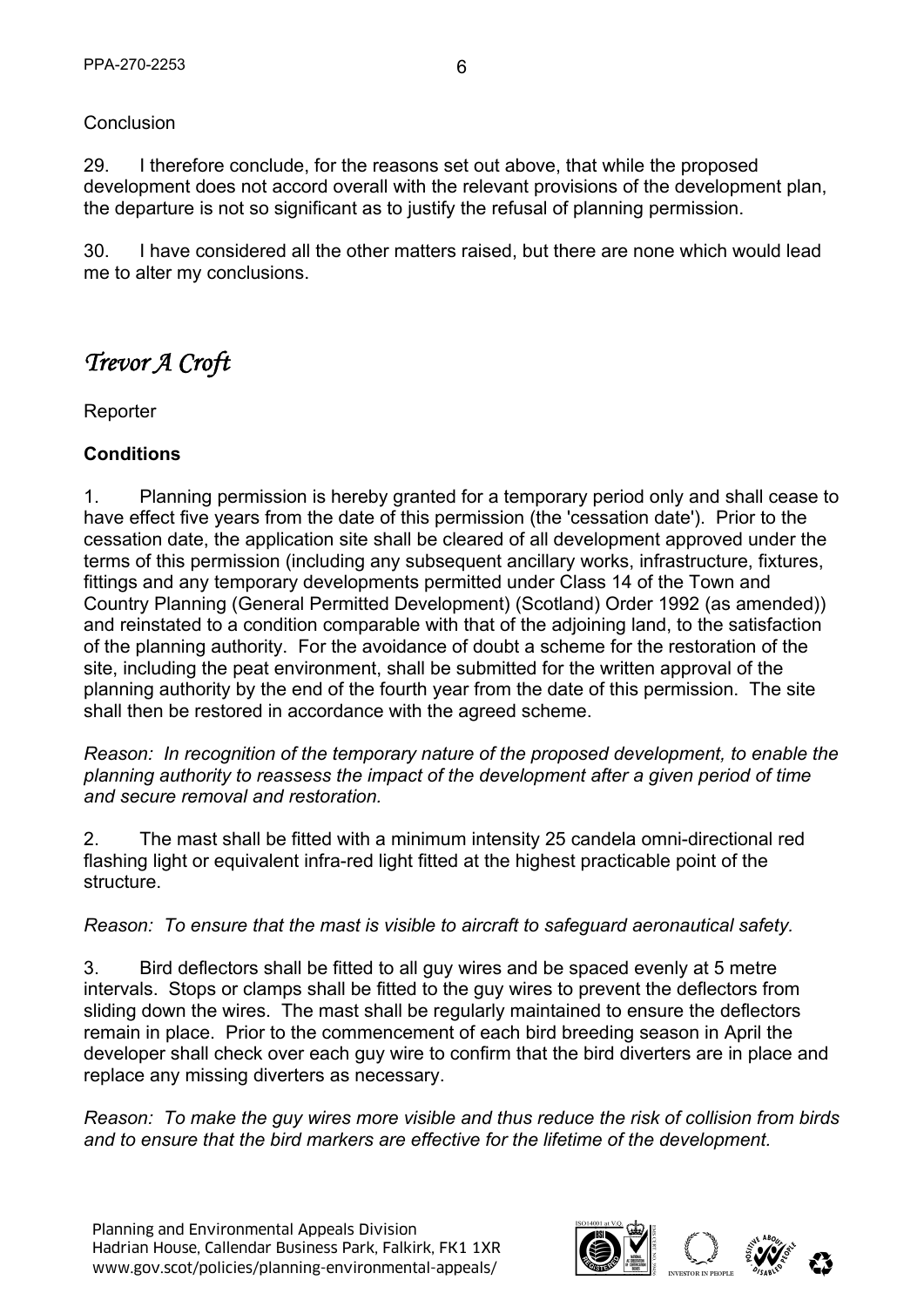#### **Conclusion**

29. I therefore conclude, for the reasons set out above, that while the proposed development does not accord overall with the relevant provisions of the development plan, the departure is not so significant as to justify the refusal of planning permission.

30. I have considered all the other matters raised, but there are none which would lead me to alter my conclusions.

# *Trevor A Croft*

Reporter

### **Conditions**

1. Planning permission is hereby granted for a temporary period only and shall cease to have effect five years from the date of this permission (the 'cessation date'). Prior to the cessation date, the application site shall be cleared of all development approved under the terms of this permission (including any subsequent ancillary works, infrastructure, fixtures, fittings and any temporary developments permitted under Class 14 of the Town and Country Planning (General Permitted Development) (Scotland) Order 1992 (as amended)) and reinstated to a condition comparable with that of the adjoining land, to the satisfaction of the planning authority. For the avoidance of doubt a scheme for the restoration of the site, including the peat environment, shall be submitted for the written approval of the planning authority by the end of the fourth year from the date of this permission. The site shall then be restored in accordance with the agreed scheme.

*Reason: In recognition of the temporary nature of the proposed development, to enable the planning authority to reassess the impact of the development after a given period of time and secure removal and restoration.* 

2. The mast shall be fitted with a minimum intensity 25 candela omni-directional red flashing light or equivalent infra-red light fitted at the highest practicable point of the structure.

*Reason: To ensure that the mast is visible to aircraft to safeguard aeronautical safety.* 

3. Bird deflectors shall be fitted to all guy wires and be spaced evenly at 5 metre intervals. Stops or clamps shall be fitted to the guy wires to prevent the deflectors from sliding down the wires. The mast shall be regularly maintained to ensure the deflectors remain in place. Prior to the commencement of each bird breeding season in April the developer shall check over each guy wire to confirm that the bird diverters are in place and replace any missing diverters as necessary.

*Reason: To make the guy wires more visible and thus reduce the risk of collision from birds and to ensure that the bird markers are effective for the lifetime of the development.* 

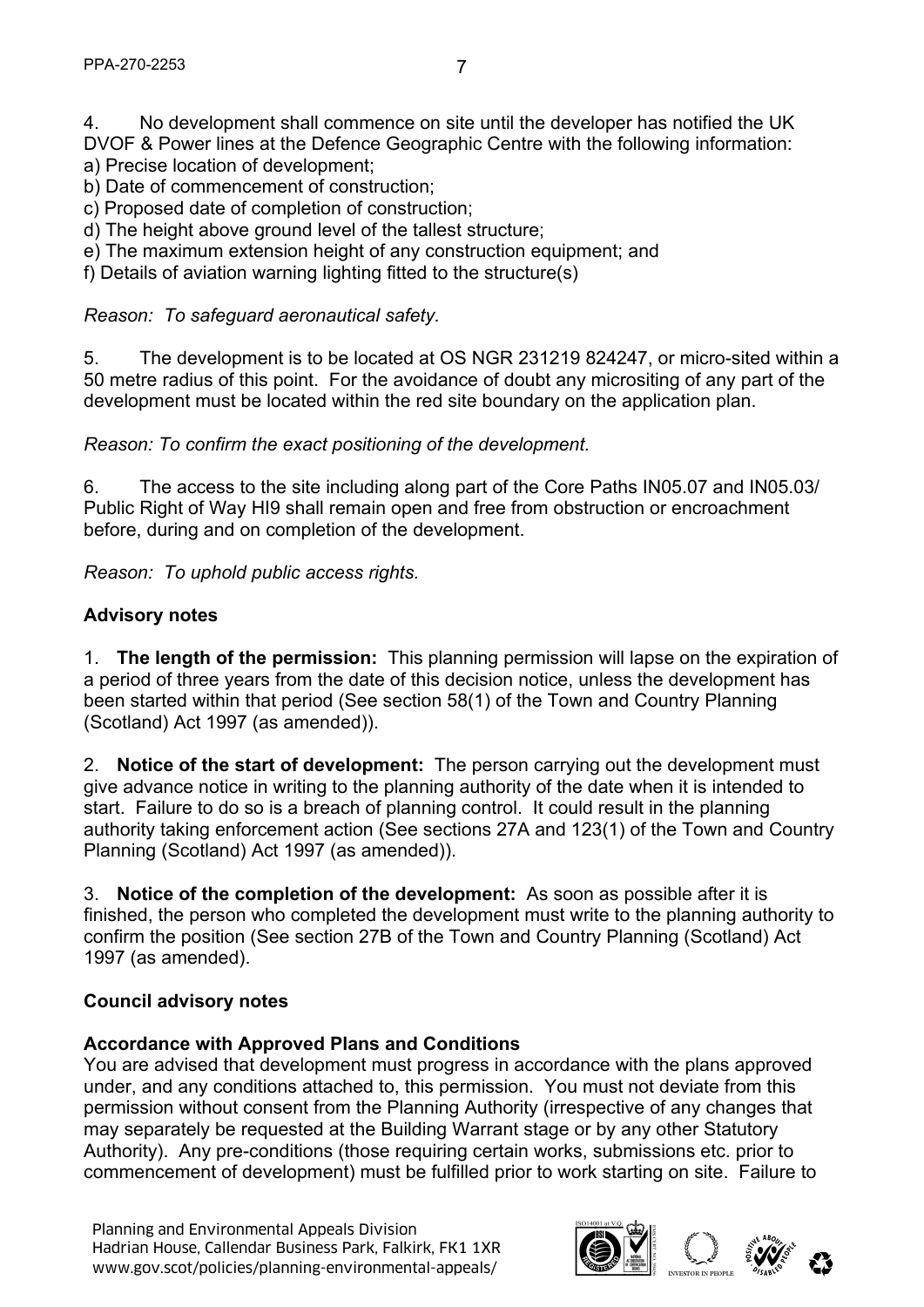4. No development shall commence on site until the developer has notified the UK DVOF & Power lines at the Defence Geographic Centre with the following information: a) Precise location of development;

- b) Date of commencement of construction;
- c) Proposed date of completion of construction;
- d) The height above ground level of the tallest structure;
- e) The maximum extension height of any construction equipment; and
- f) Details of aviation warning lighting fitted to the structure(s)

#### *Reason: To safeguard aeronautical safety.*

5. The development is to be located at OS NGR 231219 824247, or micro-sited within a 50 metre radius of this point. For the avoidance of doubt any micrositing of any part of the development must be located within the red site boundary on the application plan.

*Reason: To confirm the exact positioning of the development.* 

6. The access to the site including along part of the Core Paths IN05.07 and IN05.03/ Public Right of Way HI9 shall remain open and free from obstruction or encroachment before, during and on completion of the development.

*Reason: To uphold public access rights.* 

#### **Advisory notes**

1. **The length of the permission:** This planning permission will lapse on the expiration of a period of three years from the date of this decision notice, unless the development has been started within that period (See section 58(1) of the Town and Country Planning (Scotland) Act 1997 (as amended)).

2. **Notice of the start of development:** The person carrying out the development must give advance notice in writing to the planning authority of the date when it is intended to start. Failure to do so is a breach of planning control. It could result in the planning authority taking enforcement action (See sections 27A and 123(1) of the Town and Country Planning (Scotland) Act 1997 (as amended)).

3. **Notice of the completion of the development:** As soon as possible after it is finished, the person who completed the development must write to the planning authority to confirm the position (See section 27B of the Town and Country Planning (Scotland) Act 1997 (as amended).

#### **Council advisory notes**

#### **Accordance with Approved Plans and Conditions**

You are advised that development must progress in accordance with the plans approved under, and any conditions attached to, this permission. You must not deviate from this permission without consent from the Planning Authority (irrespective of any changes that may separately be requested at the Building Warrant stage or by any other Statutory Authority). Any pre-conditions (those requiring certain works, submissions etc. prior to commencement of development) must be fulfilled prior to work starting on site. Failure to

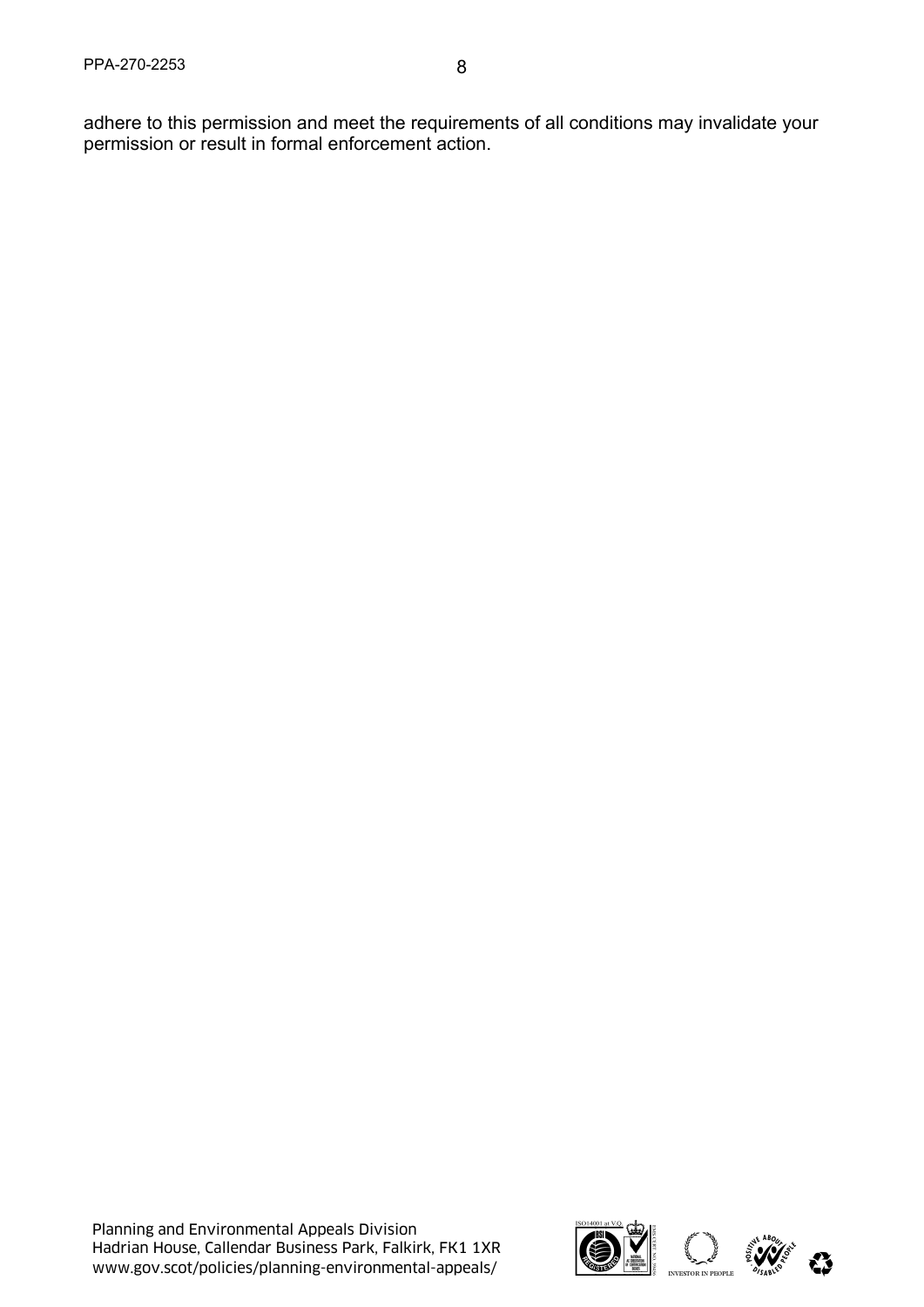adhere to this permission and meet the requirements of all conditions may invalidate your permission or result in formal enforcement action.

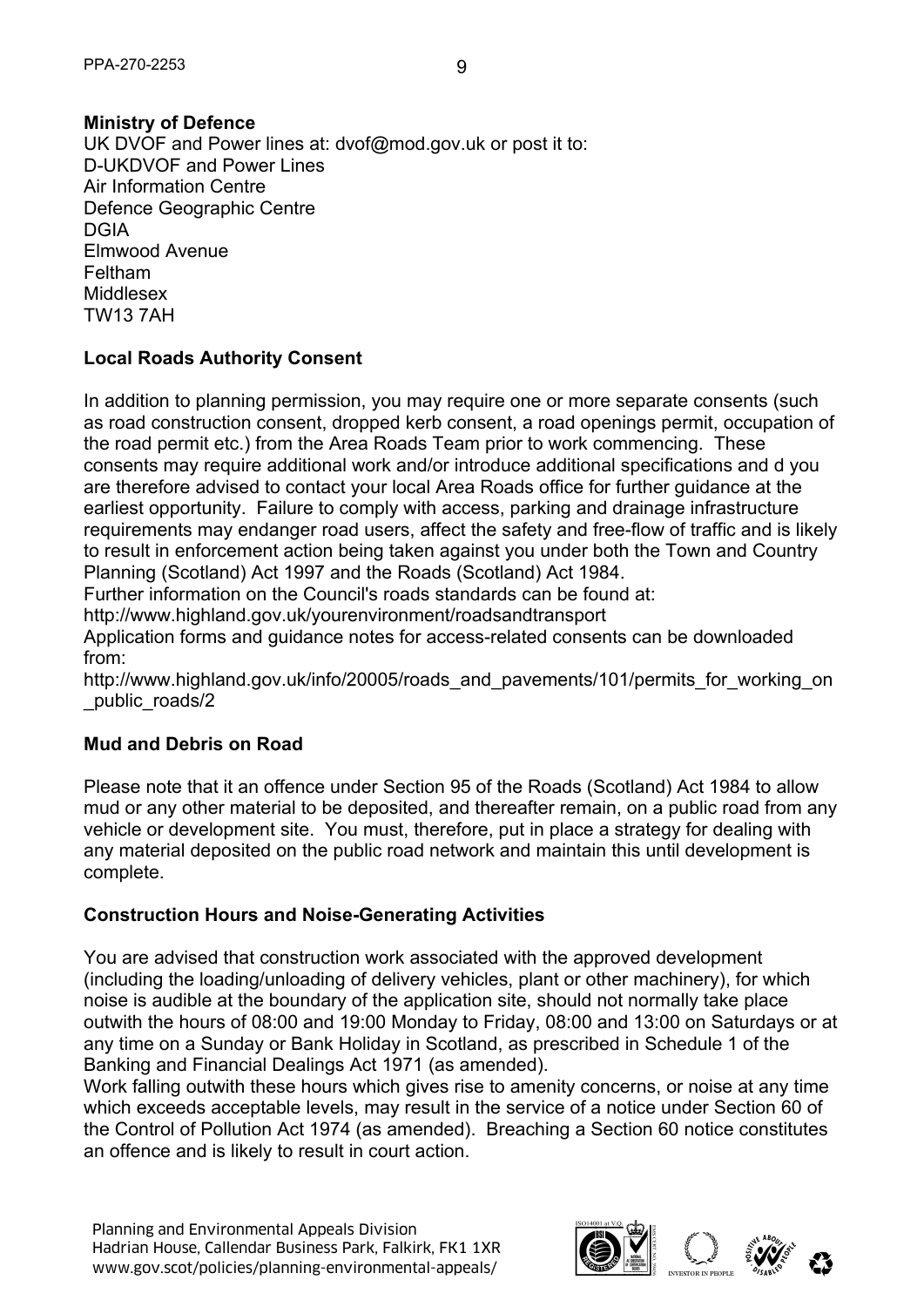# **Ministry of Defence**

UK DVOF and Power lines at: dvof@mod.gov.uk or post it to: D-UKDVOF and Power Lines Air Information Centre Defence Geographic Centre DGIA Elmwood Avenue Feltham Middlesex TW13 7AH

# **Local Roads Authority Consent**

In addition to planning permission, you may require one or more separate consents (such as road construction consent, dropped kerb consent, a road openings permit, occupation of the road permit etc.) from the Area Roads Team prior to work commencing. These consents may require additional work and/or introduce additional specifications and d you are therefore advised to contact your local Area Roads office for further guidance at the earliest opportunity. Failure to comply with access, parking and drainage infrastructure requirements may endanger road users, affect the safety and free-flow of traffic and is likely to result in enforcement action being taken against you under both the Town and Country Planning (Scotland) Act 1997 and the Roads (Scotland) Act 1984.

Further information on the Council's roads standards can be found at:

http://www.highland.gov.uk/yourenvironment/roadsandtransport

Application forms and guidance notes for access-related consents can be downloaded from:

http://www.highland.gov.uk/info/20005/roads\_and\_pavements/101/permits\_for\_working\_on \_public\_roads/2

### **Mud and Debris on Road**

Please note that it an offence under Section 95 of the Roads (Scotland) Act 1984 to allow mud or any other material to be deposited, and thereafter remain, on a public road from any vehicle or development site. You must, therefore, put in place a strategy for dealing with any material deposited on the public road network and maintain this until development is complete.

### **Construction Hours and Noise-Generating Activities**

You are advised that construction work associated with the approved development (including the loading/unloading of delivery vehicles, plant or other machinery), for which noise is audible at the boundary of the application site, should not normally take place outwith the hours of 08:00 and 19:00 Monday to Friday, 08:00 and 13:00 on Saturdays or at any time on a Sunday or Bank Holiday in Scotland, as prescribed in Schedule 1 of the Banking and Financial Dealings Act 1971 (as amended).

Work falling outwith these hours which gives rise to amenity concerns, or noise at any time which exceeds acceptable levels, may result in the service of a notice under Section 60 of the Control of Pollution Act 1974 (as amended). Breaching a Section 60 notice constitutes an offence and is likely to result in court action.

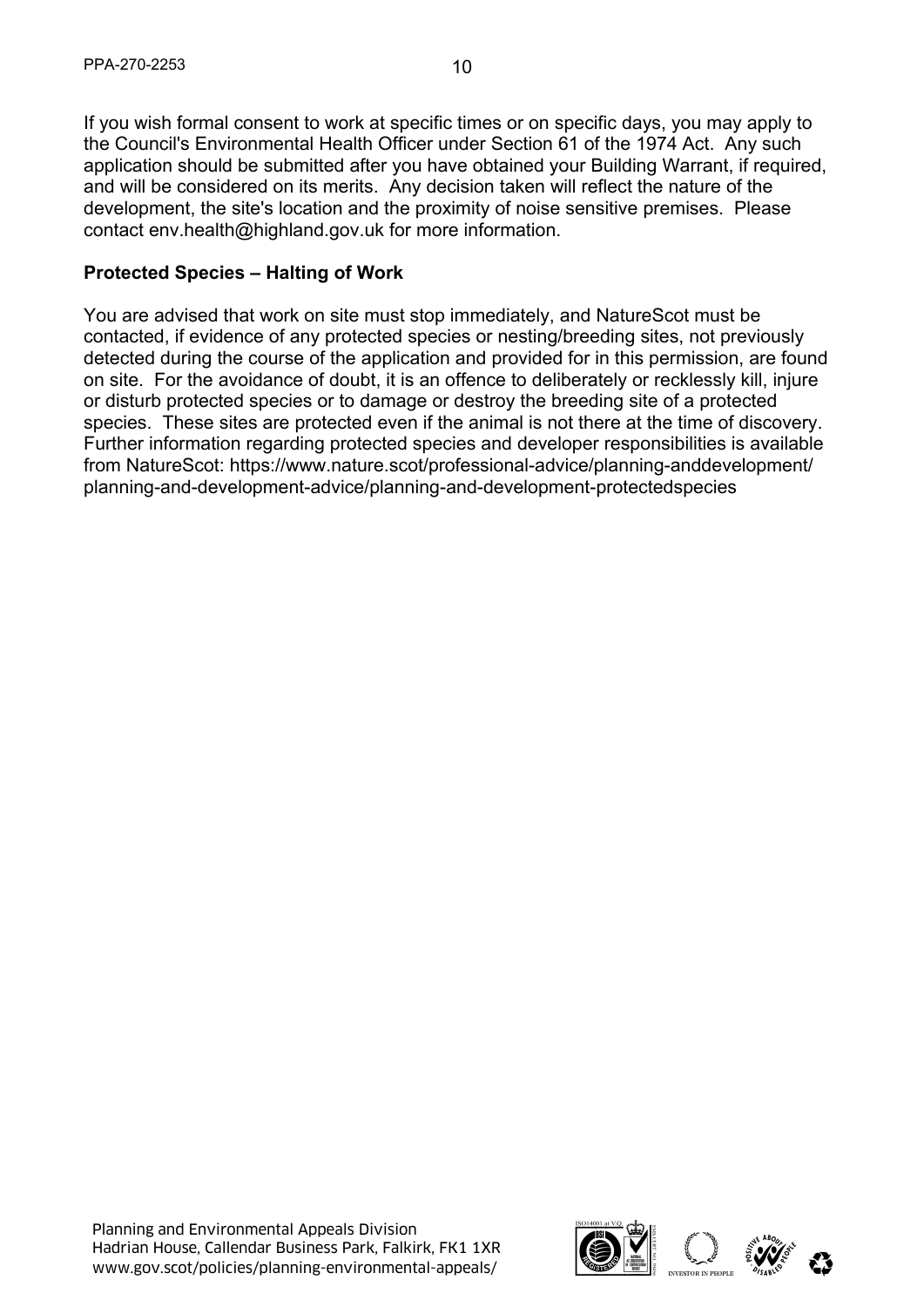If you wish formal consent to work at specific times or on specific days, you may apply to the Council's Environmental Health Officer under Section 61 of the 1974 Act. Any such application should be submitted after you have obtained your Building Warrant, if required, and will be considered on its merits. Any decision taken will reflect the nature of the development, the site's location and the proximity of noise sensitive premises. Please

#### **Protected Species – Halting of Work**

contact env.health@highland.gov.uk for more information.

You are advised that work on site must stop immediately, and NatureScot must be contacted, if evidence of any protected species or nesting/breeding sites, not previously detected during the course of the application and provided for in this permission, are found on site. For the avoidance of doubt, it is an offence to deliberately or recklessly kill, injure or disturb protected species or to damage or destroy the breeding site of a protected species. These sites are protected even if the animal is not there at the time of discovery. Further information regarding protected species and developer responsibilities is available from NatureScot: https://www.nature.scot/professional-advice/planning-anddevelopment/ planning-and-development-advice/planning-and-development-protectedspecies

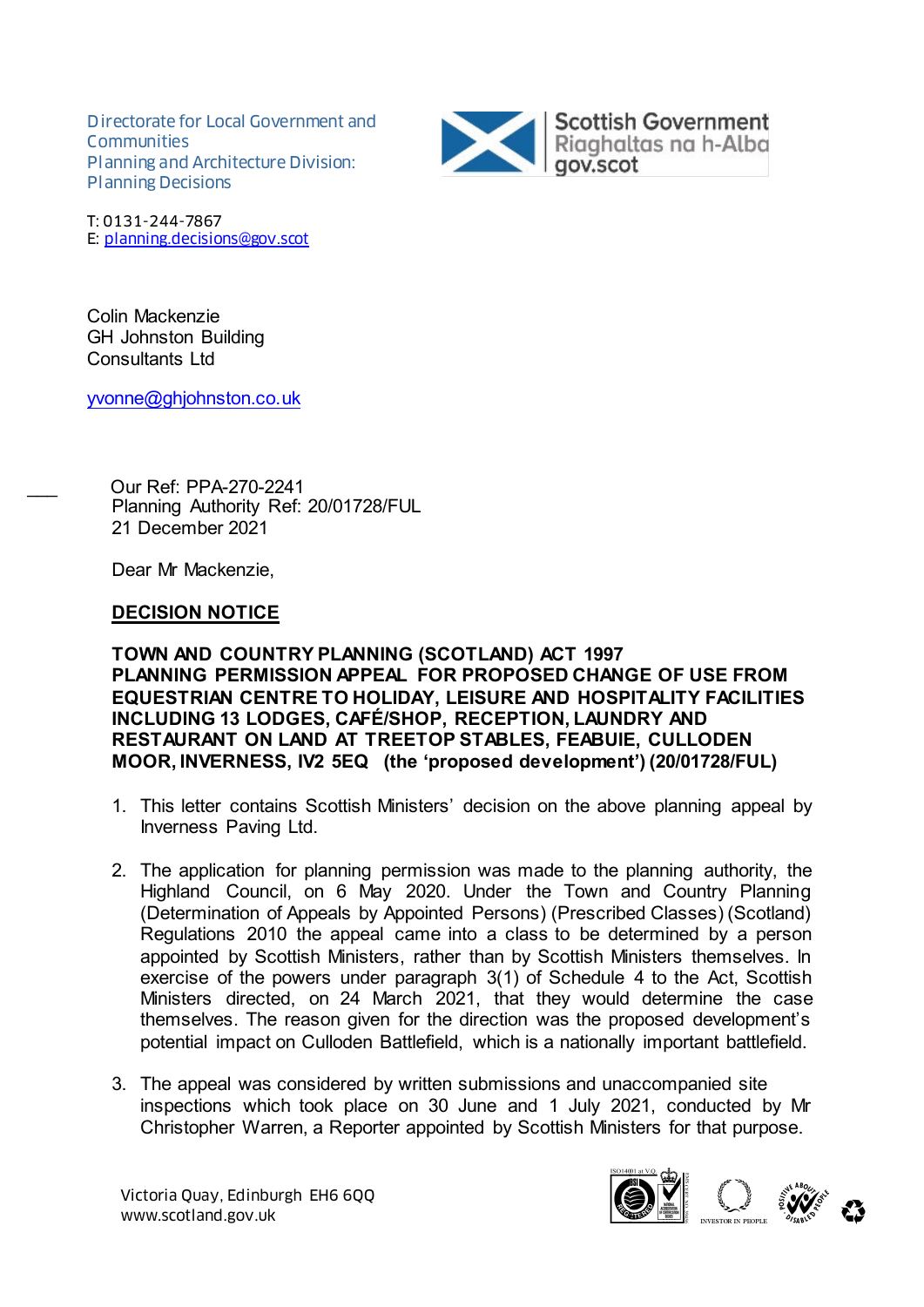Directorate for Local Government and **Communities** Planning and Architecture Division: Planning Decisions



T: 0131-244-7867 E: planning.decisions@gov.scot

Colin Mackenzie GH Johnston Building Consultants Ltd

yvonne@ghjohnston.co.uk

\_\_\_ Our Ref: PPA-270-2241 Planning Authority Ref: 20/01728/FUL 21 December 2021

Dear Mr Mackenzie,

#### **DECISION NOTICE**

**TOWN AND COUNTRY PLANNING (SCOTLAND) ACT 1997 PLANNING PERMISSION APPEAL FOR PROPOSED CHANGE OF USE FROM EQUESTRIAN CENTRE TO HOLIDAY, LEISURE AND HOSPITALITY FACILITIES INCLUDING 13 LODGES, CAFÉ/SHOP, RECEPTION, LAUNDRY AND RESTAURANT ON LAND AT TREETOP STABLES, FEABUIE, CULLODEN MOOR, INVERNESS, IV2 5EQ (the 'proposed development') (20/01728/FUL)**

- 1. This letter contains Scottish Ministers' decision on the above planning appeal by Inverness Paving Ltd.
- 2. The application for planning permission was made to the planning authority, the Highland Council, on 6 May 2020. Under the Town and Country Planning (Determination of Appeals by Appointed Persons) (Prescribed Classes) (Scotland) Regulations 2010 the appeal came into a class to be determined by a person appointed by Scottish Ministers, rather than by Scottish Ministers themselves. In exercise of the powers under paragraph 3(1) of Schedule 4 to the Act, Scottish Ministers directed, on 24 March 2021, that they would determine the case themselves. The reason given for the direction was the proposed development's potential impact on Culloden Battlefield, which is a nationally important battlefield.
- 3. The appeal was considered by written submissions and unaccompanied site inspections which took place on 30 June and 1 July 2021, conducted by Mr Christopher Warren, a Reporter appointed by Scottish Ministers for that purpose.

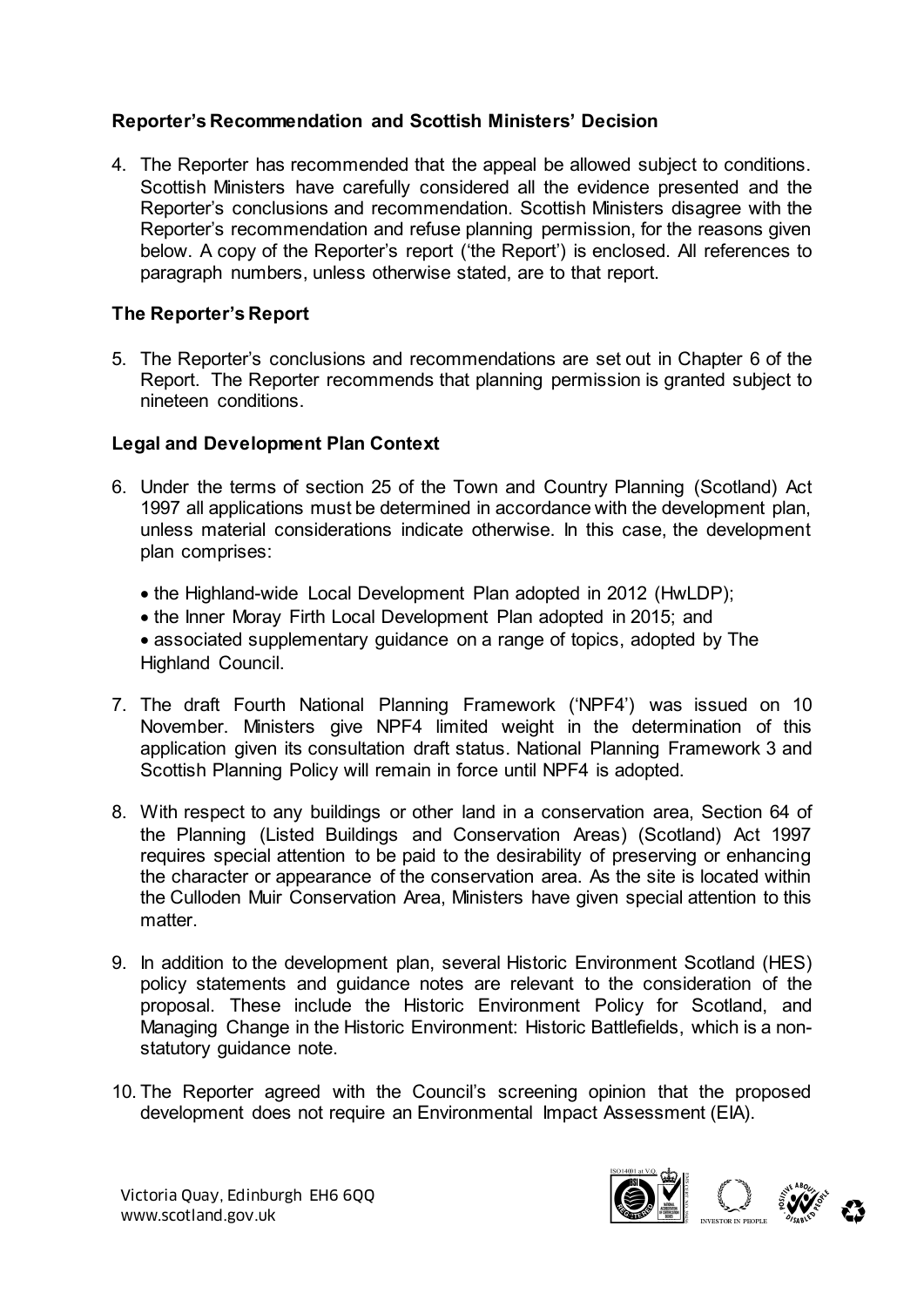# **Reporter's Recommendation and Scottish Ministers' Decision**

4. The Reporter has recommended that the appeal be allowed subject to conditions. Scottish Ministers have carefully considered all the evidence presented and the Reporter's conclusions and recommendation. Scottish Ministers disagree with the Reporter's recommendation and refuse planning permission, for the reasons given below. A copy of the Reporter's report ('the Report') is enclosed. All references to paragraph numbers, unless otherwise stated, are to that report.

# **The Reporter's Report**

5. The Reporter's conclusions and recommendations are set out in Chapter 6 of the Report. The Reporter recommends that planning permission is granted subject to nineteen conditions.

### **Legal and Development Plan Context**

- 6. Under the terms of section 25 of the Town and Country Planning (Scotland) Act 1997 all applications must be determined in accordance with the development plan, unless material considerations indicate otherwise. In this case, the development plan comprises:
	- the Highland-wide Local Development Plan adopted in 2012 (HwLDP);
	- the Inner Moray Firth Local Development Plan adopted in 2015; and
	- associated supplementary guidance on a range of topics, adopted by The Highland Council.
- 7. The draft Fourth National Planning Framework ('NPF4') was issued on 10 November. Ministers give NPF4 limited weight in the determination of this application given its consultation draft status. National Planning Framework 3 and Scottish Planning Policy will remain in force until NPF4 is adopted.
- 8. With respect to any buildings or other land in a conservation area, Section 64 of the Planning (Listed Buildings and Conservation Areas) (Scotland) Act 1997 requires special attention to be paid to the desirability of preserving or enhancing the character or appearance of the conservation area. As the site is located within the Culloden Muir Conservation Area, Ministers have given special attention to this matter
- 9. In addition to the development plan, several Historic Environment Scotland (HES) policy statements and guidance notes are relevant to the consideration of the proposal. These include the Historic Environment Policy for Scotland, and Managing Change in the Historic Environment: Historic Battlefields, which is a nonstatutory guidance note.
- 10. The Reporter agreed with the Council's screening opinion that the proposed development does not require an Environmental Impact Assessment (EIA).

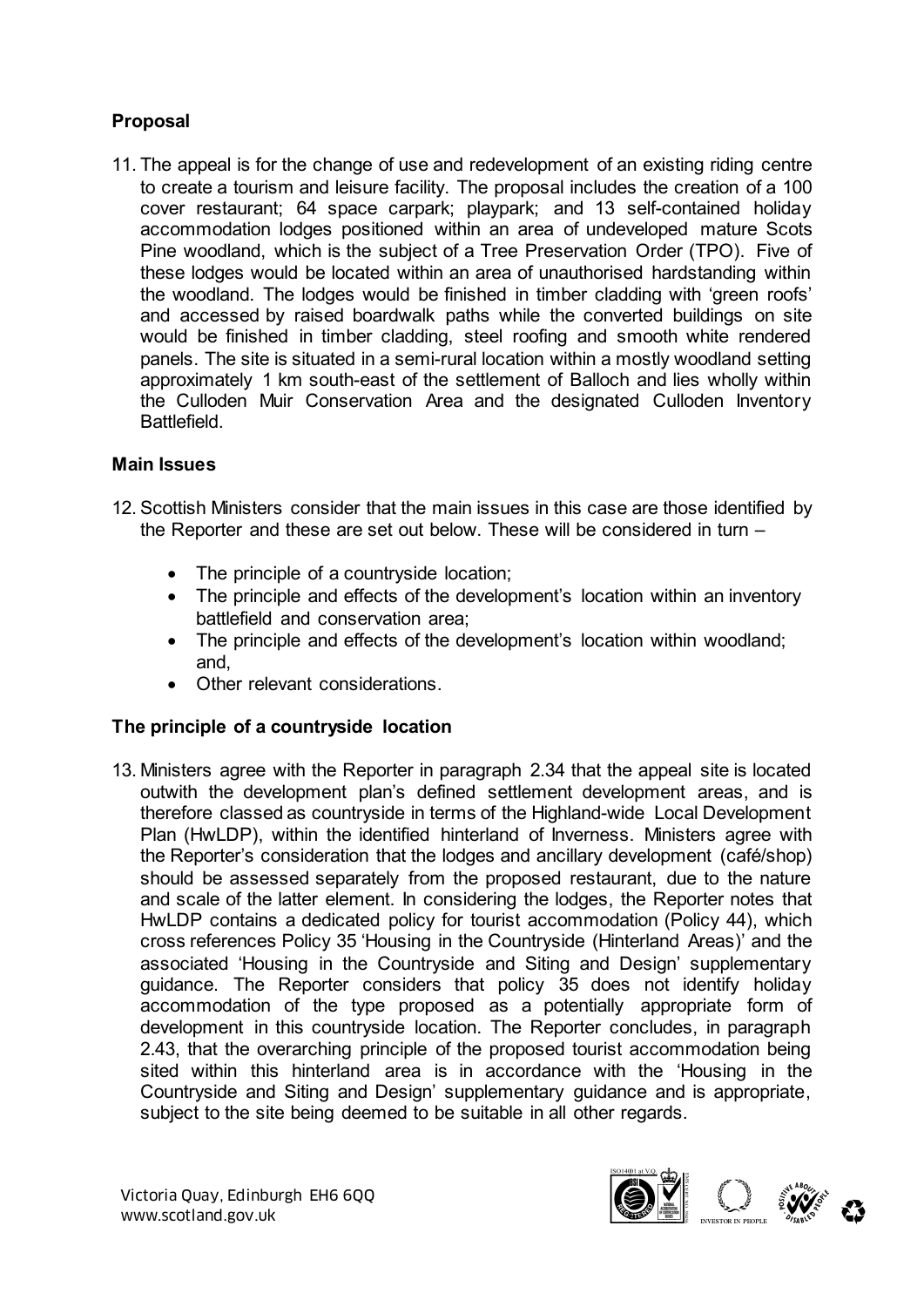# **Proposal**

11. The appeal is for the change of use and redevelopment of an existing riding centre to create a tourism and leisure facility. The proposal includes the creation of a 100 cover restaurant; 64 space carpark; playpark; and 13 self-contained holiday accommodation lodges positioned within an area of undeveloped mature Scots Pine woodland, which is the subject of a Tree Preservation Order (TPO). Five of these lodges would be located within an area of unauthorised hardstanding within the woodland. The lodges would be finished in timber cladding with 'green roofs' and accessed by raised boardwalk paths while the converted buildings on site would be finished in timber cladding, steel roofing and smooth white rendered panels. The site is situated in a semi-rural location within a mostly woodland setting approximately 1 km south-east of the settlement of Balloch and lies wholly within the Culloden Muir Conservation Area and the designated Culloden Inventory **Battlefield** 

# **Main Issues**

- 12. Scottish Ministers consider that the main issues in this case are those identified by the Reporter and these are set out below. These will be considered in turn –
	- The principle of a countryside location;
	- The principle and effects of the development's location within an inventory battlefield and conservation area;
	- The principle and effects of the development's location within woodland; and,
	- Other relevant considerations.

### **The principle of a countryside location**

13. Ministers agree with the Reporter in paragraph 2.34 that the appeal site is located outwith the development plan's defined settlement development areas, and is therefore classed as countryside in terms of the Highland-wide Local Development Plan (HwLDP), within the identified hinterland of Inverness. Ministers agree with the Reporter's consideration that the lodges and ancillary development (café/shop) should be assessed separately from the proposed restaurant, due to the nature and scale of the latter element. In considering the lodges, the Reporter notes that HwLDP contains a dedicated policy for tourist accommodation (Policy 44), which cross references Policy 35 'Housing in the Countryside (Hinterland Areas)' and the associated 'Housing in the Countryside and Siting and Design' supplementary guidance. The Reporter considers that policy 35 does not identify holiday accommodation of the type proposed as a potentially appropriate form of development in this countryside location. The Reporter concludes, in paragraph 2.43, that the overarching principle of the proposed tourist accommodation being sited within this hinterland area is in accordance with the 'Housing in the Countryside and Siting and Design' supplementary guidance and is appropriate, subject to the site being deemed to be suitable in all other regards.

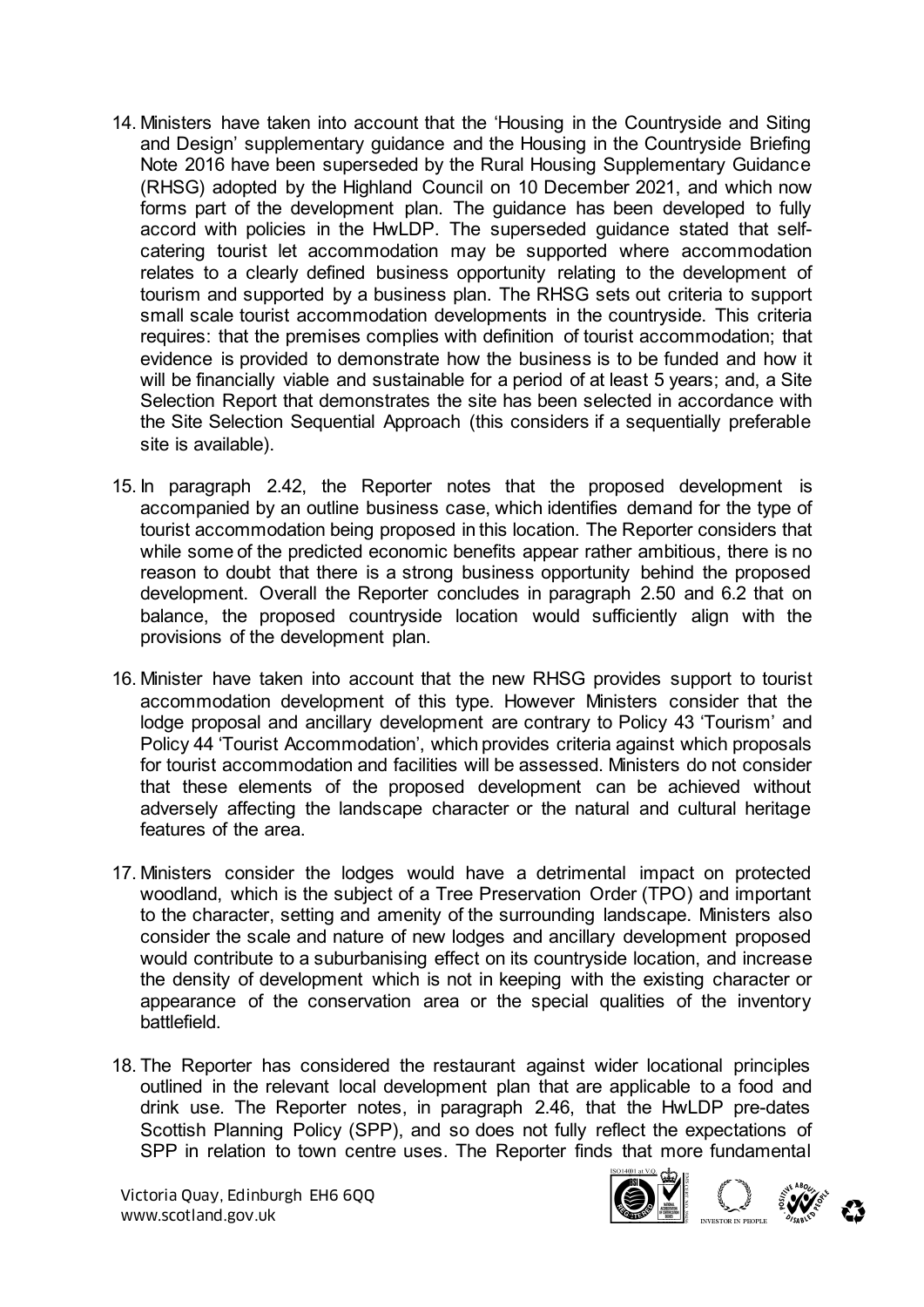- 14. Ministers have taken into account that the 'Housing in the Countryside and Siting and Design' supplementary guidance and the Housing in the Countryside Briefing Note 2016 have been superseded by the Rural Housing Supplementary Guidance (RHSG) adopted by the Highland Council on 10 December 2021, and which now forms part of the development plan. The guidance has been developed to fully accord with policies in the HwLDP. The superseded guidance stated that selfcatering tourist let accommodation may be supported where accommodation relates to a clearly defined business opportunity relating to the development of tourism and supported by a business plan. The RHSG sets out criteria to support small scale tourist accommodation developments in the countryside. This criteria requires: that the premises complies with definition of tourist accommodation; that evidence is provided to demonstrate how the business is to be funded and how it will be financially viable and sustainable for a period of at least 5 years; and, a Site Selection Report that demonstrates the site has been selected in accordance with the Site Selection Sequential Approach (this considers if a sequentially preferable site is available).
- 15. In paragraph 2.42, the Reporter notes that the proposed development is accompanied by an outline business case, which identifies demand for the type of tourist accommodation being proposed in this location. The Reporter considers that while some of the predicted economic benefits appear rather ambitious, there is no reason to doubt that there is a strong business opportunity behind the proposed development. Overall the Reporter concludes in paragraph 2.50 and 6.2 that on balance, the proposed countryside location would sufficiently align with the provisions of the development plan.
- 16. Minister have taken into account that the new RHSG provides support to tourist accommodation development of this type. However Ministers consider that the lodge proposal and ancillary development are contrary to Policy 43 'Tourism' and Policy 44 'Tourist Accommodation', which provides criteria against which proposals for tourist accommodation and facilities will be assessed. Ministers do not consider that these elements of the proposed development can be achieved without adversely affecting the landscape character or the natural and cultural heritage features of the area.
- 17. Ministers consider the lodges would have a detrimental impact on protected woodland, which is the subject of a Tree Preservation Order (TPO) and important to the character, setting and amenity of the surrounding landscape. Ministers also consider the scale and nature of new lodges and ancillary development proposed would contribute to a suburbanising effect on its countryside location, and increase the density of development which is not in keeping with the existing character or appearance of the conservation area or the special qualities of the inventory battlefield.
- 18. The Reporter has considered the restaurant against wider locational principles outlined in the relevant local development plan that are applicable to a food and drink use. The Reporter notes, in paragraph 2.46, that the HwLDP pre-dates Scottish Planning Policy (SPP), and so does not fully reflect the expectations of SPP in relation to town centre uses. The Reporter finds that more fundamental

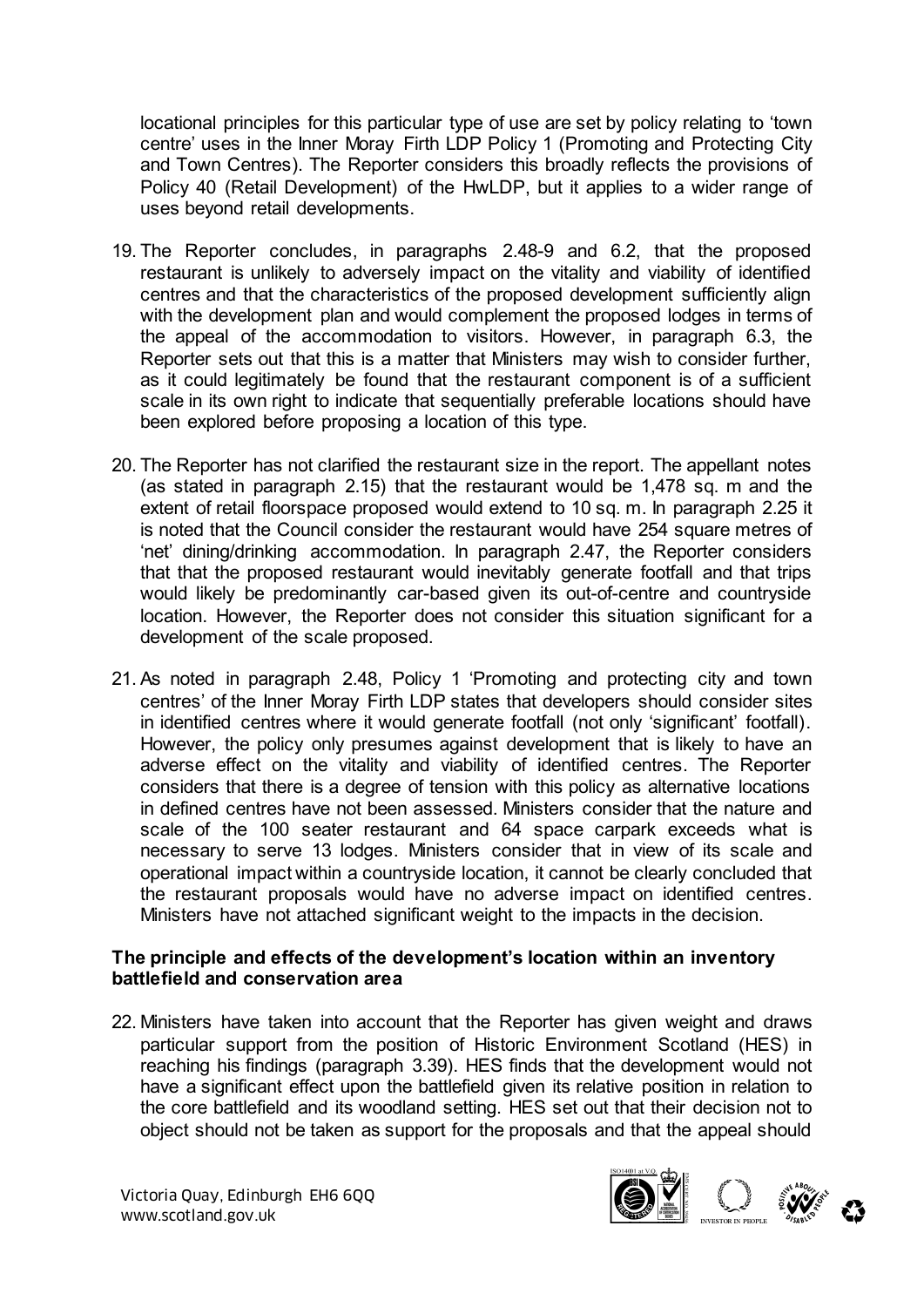locational principles for this particular type of use are set by policy relating to 'town centre' uses in the Inner Moray Firth LDP Policy 1 (Promoting and Protecting City and Town Centres). The Reporter considers this broadly reflects the provisions of Policy 40 (Retail Development) of the HwLDP, but it applies to a wider range of uses beyond retail developments.

- 19. The Reporter concludes, in paragraphs 2.48-9 and 6.2, that the proposed restaurant is unlikely to adversely impact on the vitality and viability of identified centres and that the characteristics of the proposed development sufficiently align with the development plan and would complement the proposed lodges in terms of the appeal of the accommodation to visitors. However, in paragraph 6.3, the Reporter sets out that this is a matter that Ministers may wish to consider further, as it could legitimately be found that the restaurant component is of a sufficient scale in its own right to indicate that sequentially preferable locations should have been explored before proposing a location of this type.
- 20. The Reporter has not clarified the restaurant size in the report. The appellant notes (as stated in paragraph 2.15) that the restaurant would be 1,478 sq. m and the extent of retail floorspace proposed would extend to 10 sq. m. In paragraph 2.25 it is noted that the Council consider the restaurant would have 254 square metres of 'net' dining/drinking accommodation. In paragraph 2.47, the Reporter considers that that the proposed restaurant would inevitably generate footfall and that trips would likely be predominantly car-based given its out-of-centre and countryside location. However, the Reporter does not consider this situation significant for a development of the scale proposed.
- 21. As noted in paragraph 2.48, Policy 1 'Promoting and protecting city and town centres' of the Inner Moray Firth LDP states that developers should consider sites in identified centres where it would generate footfall (not only 'significant' footfall). However, the policy only presumes against development that is likely to have an adverse effect on the vitality and viability of identified centres. The Reporter considers that there is a degree of tension with this policy as alternative locations in defined centres have not been assessed. Ministers consider that the nature and scale of the 100 seater restaurant and 64 space carpark exceeds what is necessary to serve 13 lodges. Ministers consider that in view of its scale and operational impact within a countryside location, it cannot be clearly concluded that the restaurant proposals would have no adverse impact on identified centres. Ministers have not attached significant weight to the impacts in the decision.

#### **The principle and effects of the development's location within an inventory battlefield and conservation area**

22. Ministers have taken into account that the Reporter has given weight and draws particular support from the position of Historic Environment Scotland (HES) in reaching his findings (paragraph 3.39). HES finds that the development would not have a significant effect upon the battlefield given its relative position in relation to the core battlefield and its woodland setting. HES set out that their decision not to object should not be taken as support for the proposals and that the appeal should

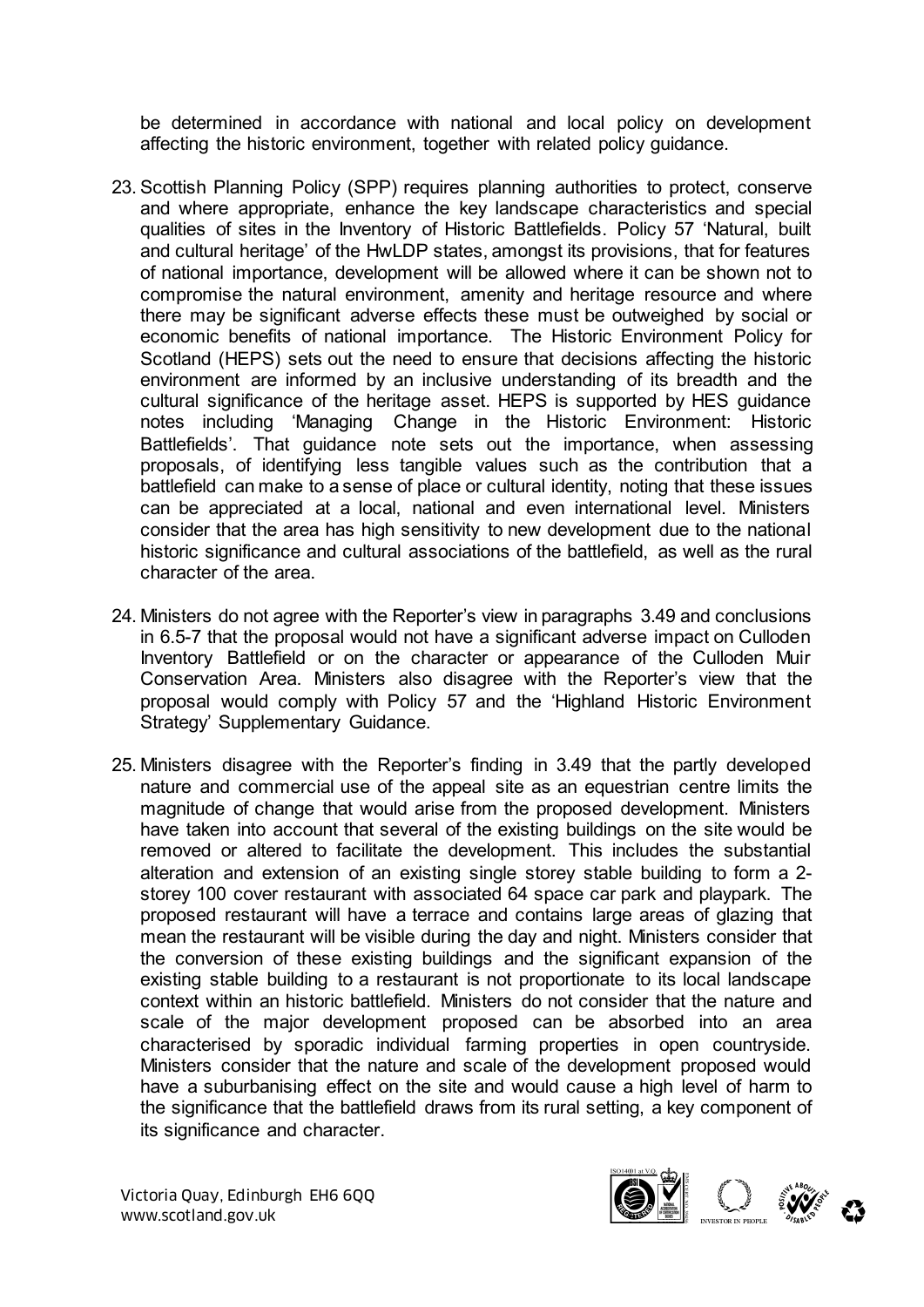be determined in accordance with national and local policy on development affecting the historic environment, together with related policy guidance.

- 23. Scottish Planning Policy (SPP) requires planning authorities to protect, conserve and where appropriate, enhance the key landscape characteristics and special qualities of sites in the Inventory of Historic Battlefields. Policy 57 'Natural, built and cultural heritage' of the HwLDP states, amongst its provisions, that for features of national importance, development will be allowed where it can be shown not to compromise the natural environment, amenity and heritage resource and where there may be significant adverse effects these must be outweighed by social or economic benefits of national importance. The Historic Environment Policy for Scotland (HEPS) sets out the need to ensure that decisions affecting the historic environment are informed by an inclusive understanding of its breadth and the cultural significance of the heritage asset. HEPS is supported by HES guidance notes including 'Managing Change in the Historic Environment: Historic Battlefields'. That guidance note sets out the importance, when assessing proposals, of identifying less tangible values such as the contribution that a battlefield can make to a sense of place or cultural identity, noting that these issues can be appreciated at a local, national and even international level. Ministers consider that the area has high sensitivity to new development due to the national historic significance and cultural associations of the battlefield, as well as the rural character of the area.
- 24. Ministers do not agree with the Reporter's view in paragraphs 3.49 and conclusions in 6.5-7 that the proposal would not have a significant adverse impact on Culloden Inventory Battlefield or on the character or appearance of the Culloden Muir Conservation Area. Ministers also disagree with the Reporter's view that the proposal would comply with Policy 57 and the 'Highland Historic Environment Strategy' Supplementary Guidance.
- 25. Ministers disagree with the Reporter's finding in 3.49 that the partly developed nature and commercial use of the appeal site as an equestrian centre limits the magnitude of change that would arise from the proposed development. Ministers have taken into account that several of the existing buildings on the site would be removed or altered to facilitate the development. This includes the substantial alteration and extension of an existing single storey stable building to form a 2 storey 100 cover restaurant with associated 64 space car park and playpark. The proposed restaurant will have a terrace and contains large areas of glazing that mean the restaurant will be visible during the day and night. Ministers consider that the conversion of these existing buildings and the significant expansion of the existing stable building to a restaurant is not proportionate to its local landscape context within an historic battlefield. Ministers do not consider that the nature and scale of the major development proposed can be absorbed into an area characterised by sporadic individual farming properties in open countryside. Ministers consider that the nature and scale of the development proposed would have a suburbanising effect on the site and would cause a high level of harm to the significance that the battlefield draws from its rural setting, a key component of its significance and character.



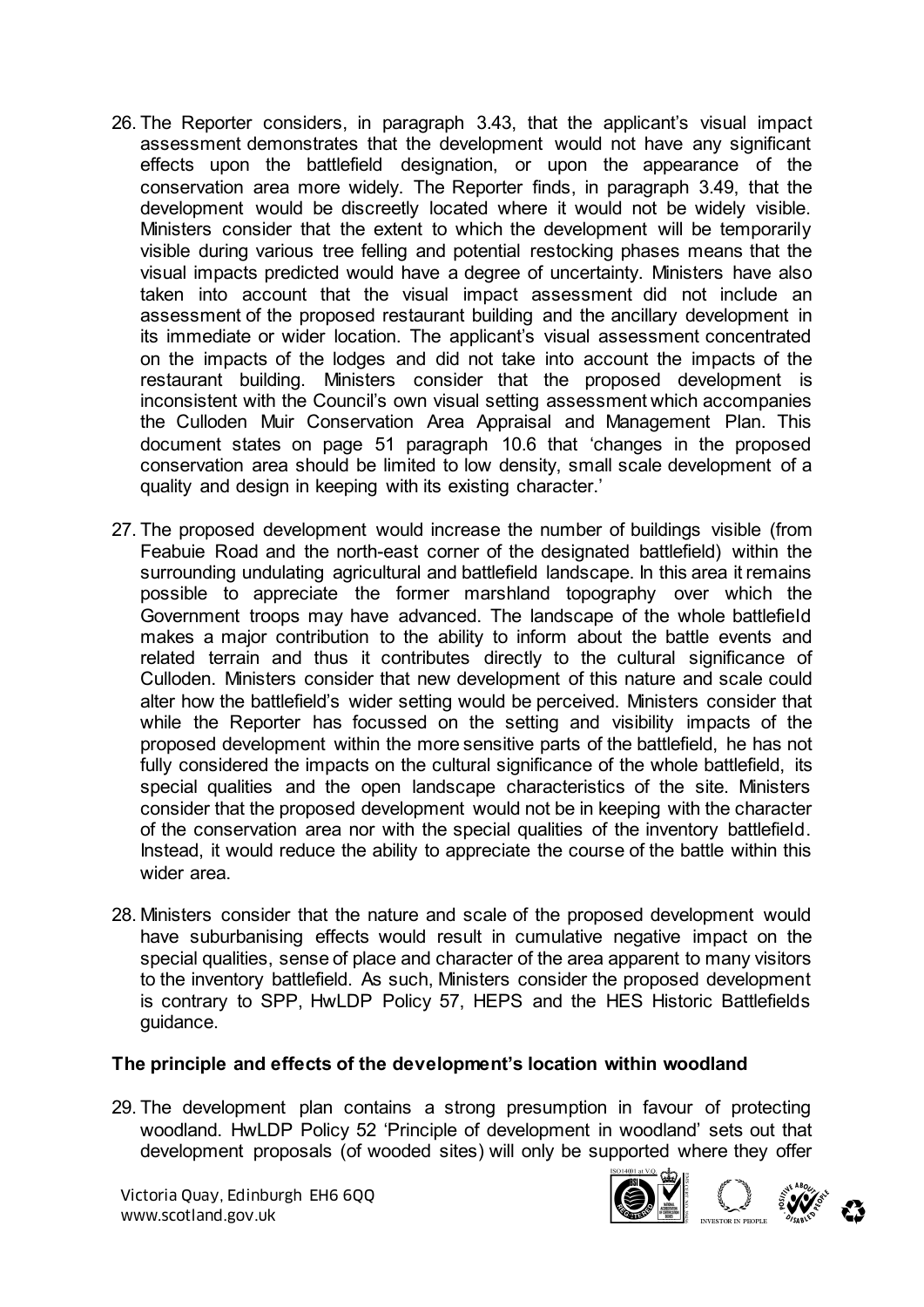- 26. The Reporter considers, in paragraph 3.43, that the applicant's visual impact assessment demonstrates that the development would not have any significant effects upon the battlefield designation, or upon the appearance of the conservation area more widely. The Reporter finds, in paragraph 3.49, that the development would be discreetly located where it would not be widely visible. Ministers consider that the extent to which the development will be temporarily visible during various tree felling and potential restocking phases means that the visual impacts predicted would have a degree of uncertainty. Ministers have also taken into account that the visual impact assessment did not include an assessment of the proposed restaurant building and the ancillary development in its immediate or wider location. The applicant's visual assessment concentrated on the impacts of the lodges and did not take into account the impacts of the restaurant building. Ministers consider that the proposed development is inconsistent with the Council's own visual setting assessment which accompanies the Culloden Muir Conservation Area Appraisal and Management Plan. This document states on page 51 paragraph 10.6 that 'changes in the proposed conservation area should be limited to low density, small scale development of a quality and design in keeping with its existing character.'
- 27. The proposed development would increase the number of buildings visible (from Feabuie Road and the north-east corner of the designated battlefield) within the surrounding undulating agricultural and battlefield landscape. In this area it remains possible to appreciate the former marshland topography over which the Government troops may have advanced. The landscape of the whole battlefield makes a major contribution to the ability to inform about the battle events and related terrain and thus it contributes directly to the cultural significance of Culloden. Ministers consider that new development of this nature and scale could alter how the battlefield's wider setting would be perceived. Ministers consider that while the Reporter has focussed on the setting and visibility impacts of the proposed development within the more sensitive parts of the battlefield, he has not fully considered the impacts on the cultural significance of the whole battlefield, its special qualities and the open landscape characteristics of the site. Ministers consider that the proposed development would not be in keeping with the character of the conservation area nor with the special qualities of the inventory battlefield. Instead, it would reduce the ability to appreciate the course of the battle within this wider area.
- 28. Ministers consider that the nature and scale of the proposed development would have suburbanising effects would result in cumulative negative impact on the special qualities, sense of place and character of the area apparent to many visitors to the inventory battlefield. As such, Ministers consider the proposed development is contrary to SPP, HwLDP Policy 57, HEPS and the HES Historic Battlefields guidance.

#### **The principle and effects of the development's location within woodland**

29. The development plan contains a strong presumption in favour of protecting woodland. HwLDP Policy 52 'Principle of development in woodland' sets out that development proposals (of wooded sites) will only be supported where they offer



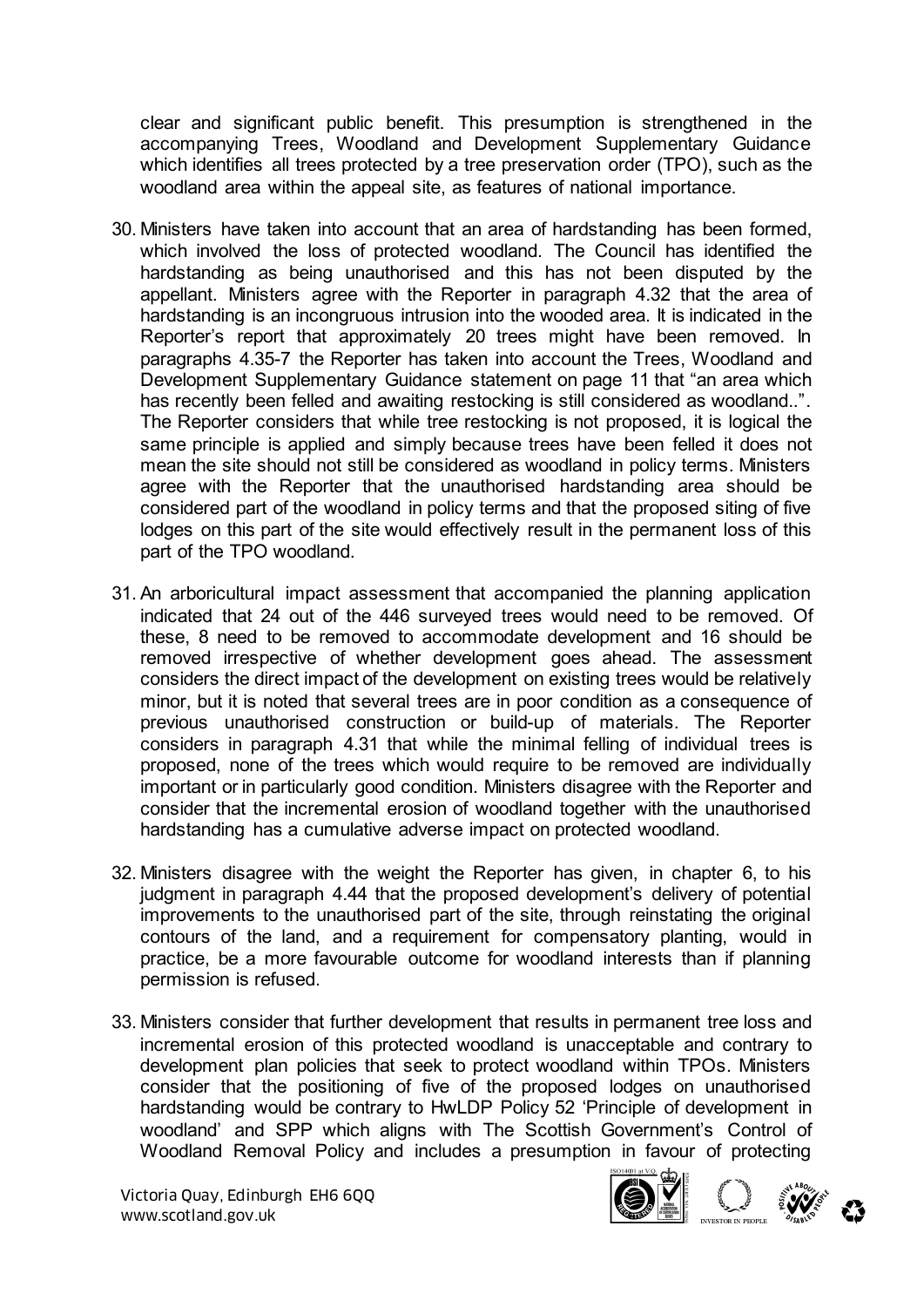clear and significant public benefit. This presumption is strengthened in the accompanying Trees, Woodland and Development Supplementary Guidance which identifies all trees protected by a tree preservation order (TPO), such as the woodland area within the appeal site, as features of national importance.

- 30. Ministers have taken into account that an area of hardstanding has been formed, which involved the loss of protected woodland. The Council has identified the hardstanding as being unauthorised and this has not been disputed by the appellant. Ministers agree with the Reporter in paragraph 4.32 that the area of hardstanding is an incongruous intrusion into the wooded area. It is indicated in the Reporter's report that approximately 20 trees might have been removed. In paragraphs 4.35-7 the Reporter has taken into account the Trees, Woodland and Development Supplementary Guidance statement on page 11 that "an area which has recently been felled and awaiting restocking is still considered as woodland..". The Reporter considers that while tree restocking is not proposed, it is logical the same principle is applied and simply because trees have been felled it does not mean the site should not still be considered as woodland in policy terms. Ministers agree with the Reporter that the unauthorised hardstanding area should be considered part of the woodland in policy terms and that the proposed siting of five lodges on this part of the site would effectively result in the permanent loss of this part of the TPO woodland.
- 31. An arboricultural impact assessment that accompanied the planning application indicated that 24 out of the 446 surveyed trees would need to be removed. Of these, 8 need to be removed to accommodate development and 16 should be removed irrespective of whether development goes ahead. The assessment considers the direct impact of the development on existing trees would be relatively minor, but it is noted that several trees are in poor condition as a consequence of previous unauthorised construction or build-up of materials. The Reporter considers in paragraph 4.31 that while the minimal felling of individual trees is proposed, none of the trees which would require to be removed are individually important or in particularly good condition. Ministers disagree with the Reporter and consider that the incremental erosion of woodland together with the unauthorised hardstanding has a cumulative adverse impact on protected woodland.
- 32. Ministers disagree with the weight the Reporter has given, in chapter 6, to his judgment in paragraph 4.44 that the proposed development's delivery of potential improvements to the unauthorised part of the site, through reinstating the original contours of the land, and a requirement for compensatory planting, would in practice, be a more favourable outcome for woodland interests than if planning permission is refused.
- 33. Ministers consider that further development that results in permanent tree loss and incremental erosion of this protected woodland is unacceptable and contrary to development plan policies that seek to protect woodland within TPOs. Ministers consider that the positioning of five of the proposed lodges on unauthorised hardstanding would be contrary to HwLDP Policy 52 'Principle of development in woodland' and SPP which aligns with The Scottish Government's Control of Woodland Removal Policy and includes a presumption in favour of protecting

Victoria Quay, Edinburgh EH6 6QQ Wictoria Quay, Edinburgh EH6 6QQ<br>www.scotland.gov.uk



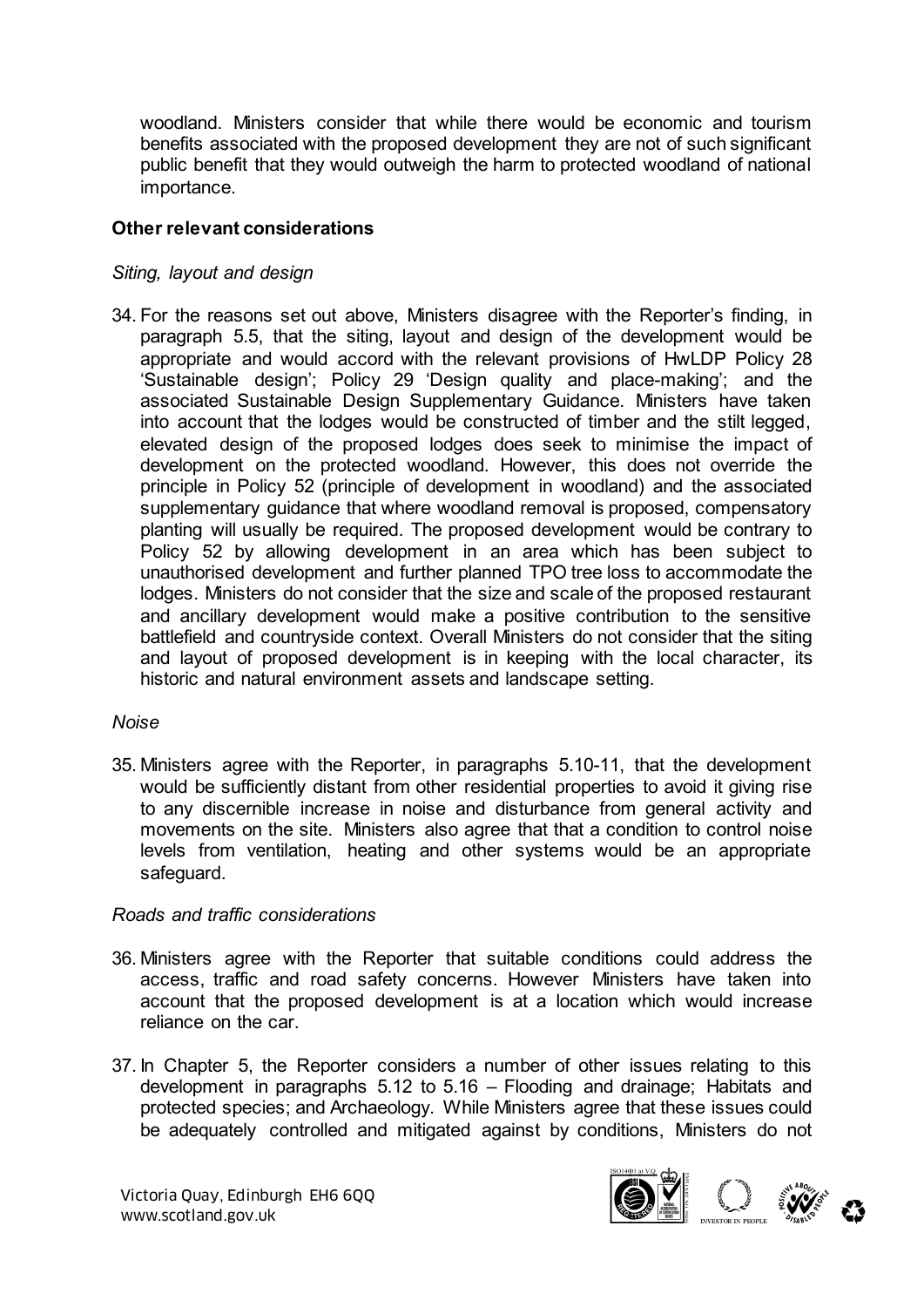woodland. Ministers consider that while there would be economic and tourism benefits associated with the proposed development they are not of such significant public benefit that they would outweigh the harm to protected woodland of national importance.

#### **Other relevant considerations**

#### *Siting, layout and design*

34. For the reasons set out above, Ministers disagree with the Reporter's finding, in paragraph 5.5, that the siting, layout and design of the development would be appropriate and would accord with the relevant provisions of HwLDP Policy 28 'Sustainable design'; Policy 29 'Design quality and place-making'; and the associated Sustainable Design Supplementary Guidance. Ministers have taken into account that the lodges would be constructed of timber and the stilt legged, elevated design of the proposed lodges does seek to minimise the impact of development on the protected woodland. However, this does not override the principle in Policy 52 (principle of development in woodland) and the associated supplementary guidance that where woodland removal is proposed, compensatory planting will usually be required. The proposed development would be contrary to Policy 52 by allowing development in an area which has been subject to unauthorised development and further planned TPO tree loss to accommodate the lodges. Ministers do not consider that the size and scale of the proposed restaurant and ancillary development would make a positive contribution to the sensitive battlefield and countryside context. Overall Ministers do not consider that the siting and layout of proposed development is in keeping with the local character, its historic and natural environment assets and landscape setting.

### *Noise*

35. Ministers agree with the Reporter, in paragraphs 5.10-11, that the development would be sufficiently distant from other residential properties to avoid it giving rise to any discernible increase in noise and disturbance from general activity and movements on the site. Ministers also agree that that a condition to control noise levels from ventilation, heating and other systems would be an appropriate safeguard.

#### *Roads and traffic considerations*

- 36. Ministers agree with the Reporter that suitable conditions could address the access, traffic and road safety concerns. However Ministers have taken into account that the proposed development is at a location which would increase reliance on the car.
- 37. In Chapter 5, the Reporter considers a number of other issues relating to this development in paragraphs 5.12 to 5.16 – Flooding and drainage; Habitats and protected species; and Archaeology. While Ministers agree that these issues could be adequately controlled and mitigated against by conditions, Ministers do not

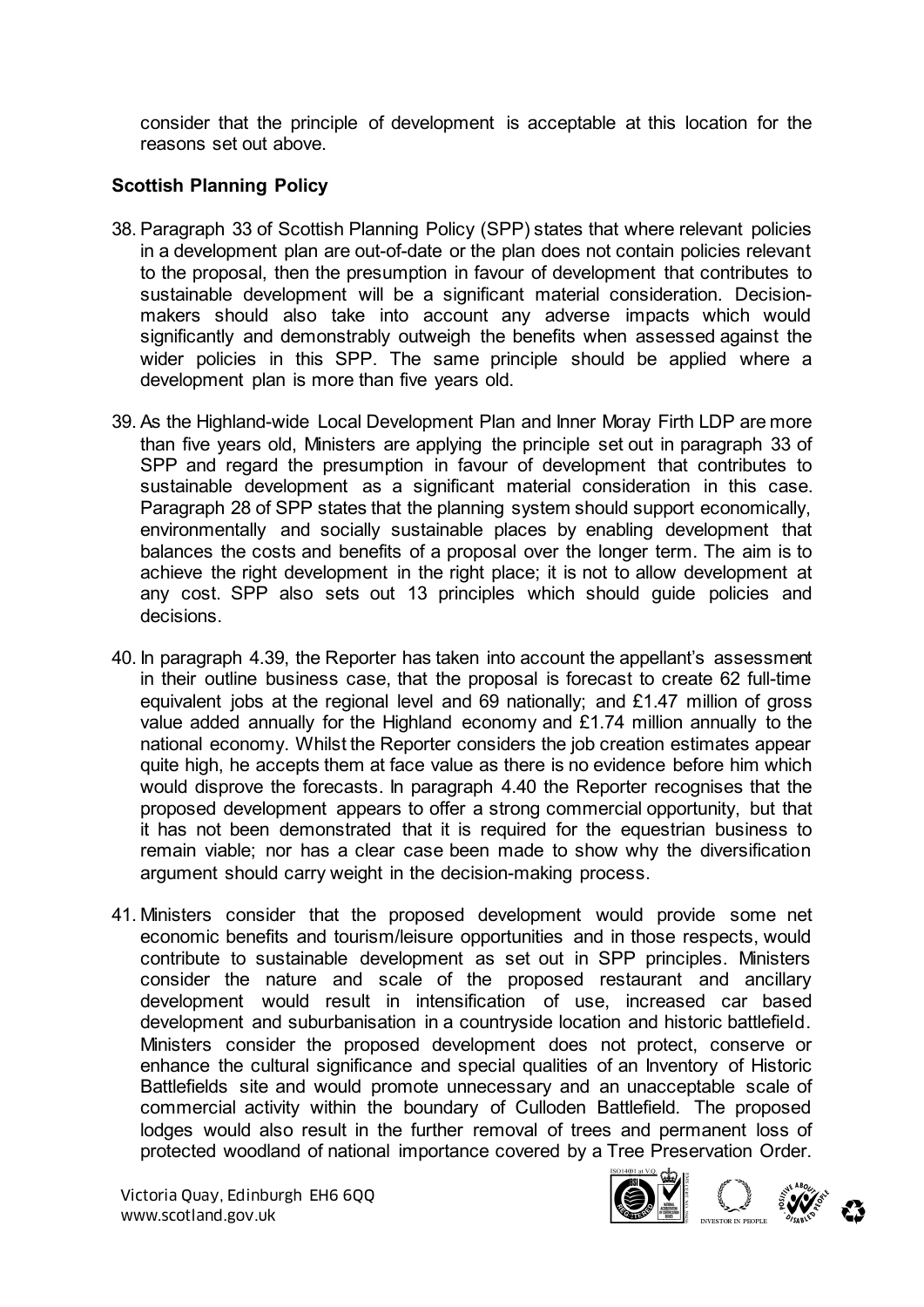consider that the principle of development is acceptable at this location for the reasons set out above.

# **Scottish Planning Policy**

- 38. Paragraph 33 of Scottish Planning Policy (SPP) states that where relevant policies in a development plan are out-of-date or the plan does not contain policies relevant to the proposal, then the presumption in favour of development that contributes to sustainable development will be a significant material consideration. Decisionmakers should also take into account any adverse impacts which would significantly and demonstrably outweigh the benefits when assessed against the wider policies in this SPP. The same principle should be applied where a development plan is more than five years old.
- 39. As the Highland-wide Local Development Plan and Inner Moray Firth LDP are more than five years old, Ministers are applying the principle set out in paragraph 33 of SPP and regard the presumption in favour of development that contributes to sustainable development as a significant material consideration in this case. Paragraph 28 of SPP states that the planning system should support economically, environmentally and socially sustainable places by enabling development that balances the costs and benefits of a proposal over the longer term. The aim is to achieve the right development in the right place; it is not to allow development at any cost. SPP also sets out 13 principles which should guide policies and decisions.
- 40. In paragraph 4.39, the Reporter has taken into account the appellant's assessment in their outline business case, that the proposal is forecast to create 62 full-time equivalent jobs at the regional level and 69 nationally; and £1.47 million of gross value added annually for the Highland economy and £1.74 million annually to the national economy. Whilst the Reporter considers the job creation estimates appear quite high, he accepts them at face value as there is no evidence before him which would disprove the forecasts. In paragraph 4.40 the Reporter recognises that the proposed development appears to offer a strong commercial opportunity, but that it has not been demonstrated that it is required for the equestrian business to remain viable; nor has a clear case been made to show why the diversification argument should carry weight in the decision-making process.
- 41. Ministers consider that the proposed development would provide some net economic benefits and tourism/leisure opportunities and in those respects, would contribute to sustainable development as set out in SPP principles. Ministers consider the nature and scale of the proposed restaurant and ancillary development would result in intensification of use, increased car based development and suburbanisation in a countryside location and historic battlefield. Ministers consider the proposed development does not protect, conserve or enhance the cultural significance and special qualities of an Inventory of Historic Battlefields site and would promote unnecessary and an unacceptable scale of commercial activity within the boundary of Culloden Battlefield. The proposed lodges would also result in the further removal of trees and permanent loss of protected woodland of national importance covered by a Tree Preservation Order.

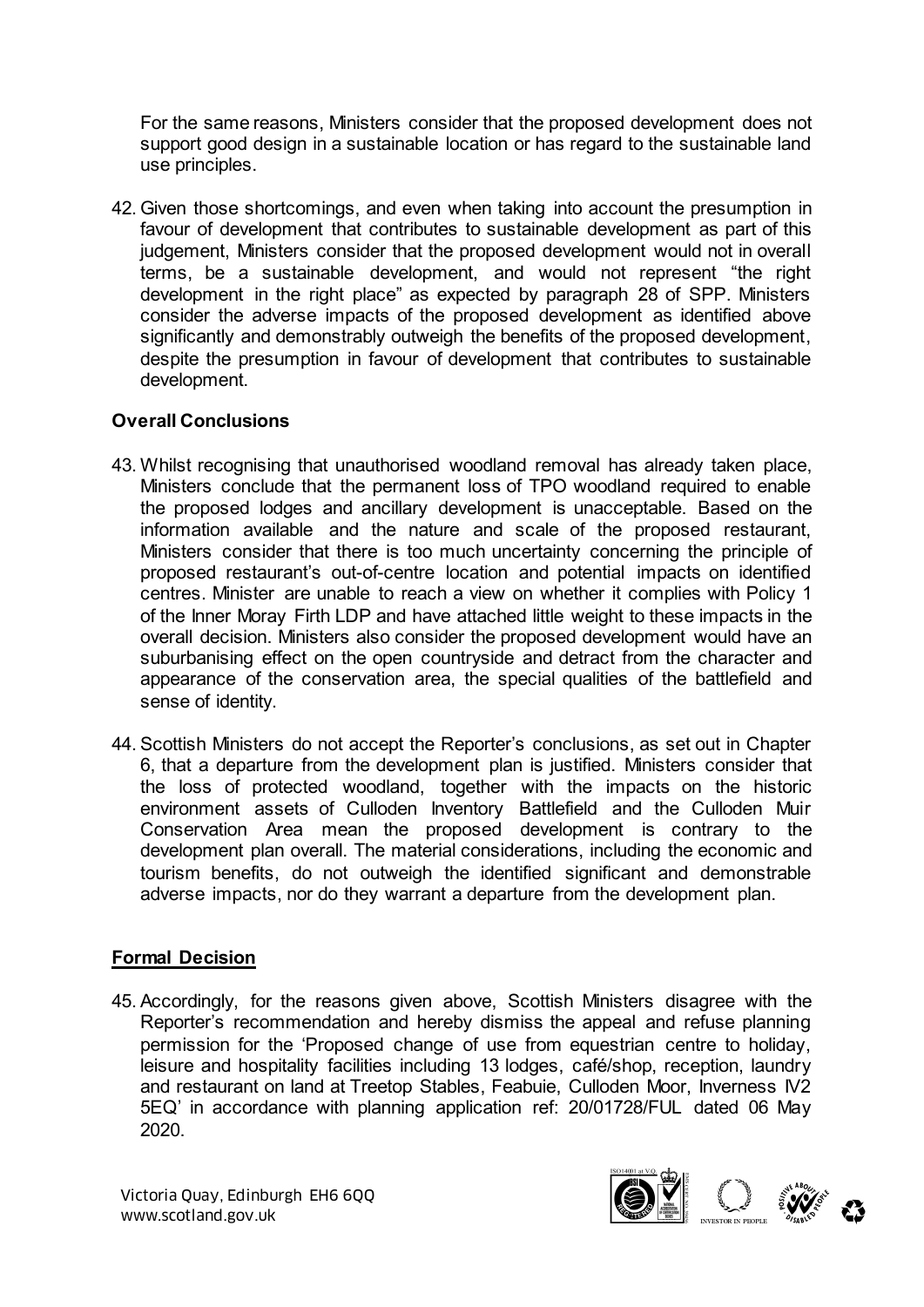For the same reasons, Ministers consider that the proposed development does not support good design in a sustainable location or has regard to the sustainable land use principles.

42. Given those shortcomings, and even when taking into account the presumption in favour of development that contributes to sustainable development as part of this judgement, Ministers consider that the proposed development would not in overall terms, be a sustainable development, and would not represent "the right development in the right place" as expected by paragraph 28 of SPP. Ministers consider the adverse impacts of the proposed development as identified above significantly and demonstrably outweigh the benefits of the proposed development, despite the presumption in favour of development that contributes to sustainable development.

### **Overall Conclusions**

- 43. Whilst recognising that unauthorised woodland removal has already taken place, Ministers conclude that the permanent loss of TPO woodland required to enable the proposed lodges and ancillary development is unacceptable. Based on the information available and the nature and scale of the proposed restaurant, Ministers consider that there is too much uncertainty concerning the principle of proposed restaurant's out-of-centre location and potential impacts on identified centres. Minister are unable to reach a view on whether it complies with Policy 1 of the Inner Moray Firth LDP and have attached little weight to these impacts in the overall decision. Ministers also consider the proposed development would have an suburbanising effect on the open countryside and detract from the character and appearance of the conservation area, the special qualities of the battlefield and sense of identity.
- 44. Scottish Ministers do not accept the Reporter's conclusions, as set out in Chapter 6, that a departure from the development plan is justified. Ministers consider that the loss of protected woodland, together with the impacts on the historic environment assets of Culloden Inventory Battlefield and the Culloden Muir Conservation Area mean the proposed development is contrary to the development plan overall. The material considerations, including the economic and tourism benefits, do not outweigh the identified significant and demonstrable adverse impacts, nor do they warrant a departure from the development plan.

#### **Formal Decision**

45. Accordingly, for the reasons given above, Scottish Ministers disagree with the Reporter's recommendation and hereby dismiss the appeal and refuse planning permission for the 'Proposed change of use from equestrian centre to holiday, leisure and hospitality facilities including 13 lodges, café/shop, reception, laundry and restaurant on land at Treetop Stables, Feabuie, Culloden Moor, Inverness IV2 5EQ' in accordance with planning application ref: 20/01728/FUL dated 06 May 2020.

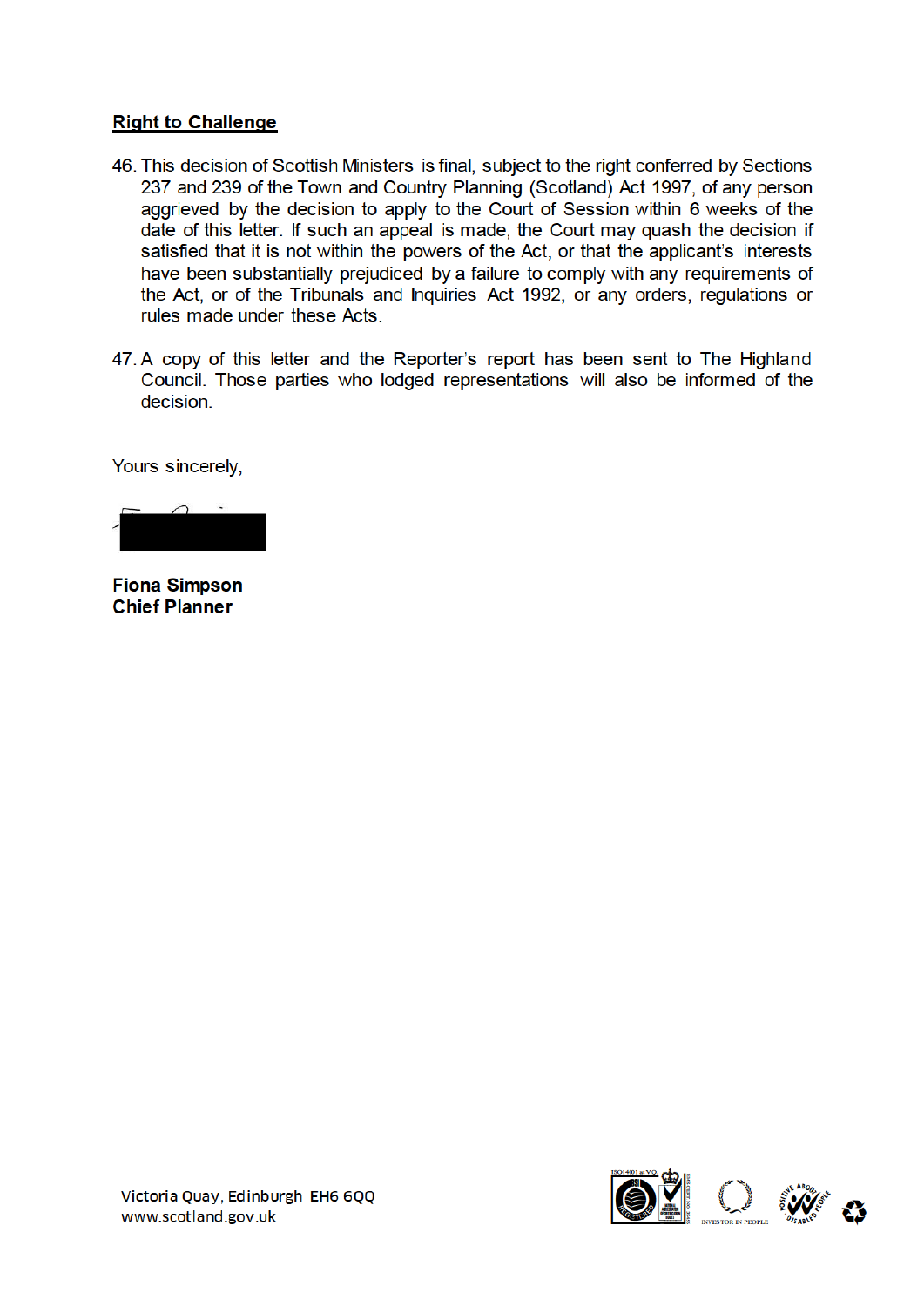#### **Right to Challenge**

- 46. This decision of Scottish Ministers is final, subject to the right conferred by Sections 237 and 239 of the Town and Country Planning (Scotland) Act 1997, of any person aggrieved by the decision to apply to the Court of Session within 6 weeks of the date of this letter. If such an appeal is made, the Court may quash the decision if satisfied that it is not within the powers of the Act, or that the applicant's interests have been substantially prejudiced by a failure to comply with any requirements of the Act, or of the Tribunals and Inquiries Act 1992, or any orders, regulations or rules made under these Acts.
- 47. A copy of this letter and the Reporter's report has been sent to The Highland Council. Those parties who lodged representations will also be informed of the decision.

Yours sincerely,

**Fiona Simpson Chief Planner** 

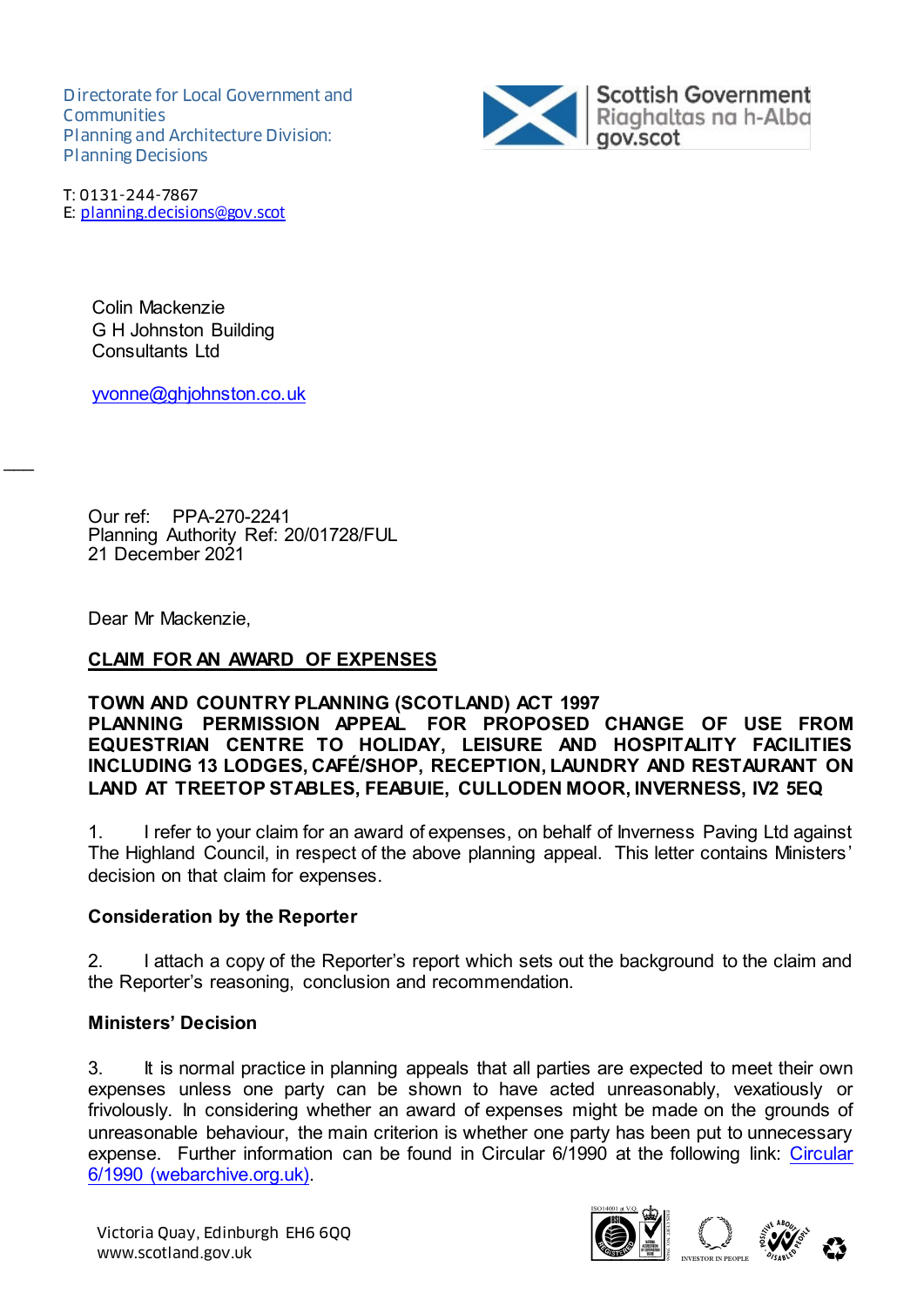Directorate for Local Government and **Communities** Planning and Architecture Division: Planning Decisions



T: 0131-244-7867 E: planning.decisions@gov.scot

> Colin Mackenzie G H Johnston Building Consultants Ltd

yvonne@ghjohnston.co.uk

 21 December 2021 Our ref: PPA-270-2241 Planning Authority Ref: 20/01728/FUL

Dear Mr Mackenzie,

 $\overline{\phantom{a}}$ 

### **CLAIM FOR AN AWARD OF EXPENSES**

#### **TOWN AND COUNTRY PLANNING (SCOTLAND) ACT 1997**

#### **PLANNING PERMISSION APPEAL FOR PROPOSED CHANGE OF USE FROM EQUESTRIAN CENTRE TO HOLIDAY, LEISURE AND HOSPITALITY FACILITIES INCLUDING 13 LODGES, CAFÉ/SHOP, RECEPTION, LAUNDRY AND RESTAURANT ON LAND AT TREETOP STABLES, FEABUIE, CULLODEN MOOR, INVERNESS, IV2 5EQ**

1. I refer to your claim for an award of expenses, on behalf of Inverness Paving Ltd against The Highland Council, in respect of the above planning appeal. This letter contains Ministers' decision on that claim for expenses.

#### **Consideration by the Reporter**

2. I attach a copy of the Reporter's report which sets out the background to the claim and the Reporter's reasoning, conclusion and recommendation.

### **Ministers' Decision**

3. It is normal practice in planning appeals that all parties are expected to meet their own expenses unless one party can be shown to have acted unreasonably, vexatiously or frivolously. In considering whether an award of expenses might be made on the grounds of unreasonable behaviour, the main criterion is whether one party has been put to unnecessary expense. Further information can be found in Circular 6/1990 at the following link: Circular 6/1990 (webarchive.org.uk).

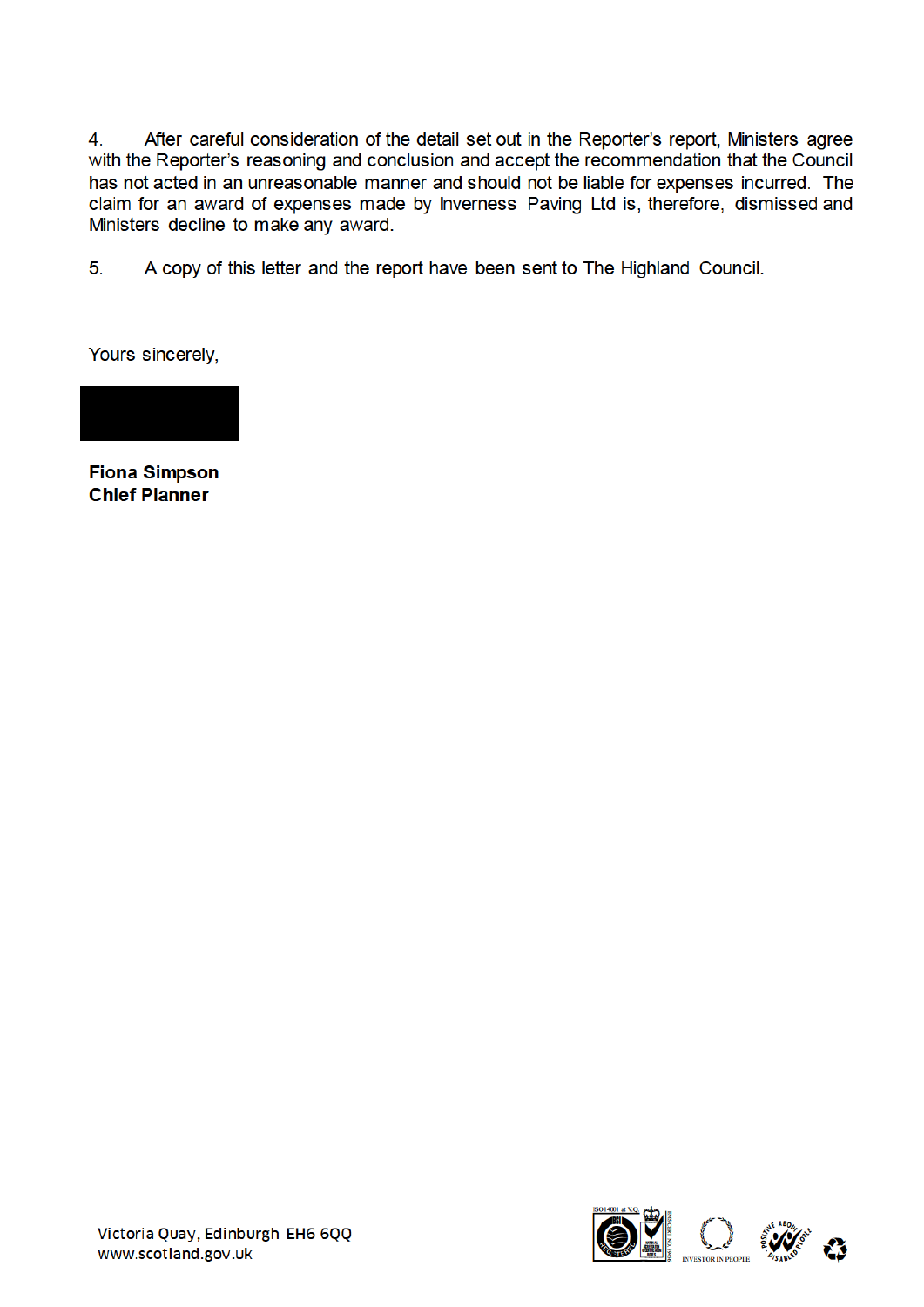After careful consideration of the detail set out in the Reporter's report, Ministers agree  $4.$ with the Reporter's reasoning and conclusion and accept the recommendation that the Council has not acted in an unreasonable manner and should not be liable for expenses incurred. The claim for an award of expenses made by Inverness Paving Ltd is, therefore, dismissed and Ministers decline to make any award.

 $5<sub>1</sub>$ A copy of this letter and the report have been sent to The Highland Council.

Yours sincerely,



**Fiona Simpson Chief Planner** 

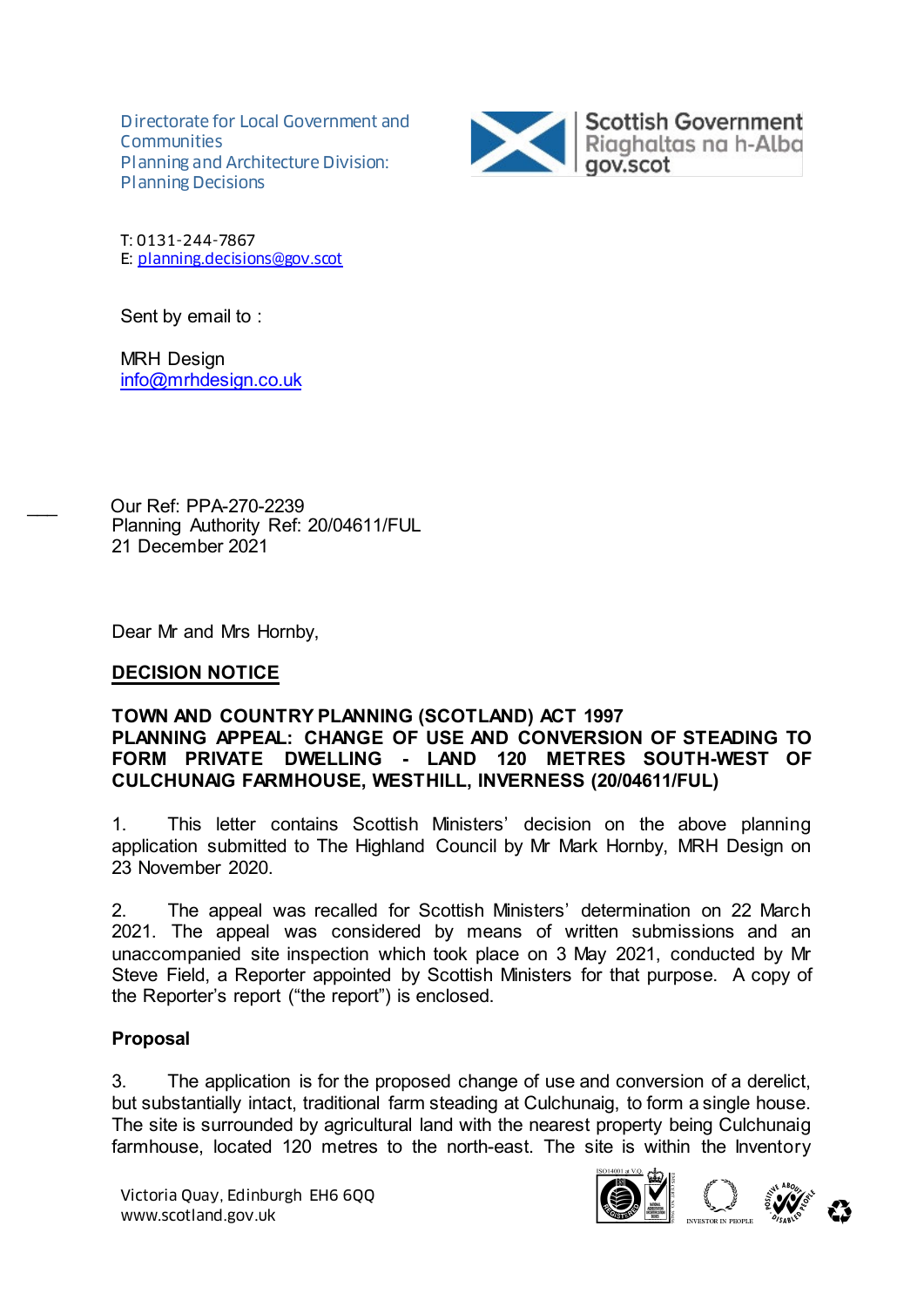Directorate for Local Government and **Communities** Planning and Architecture Division: Planning Decisions



T: 0131-244-7867 E: planning.decisions@gov.scot

Sent by email to :

MRH Design info@mrhdesign.co.uk

\_\_\_ Our Ref: PPA-270-2239 Planning Authority Ref: 20/04611/FUL 21 December 2021

Dear Mr and Mrs Hornby,

### **DECISION NOTICE**

#### **TOWN AND COUNTRY PLANNING (SCOTLAND) ACT 1997 PLANNING APPEAL: CHANGE OF USE AND CONVERSION OF STEADING TO FORM PRIVATE DWELLING - LAND 120 METRES SOUTH-WEST OF CULCHUNAIG FARMHOUSE, WESTHILL, INVERNESS (20/04611/FUL)**

1. This letter contains Scottish Ministers' decision on the above planning application submitted to The Highland Council by Mr Mark Hornby, MRH Design on 23 November 2020.

2. The appeal was recalled for Scottish Ministers' determination on 22 March 2021. The appeal was considered by means of written submissions and an unaccompanied site inspection which took place on 3 May 2021, conducted by Mr Steve Field, a Reporter appointed by Scottish Ministers for that purpose. A copy of the Reporter's report ("the report") is enclosed.

### **Proposal**

3. The application is for the proposed change of use and conversion of a derelict, but substantially intact, traditional farm steading at Culchunaig, to form a single house. The site is surrounded by agricultural land with the nearest property being Culchunaig farmhouse, located 120 metres to the north-east. The site is within the Inventory



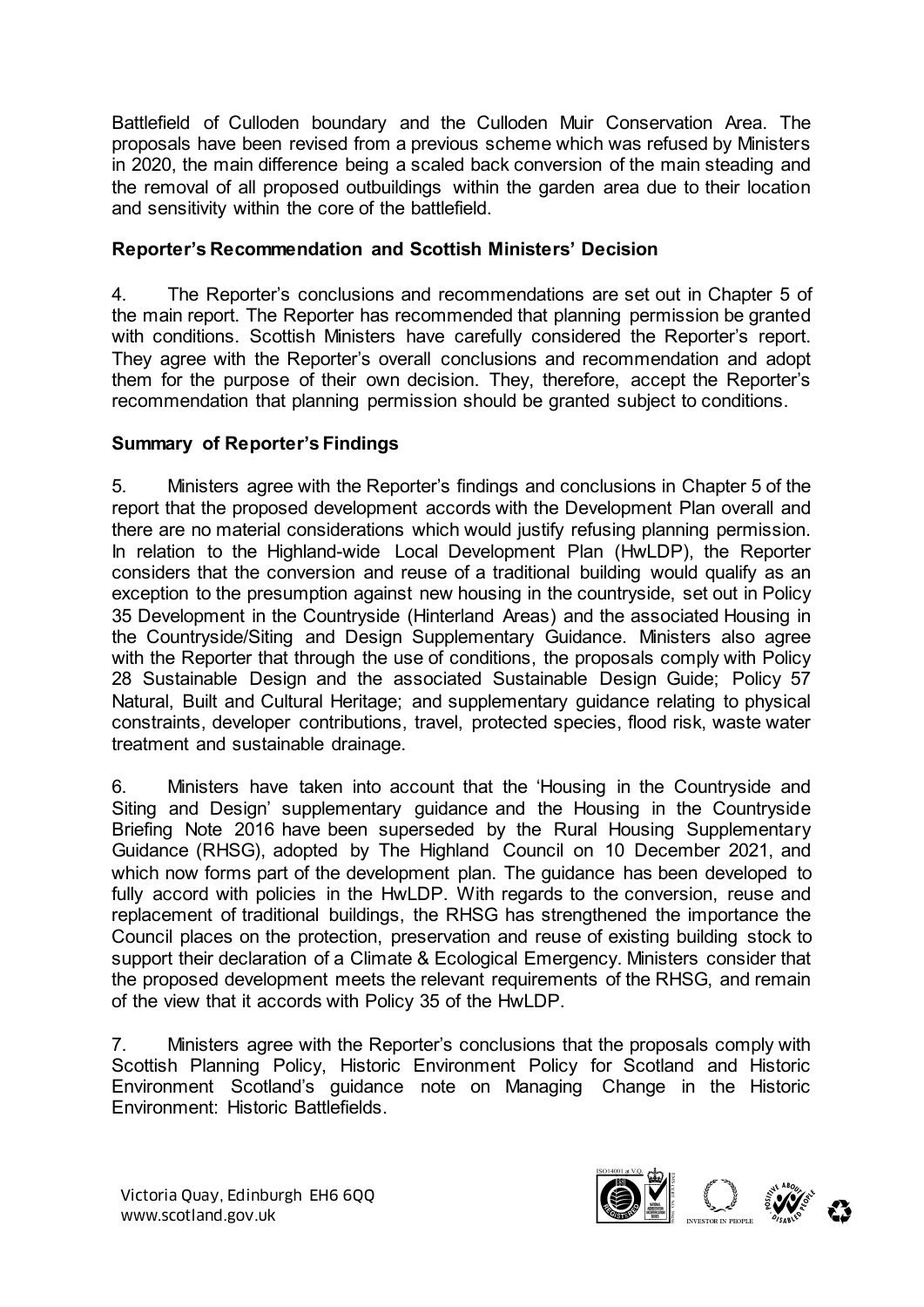Battlefield of Culloden boundary and the Culloden Muir Conservation Area. The proposals have been revised from a previous scheme which was refused by Ministers in 2020, the main difference being a scaled back conversion of the main steading and the removal of all proposed outbuildings within the garden area due to their location and sensitivity within the core of the battlefield.

# **Reporter's Recommendation and Scottish Ministers' Decision**

4. The Reporter's conclusions and recommendations are set out in Chapter 5 of the main report. The Reporter has recommended that planning permission be granted with conditions. Scottish Ministers have carefully considered the Reporter's report. They agree with the Reporter's overall conclusions and recommendation and adopt them for the purpose of their own decision. They, therefore, accept the Reporter's recommendation that planning permission should be granted subject to conditions.

# **Summary of Reporter's Findings**

5. Ministers agree with the Reporter's findings and conclusions in Chapter 5 of the report that the proposed development accords with the Development Plan overall and there are no material considerations which would justify refusing planning permission. In relation to the Highland-wide Local Development Plan (HwLDP), the Reporter considers that the conversion and reuse of a traditional building would qualify as an exception to the presumption against new housing in the countryside, set out in Policy 35 Development in the Countryside (Hinterland Areas) and the associated Housing in the Countryside/Siting and Design Supplementary Guidance. Ministers also agree with the Reporter that through the use of conditions, the proposals comply with Policy 28 Sustainable Design and the associated Sustainable Design Guide; Policy 57 Natural, Built and Cultural Heritage; and supplementary guidance relating to physical constraints, developer contributions, travel, protected species, flood risk, waste water treatment and sustainable drainage.

6. Ministers have taken into account that the 'Housing in the Countryside and Siting and Design' supplementary guidance and the Housing in the Countryside Briefing Note 2016 have been superseded by the Rural Housing Supplementary Guidance (RHSG), adopted by The Highland Council on 10 December 2021, and which now forms part of the development plan. The guidance has been developed to fully accord with policies in the HwLDP. With regards to the conversion, reuse and replacement of traditional buildings, the RHSG has strengthened the importance the Council places on the protection, preservation and reuse of existing building stock to support their declaration of a Climate & Ecological Emergency. Ministers consider that the proposed development meets the relevant requirements of the RHSG, and remain of the view that it accords with Policy 35 of the HwLDP.

7. Ministers agree with the Reporter's conclusions that the proposals comply with Scottish Planning Policy, Historic Environment Policy for Scotland and Historic Environment Scotland's guidance note on Managing Change in the Historic Environment: Historic Battlefields.

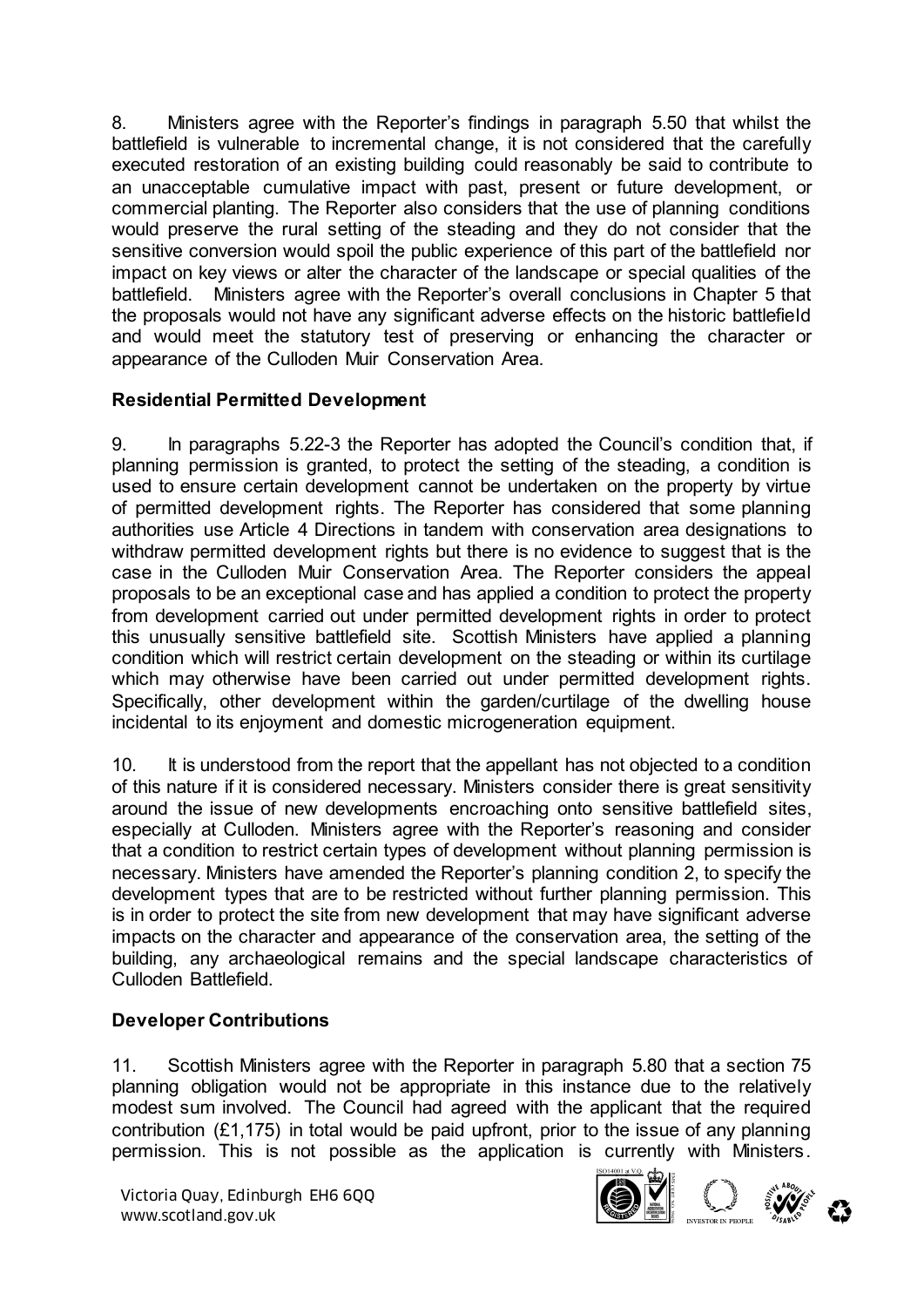8. Ministers agree with the Reporter's findings in paragraph 5.50 that whilst the battlefield is vulnerable to incremental change, it is not considered that the carefully executed restoration of an existing building could reasonably be said to contribute to an unacceptable cumulative impact with past, present or future development, or commercial planting. The Reporter also considers that the use of planning conditions would preserve the rural setting of the steading and they do not consider that the sensitive conversion would spoil the public experience of this part of the battlefield nor impact on key views or alter the character of the landscape or special qualities of the battlefield. Ministers agree with the Reporter's overall conclusions in Chapter 5 that the proposals would not have any significant adverse effects on the historic battlefield and would meet the statutory test of preserving or enhancing the character or appearance of the Culloden Muir Conservation Area.

# **Residential Permitted Development**

9. In paragraphs 5.22-3 the Reporter has adopted the Council's condition that, if planning permission is granted, to protect the setting of the steading, a condition is used to ensure certain development cannot be undertaken on the property by virtue of permitted development rights. The Reporter has considered that some planning authorities use Article 4 Directions in tandem with conservation area designations to withdraw permitted development rights but there is no evidence to suggest that is the case in the Culloden Muir Conservation Area. The Reporter considers the appeal proposals to be an exceptional case and has applied a condition to protect the property from development carried out under permitted development rights in order to protect this unusually sensitive battlefield site. Scottish Ministers have applied a planning condition which will restrict certain development on the steading or within its curtilage which may otherwise have been carried out under permitted development rights. Specifically, other development within the garden/curtilage of the dwelling house incidental to its enjoyment and domestic microgeneration equipment.

10. It is understood from the report that the appellant has not objected to a condition of this nature if it is considered necessary. Ministers consider there is great sensitivity around the issue of new developments encroaching onto sensitive battlefield sites, especially at Culloden. Ministers agree with the Reporter's reasoning and consider that a condition to restrict certain types of development without planning permission is necessary. Ministers have amended the Reporter's planning condition 2, to specify the development types that are to be restricted without further planning permission. This is in order to protect the site from new development that may have significant adverse impacts on the character and appearance of the conservation area, the setting of the building, any archaeological remains and the special landscape characteristics of Culloden Battlefield.

### **Developer Contributions**

11. Scottish Ministers agree with the Reporter in paragraph 5.80 that a section 75 planning obligation would not be appropriate in this instance due to the relatively modest sum involved. The Council had agreed with the applicant that the required contribution (£1,175) in total would be paid upfront, prior to the issue of any planning permission. This is not possible as the application is currently with Ministers.

Victoria Quay, Edinburgh EH6 6QQ Wictoria Quay, Edinburgh EH6 6QQ<br>www.scotland.gov.uk





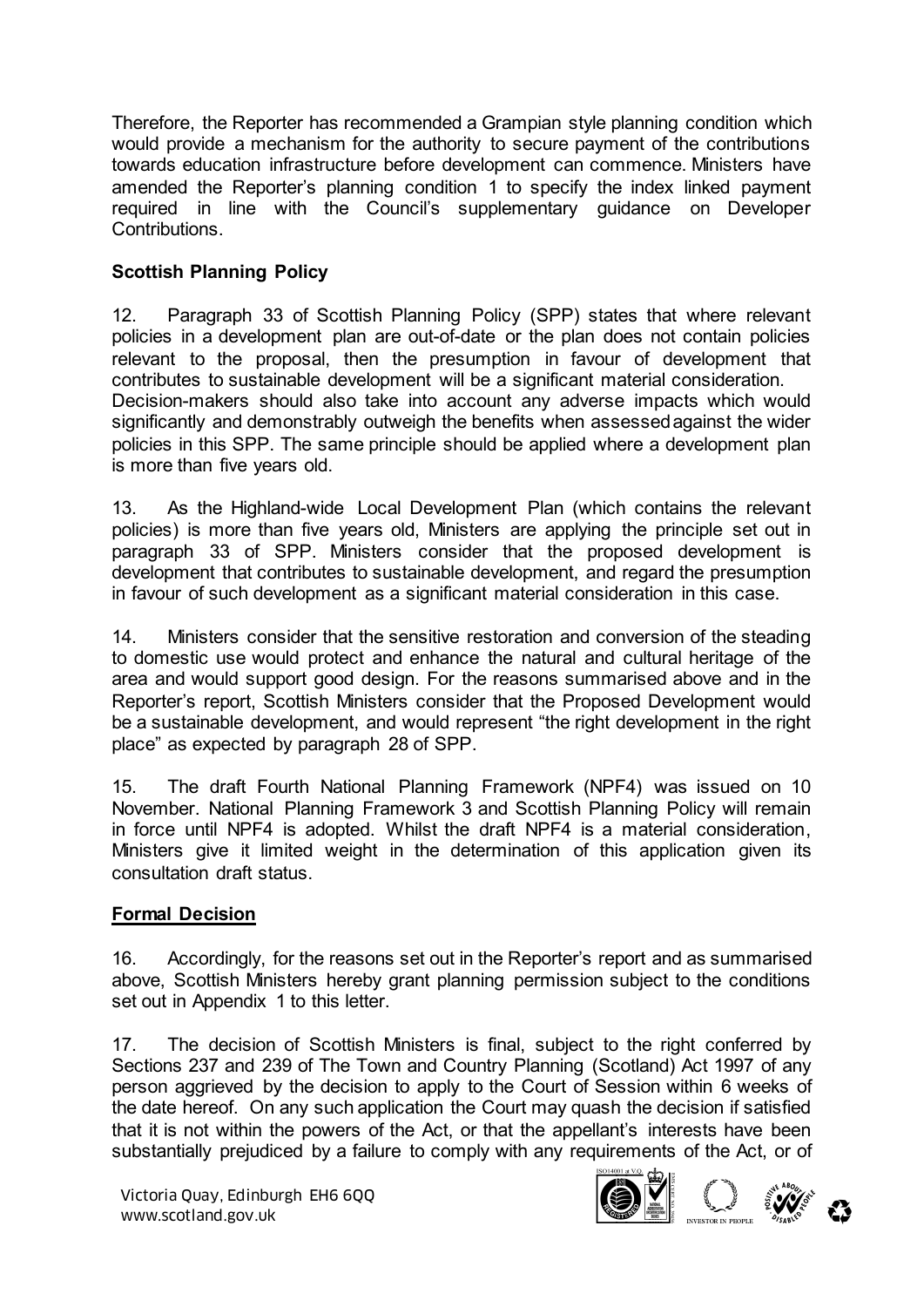Therefore, the Reporter has recommended a Grampian style planning condition which would provide a mechanism for the authority to secure payment of the contributions towards education infrastructure before development can commence. Ministers have amended the Reporter's planning condition 1 to specify the index linked payment required in line with the Council's supplementary guidance on Developer Contributions.

# **Scottish Planning Policy**

12. Paragraph 33 of Scottish Planning Policy (SPP) states that where relevant policies in a development plan are out-of-date or the plan does not contain policies relevant to the proposal, then the presumption in favour of development that contributes to sustainable development will be a significant material consideration. Decision-makers should also take into account any adverse impacts which would significantly and demonstrably outweigh the benefits when assessed against the wider policies in this SPP. The same principle should be applied where a development plan is more than five years old.

13. As the Highland-wide Local Development Plan (which contains the relevant policies) is more than five years old, Ministers are applying the principle set out in paragraph 33 of SPP. Ministers consider that the proposed development is development that contributes to sustainable development, and regard the presumption in favour of such development as a significant material consideration in this case.

14. Ministers consider that the sensitive restoration and conversion of the steading to domestic use would protect and enhance the natural and cultural heritage of the area and would support good design. For the reasons summarised above and in the Reporter's report, Scottish Ministers consider that the Proposed Development would be a sustainable development, and would represent "the right development in the right place" as expected by paragraph 28 of SPP.

15. The draft Fourth National Planning Framework (NPF4) was issued on 10 November. National Planning Framework 3 and Scottish Planning Policy will remain in force until NPF4 is adopted. Whilst the draft NPF4 is a material consideration, Ministers give it limited weight in the determination of this application given its consultation draft status.

### **Formal Decision**

16. Accordingly, for the reasons set out in the Reporter's report and as summarised above, Scottish Ministers hereby grant planning permission subject to the conditions set out in Appendix 1 to this letter.

17. The decision of Scottish Ministers is final, subject to the right conferred by Sections 237 and 239 of The Town and Country Planning (Scotland) Act 1997 of any person aggrieved by the decision to apply to the Court of Session within 6 weeks of the date hereof. On any such application the Court may quash the decision if satisfied that it is not within the powers of the Act, or that the appellant's interests have been substantially prejudiced by a failure to comply with any requirements of the Act, or of

Victoria Quay, Edinburgh EH6 6QQ Wictoria Quay, Edinburgh EH6 6QQ<br>www.scotland.gov.uk



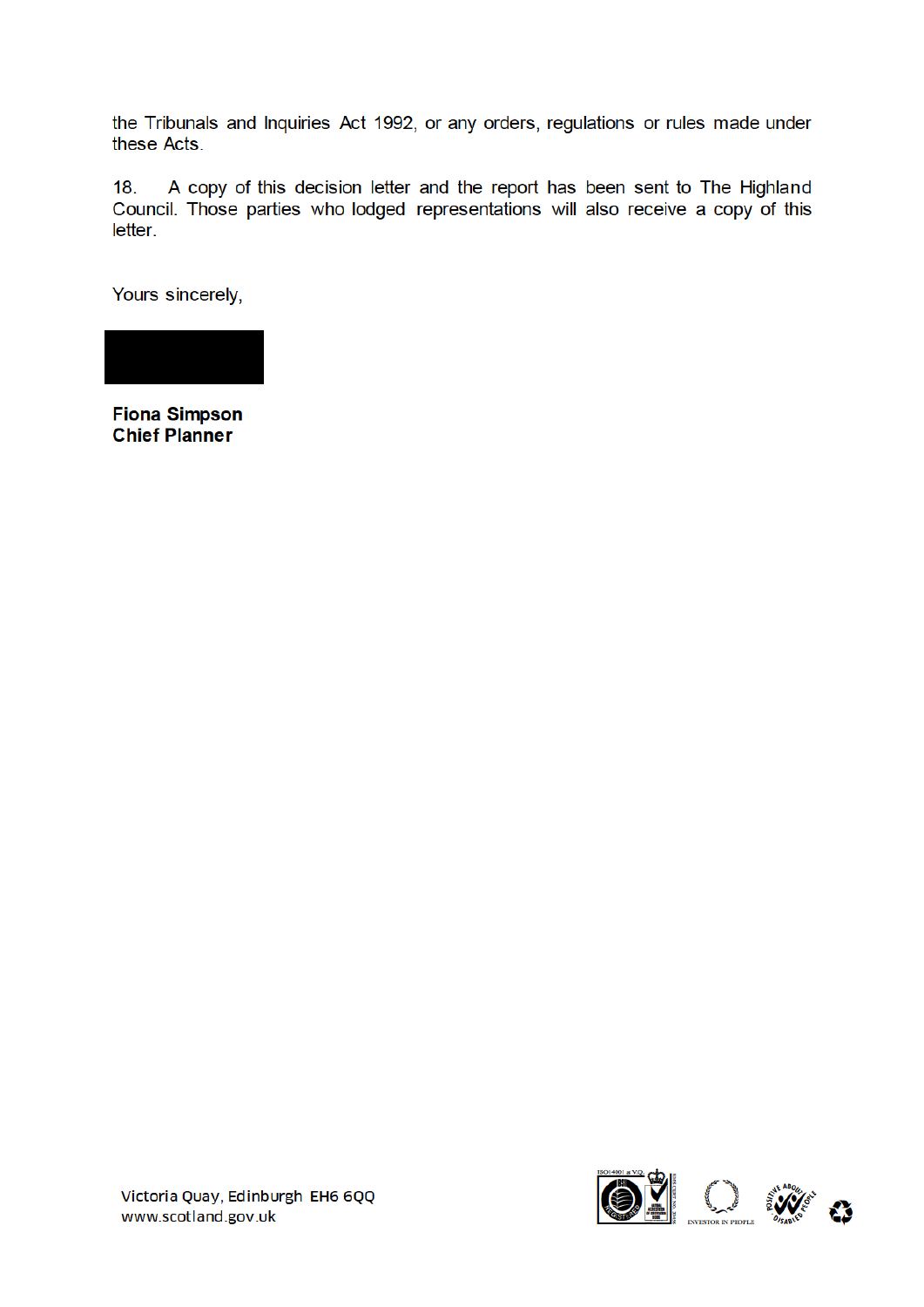the Tribunals and Inquiries Act 1992, or any orders, regulations or rules made under these Acts.

A copy of this decision letter and the report has been sent to The Highland  $18.$ Council. Those parties who lodged representations will also receive a copy of this letter.

Yours sincerely,



**Fiona Simpson Chief Planner** 

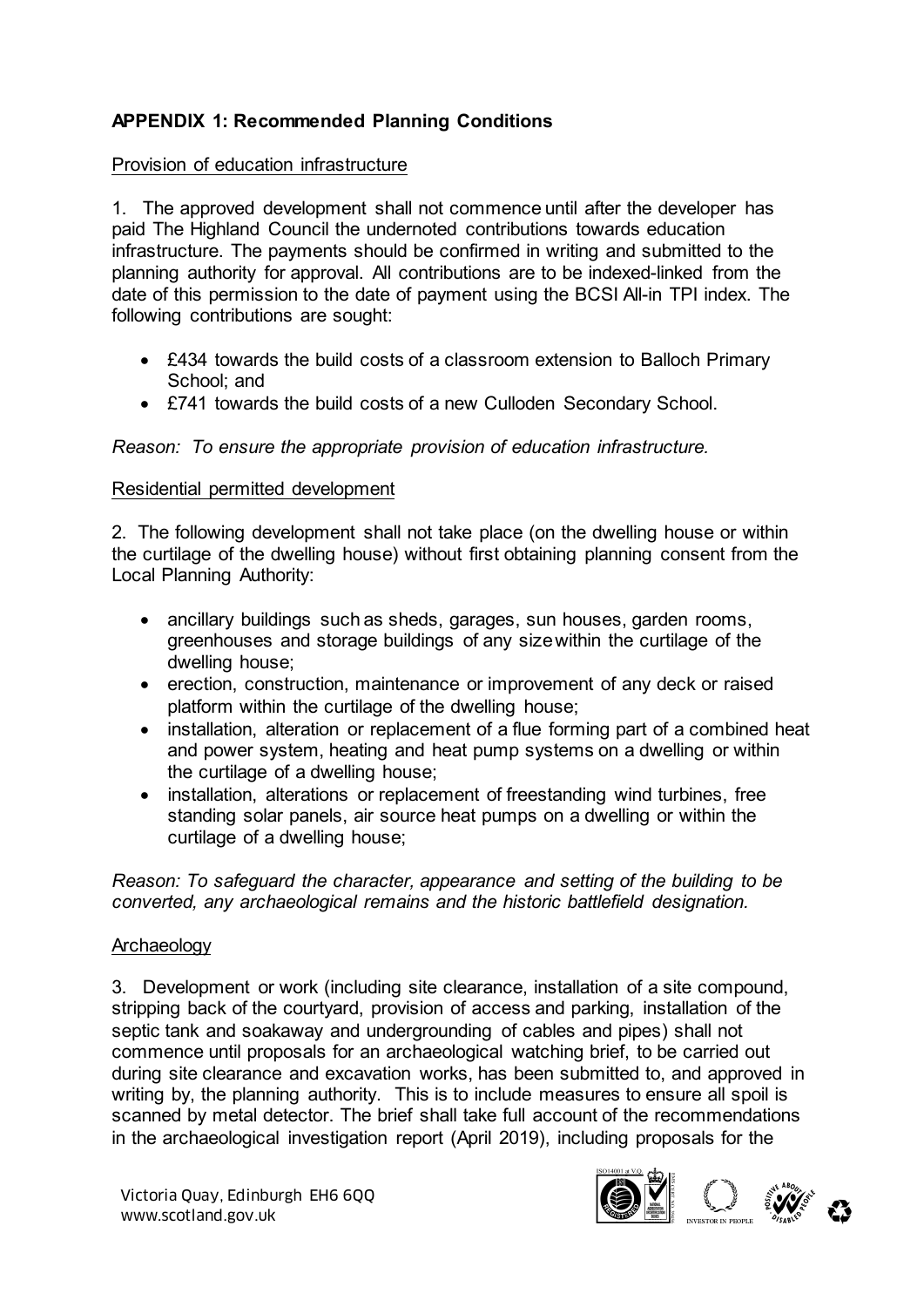# **APPENDIX 1: Recommended Planning Conditions**

#### Provision of education infrastructure

1. The approved development shall not commence until after the developer has paid The Highland Council the undernoted contributions towards education infrastructure. The payments should be confirmed in writing and submitted to the planning authority for approval. All contributions are to be indexed-linked from the date of this permission to the date of payment using the BCSI All-in TPI index. The following contributions are sought:

- £434 towards the build costs of a classroom extension to Balloch Primary School: and
- £741 towards the build costs of a new Culloden Secondary School.

#### *Reason: To ensure the appropriate provision of education infrastructure.*

#### Residential permitted development

2. The following development shall not take place (on the dwelling house or within the curtilage of the dwelling house) without first obtaining planning consent from the Local Planning Authority:

- ancillary buildings such as sheds, garages, sun houses, garden rooms, greenhouses and storage buildings of any sizewithin the curtilage of the dwelling house;
- erection, construction, maintenance or improvement of any deck or raised platform within the curtilage of the dwelling house;
- installation, alteration or replacement of a flue forming part of a combined heat and power system, heating and heat pump systems on a dwelling or within the curtilage of a dwelling house;
- installation, alterations or replacement of freestanding wind turbines, free standing solar panels, air source heat pumps on a dwelling or within the curtilage of a dwelling house;

*Reason: To safeguard the character, appearance and setting of the building to be converted, any archaeological remains and the historic battlefield designation.*

#### Archaeology

3. Development or work (including site clearance, installation of a site compound, stripping back of the courtyard, provision of access and parking, installation of the septic tank and soakaway and undergrounding of cables and pipes) shall not commence until proposals for an archaeological watching brief, to be carried out during site clearance and excavation works, has been submitted to, and approved in writing by, the planning authority. This is to include measures to ensure all spoil is scanned by metal detector. The brief shall take full account of the recommendations in the archaeological investigation report (April 2019), including proposals for the

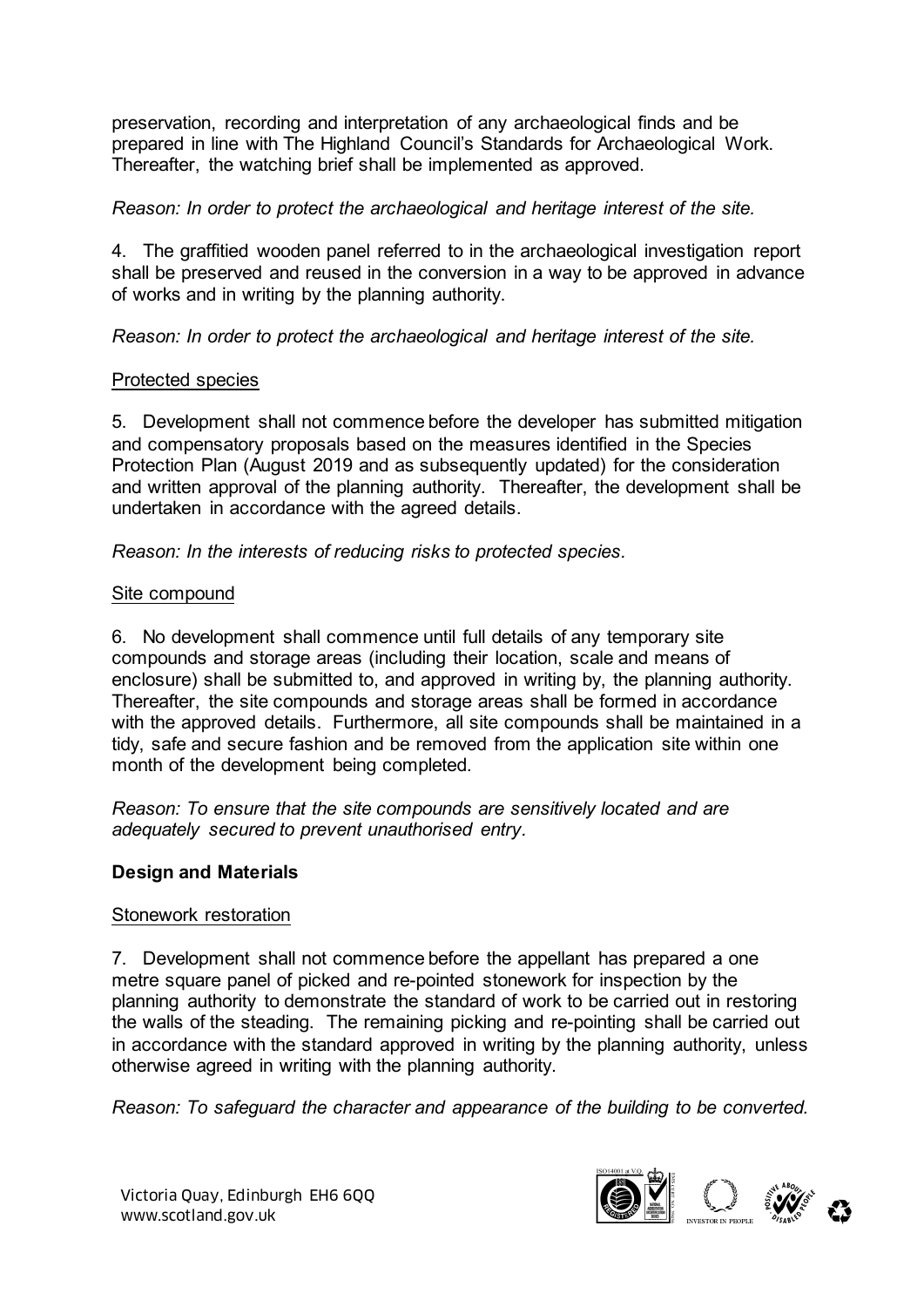preservation, recording and interpretation of any archaeological finds and be prepared in line with The Highland Council's Standards for Archaeological Work. Thereafter, the watching brief shall be implemented as approved.

#### *Reason: In order to protect the archaeological and heritage interest of the site.*

4. The graffitied wooden panel referred to in the archaeological investigation report shall be preserved and reused in the conversion in a way to be approved in advance of works and in writing by the planning authority.

*Reason: In order to protect the archaeological and heritage interest of the site.* 

#### Protected species

5. Development shall not commence before the developer has submitted mitigation and compensatory proposals based on the measures identified in the Species Protection Plan (August 2019 and as subsequently updated) for the consideration and written approval of the planning authority. Thereafter, the development shall be undertaken in accordance with the agreed details.

*Reason: In the interests of reducing risks to protected species.* 

#### Site compound

6. No development shall commence until full details of any temporary site compounds and storage areas (including their location, scale and means of enclosure) shall be submitted to, and approved in writing by, the planning authority. Thereafter, the site compounds and storage areas shall be formed in accordance with the approved details. Furthermore, all site compounds shall be maintained in a tidy, safe and secure fashion and be removed from the application site within one month of the development being completed.

*Reason: To ensure that the site compounds are sensitively located and are adequately secured to prevent unauthorised entry.* 

#### **Design and Materials**

#### Stonework restoration

7. Development shall not commence before the appellant has prepared a one metre square panel of picked and re-pointed stonework for inspection by the planning authority to demonstrate the standard of work to be carried out in restoring the walls of the steading. The remaining picking and re-pointing shall be carried out in accordance with the standard approved in writing by the planning authority, unless otherwise agreed in writing with the planning authority.

*Reason: To safeguard the character and appearance of the building to be converted.*

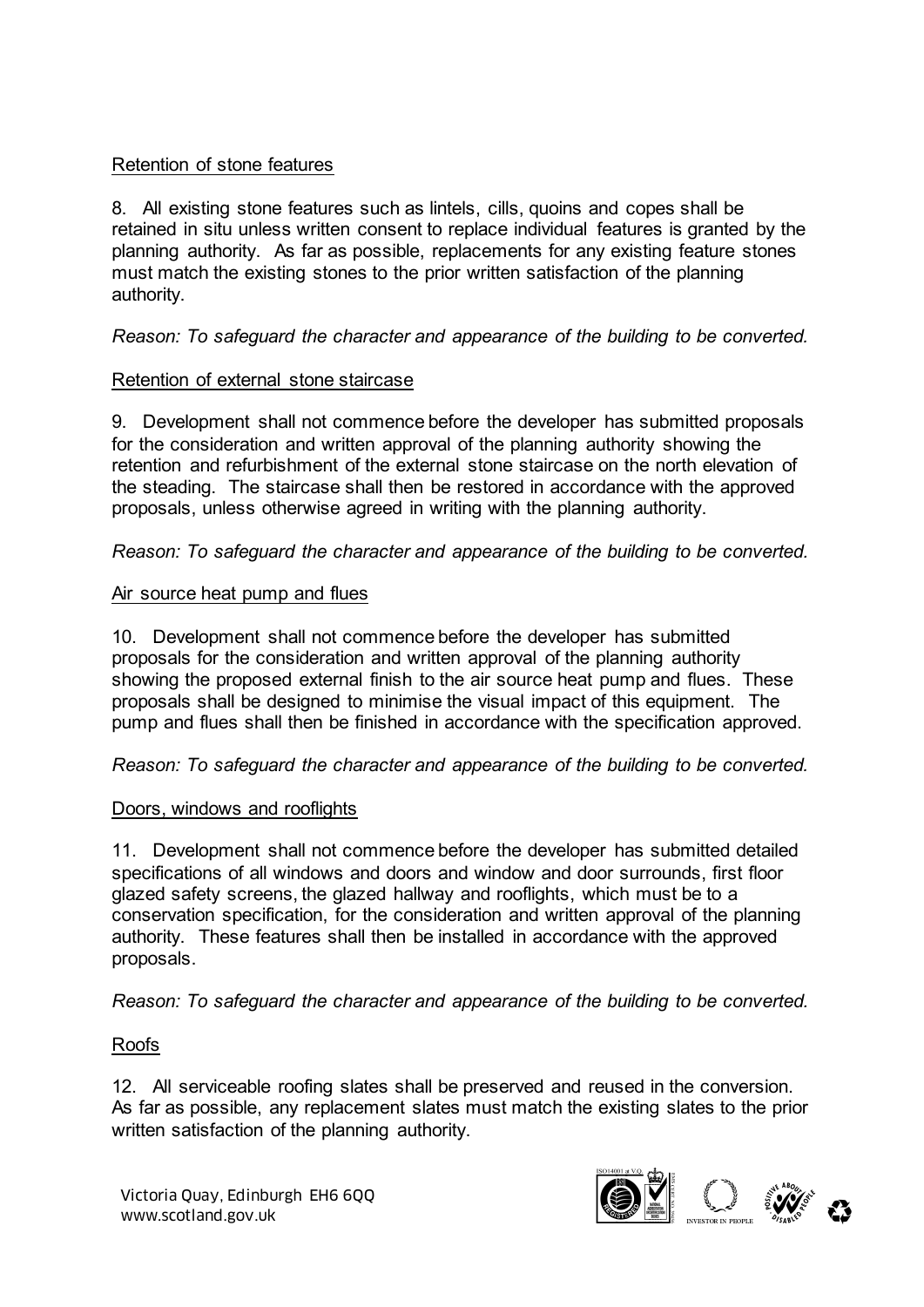# Retention of stone features

8. All existing stone features such as lintels, cills, quoins and copes shall be retained in situ unless written consent to replace individual features is granted by the planning authority. As far as possible, replacements for any existing feature stones must match the existing stones to the prior written satisfaction of the planning authority.

# *Reason: To safeguard the character and appearance of the building to be converted.*

# Retention of external stone staircase

9. Development shall not commence before the developer has submitted proposals for the consideration and written approval of the planning authority showing the retention and refurbishment of the external stone staircase on the north elevation of the steading. The staircase shall then be restored in accordance with the approved proposals, unless otherwise agreed in writing with the planning authority.

*Reason: To safeguard the character and appearance of the building to be converted.*

# Air source heat pump and flues

10. Development shall not commence before the developer has submitted proposals for the consideration and written approval of the planning authority showing the proposed external finish to the air source heat pump and flues. These proposals shall be designed to minimise the visual impact of this equipment. The pump and flues shall then be finished in accordance with the specification approved.

*Reason: To safeguard the character and appearance of the building to be converted.*

# Doors, windows and rooflights

11. Development shall not commence before the developer has submitted detailed specifications of all windows and doors and window and door surrounds, first floor glazed safety screens, the glazed hallway and rooflights, which must be to a conservation specification, for the consideration and written approval of the planning authority. These features shall then be installed in accordance with the approved proposals.

*Reason: To safeguard the character and appearance of the building to be converted.*

# Roofs

12. All serviceable roofing slates shall be preserved and reused in the conversion. As far as possible, any replacement slates must match the existing slates to the prior written satisfaction of the planning authority.

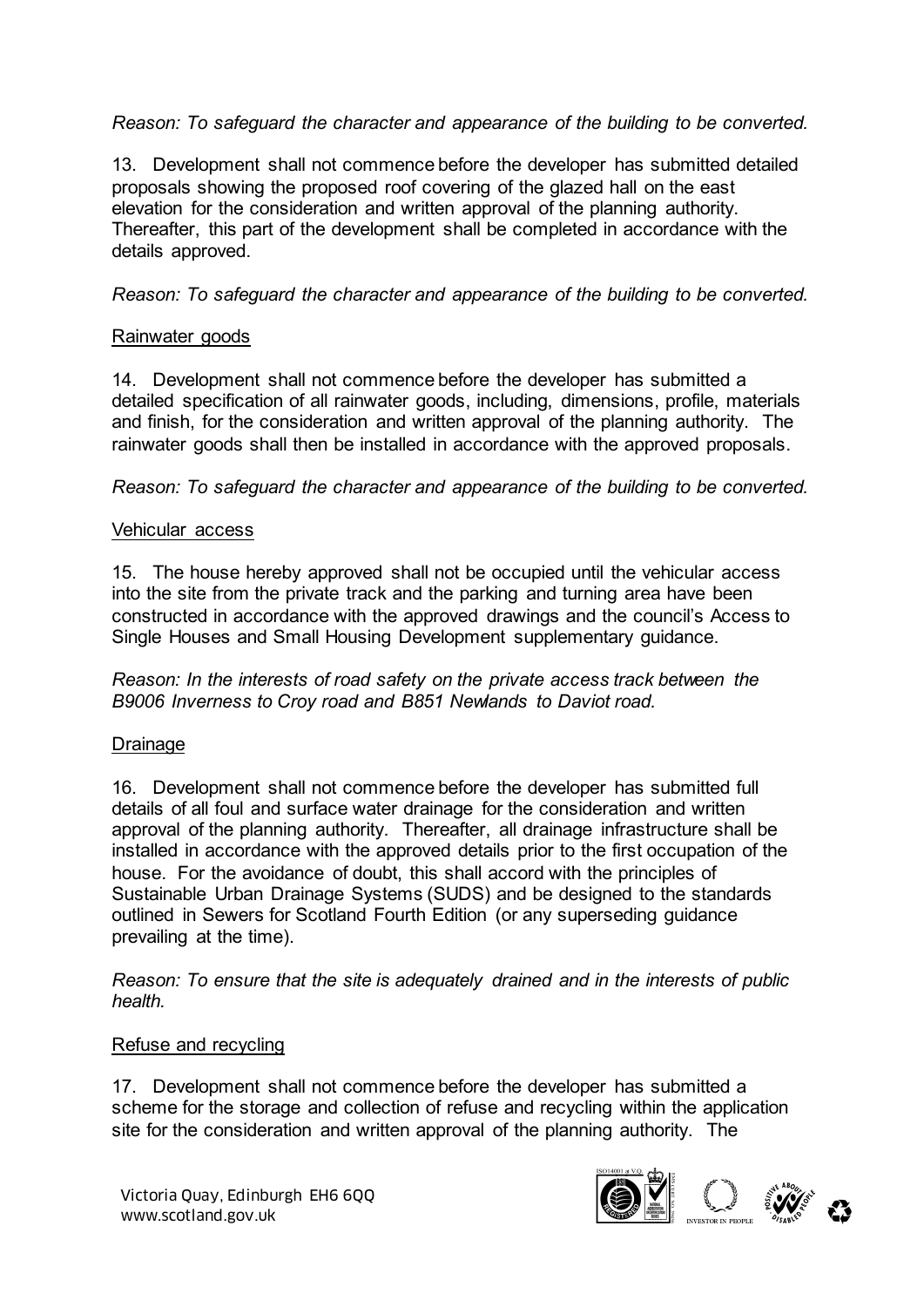# *Reason: To safeguard the character and appearance of the building to be converted.*

13. Development shall not commence before the developer has submitted detailed proposals showing the proposed roof covering of the glazed hall on the east elevation for the consideration and written approval of the planning authority. Thereafter, this part of the development shall be completed in accordance with the details approved.

# *Reason: To safeguard the character and appearance of the building to be converted.*

# Rainwater goods

14. Development shall not commence before the developer has submitted a detailed specification of all rainwater goods, including, dimensions, profile, materials and finish, for the consideration and written approval of the planning authority. The rainwater goods shall then be installed in accordance with the approved proposals.

*Reason: To safeguard the character and appearance of the building to be converted.*

### Vehicular access

15. The house hereby approved shall not be occupied until the vehicular access into the site from the private track and the parking and turning area have been constructed in accordance with the approved drawings and the council's Access to Single Houses and Small Housing Development supplementary guidance.

*Reason: In the interests of road safety on the private access track between the B9006 Inverness to Croy road and B851 Newlands to Daviot road.* 

# **Drainage**

16. Development shall not commence before the developer has submitted full details of all foul and surface water drainage for the consideration and written approval of the planning authority. Thereafter, all drainage infrastructure shall be installed in accordance with the approved details prior to the first occupation of the house. For the avoidance of doubt, this shall accord with the principles of Sustainable Urban Drainage Systems (SUDS) and be designed to the standards outlined in Sewers for Scotland Fourth Edition (or any superseding guidance prevailing at the time).

*Reason: To ensure that the site is adequately drained and in the interests of public health.* 

### Refuse and recycling

17. Development shall not commence before the developer has submitted a scheme for the storage and collection of refuse and recycling within the application site for the consideration and written approval of the planning authority. The

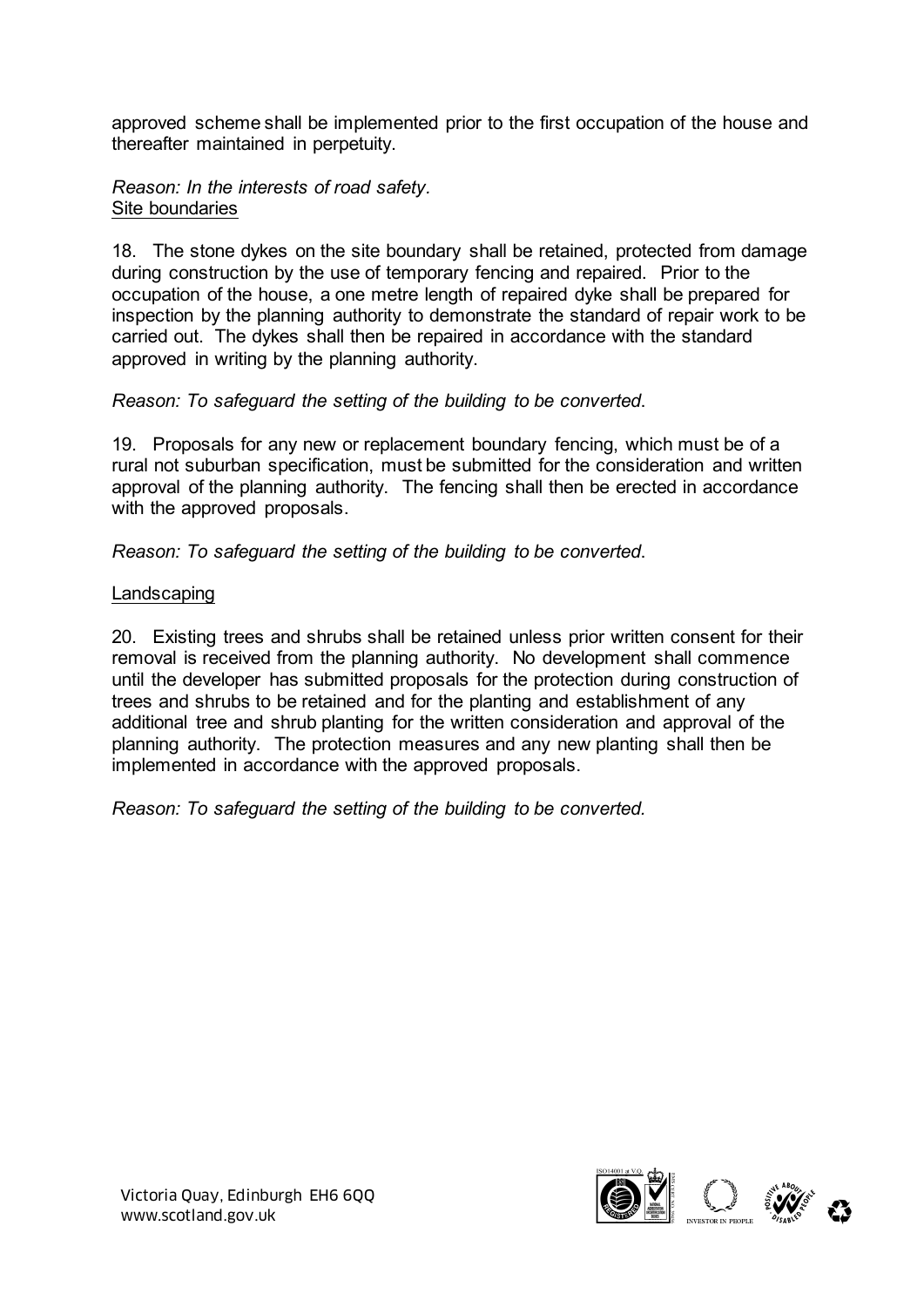approved scheme shall be implemented prior to the first occupation of the house and thereafter maintained in perpetuity.

*Reason: In the interests of road safety.*  Site boundaries

18. The stone dykes on the site boundary shall be retained, protected from damage during construction by the use of temporary fencing and repaired. Prior to the occupation of the house, a one metre length of repaired dyke shall be prepared for inspection by the planning authority to demonstrate the standard of repair work to be carried out. The dykes shall then be repaired in accordance with the standard approved in writing by the planning authority.

*Reason: To safeguard the setting of the building to be converted*.

19. Proposals for any new or replacement boundary fencing, which must be of a rural not suburban specification, must be submitted for the consideration and written approval of the planning authority. The fencing shall then be erected in accordance with the approved proposals.

*Reason: To safeguard the setting of the building to be converted*.

# Landscaping

20. Existing trees and shrubs shall be retained unless prior written consent for their removal is received from the planning authority. No development shall commence until the developer has submitted proposals for the protection during construction of trees and shrubs to be retained and for the planting and establishment of any additional tree and shrub planting for the written consideration and approval of the planning authority. The protection measures and any new planting shall then be implemented in accordance with the approved proposals.

*Reason: To safeguard the setting of the building to be converted.*

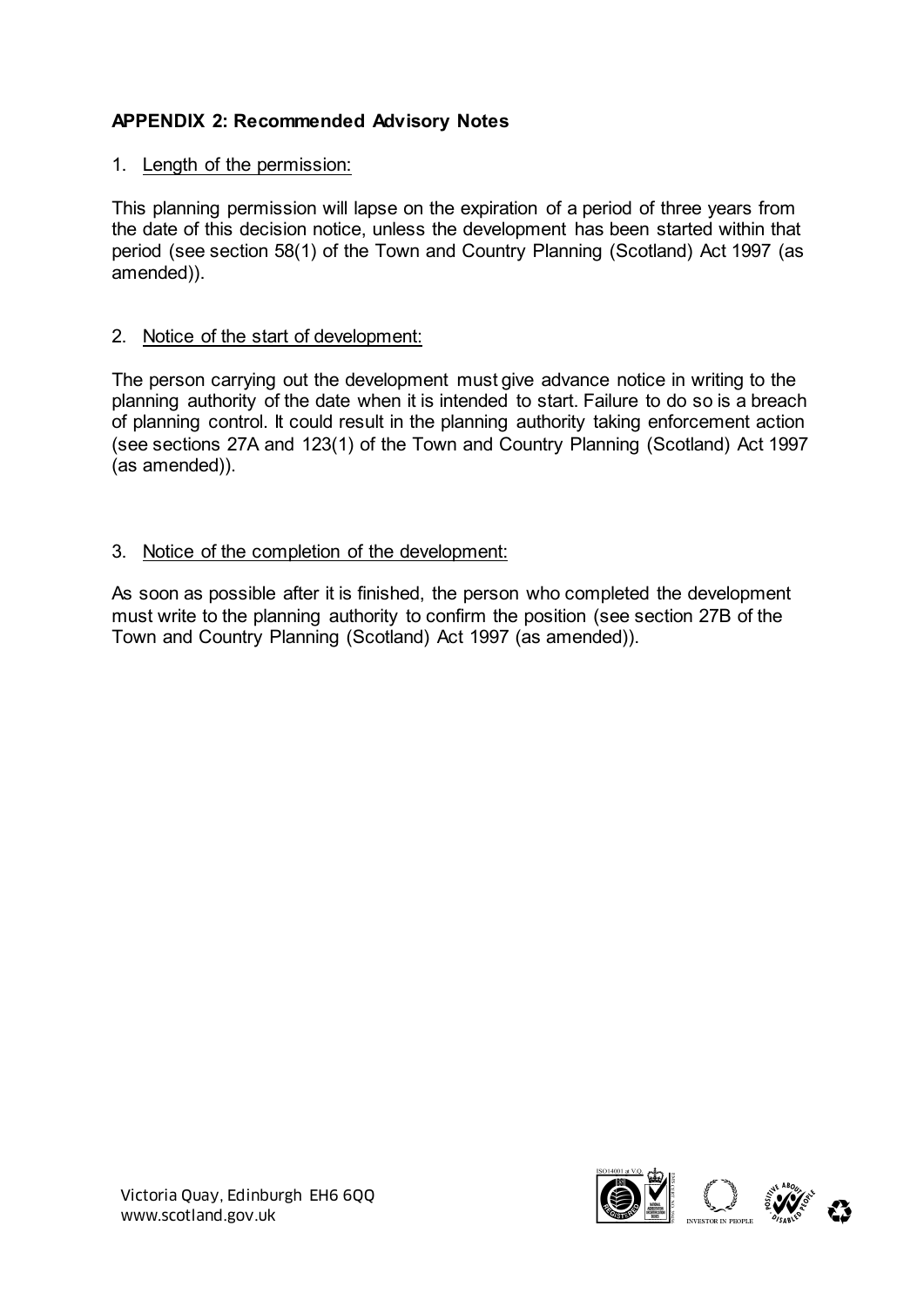# **APPENDIX 2: Recommended Advisory Notes**

### 1. Length of the permission:

This planning permission will lapse on the expiration of a period of three years from the date of this decision notice, unless the development has been started within that period (see section 58(1) of the Town and Country Planning (Scotland) Act 1997 (as amended)).

#### 2. Notice of the start of development:

The person carrying out the development must give advance notice in writing to the planning authority of the date when it is intended to start. Failure to do so is a breach of planning control. It could result in the planning authority taking enforcement action (see sections 27A and 123(1) of the Town and Country Planning (Scotland) Act 1997 (as amended)).

### 3. Notice of the completion of the development:

As soon as possible after it is finished, the person who completed the development must write to the planning authority to confirm the position (see section 27B of the Town and Country Planning (Scotland) Act 1997 (as amended)).

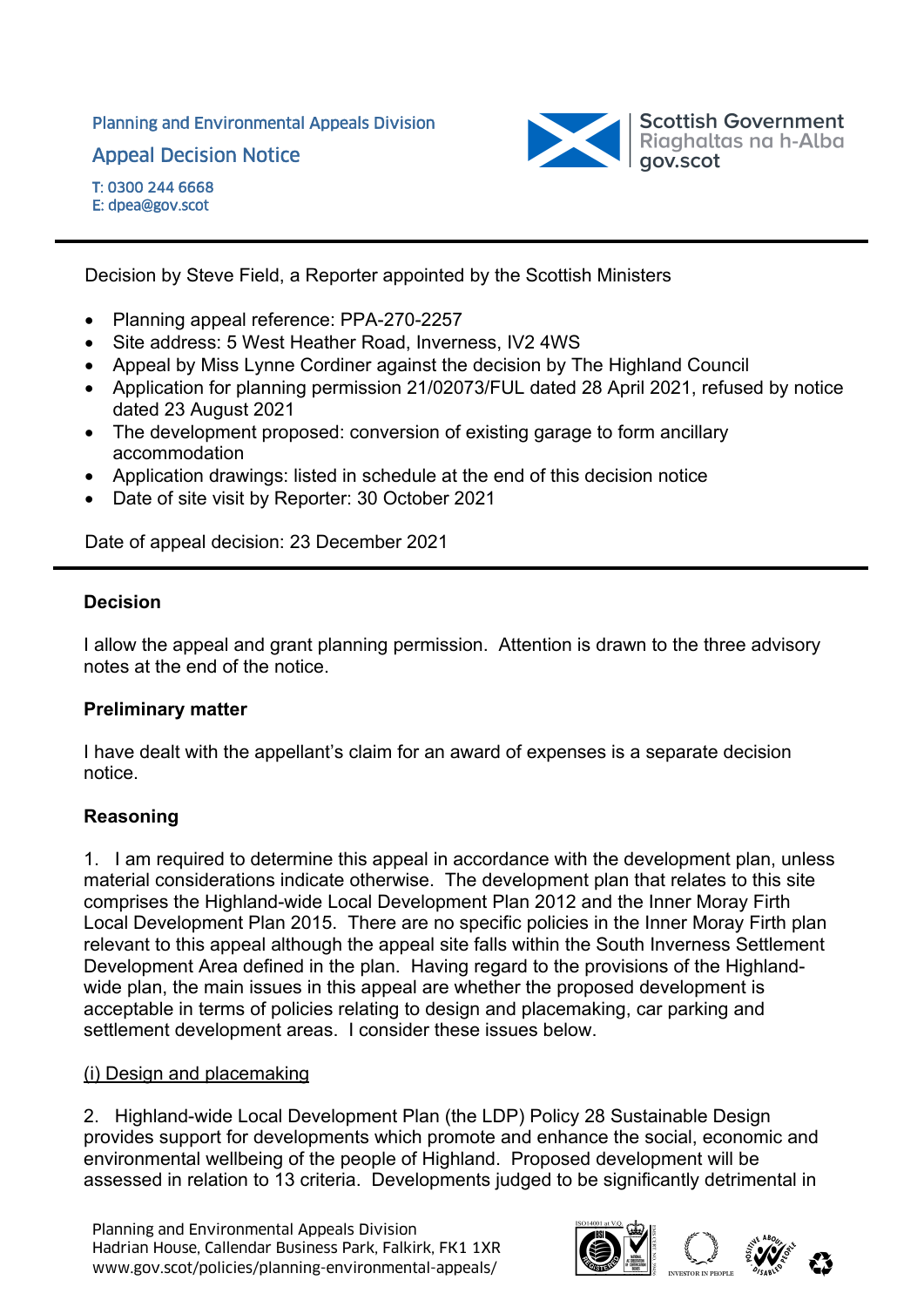Planning and Environmental Appeals Division

Appeal Decision Notice



Decision by Steve Field, a Reporter appointed by the Scottish Ministers

- Planning appeal reference: PPA-270-2257
- Site address: 5 West Heather Road, Inverness, IV2 4WS
- Appeal by Miss Lynne Cordiner against the decision by The Highland Council
- Application for planning permission 21/02073/FUL dated 28 April 2021, refused by notice dated 23 August 2021
- The development proposed: conversion of existing garage to form ancillary accommodation
- Application drawings: listed in schedule at the end of this decision notice
- Date of site visit by Reporter: 30 October 2021

Date of appeal decision: 23 December 2021

# **Decision**

I allow the appeal and grant planning permission. Attention is drawn to the three advisory notes at the end of the notice.

# **Preliminary matter**

I have dealt with the appellant's claim for an award of expenses is a separate decision notice.

# **Reasoning**

1. I am required to determine this appeal in accordance with the development plan, unless material considerations indicate otherwise. The development plan that relates to this site comprises the Highland-wide Local Development Plan 2012 and the Inner Moray Firth Local Development Plan 2015. There are no specific policies in the Inner Moray Firth plan relevant to this appeal although the appeal site falls within the South Inverness Settlement Development Area defined in the plan. Having regard to the provisions of the Highlandwide plan, the main issues in this appeal are whether the proposed development is acceptable in terms of policies relating to design and placemaking, car parking and settlement development areas. I consider these issues below.

### (i) Design and placemaking

2. Highland-wide Local Development Plan (the LDP) Policy 28 Sustainable Design provides support for developments which promote and enhance the social, economic and environmental wellbeing of the people of Highland. Proposed development will be assessed in relation to 13 criteria. Developments judged to be significantly detrimental in

Planning and Environmental Appeals Division Hadrian House, Callendar Business Park, Falkirk, FK1 1XR Planning and Environmental Appeals Division<br>Hadrian House, Callendar Business Park, Falkirk, FK1 1XR<br>www.gov.scot/policies/planning-environmental-appeals/ abcorded about a correct about a correct about a correct

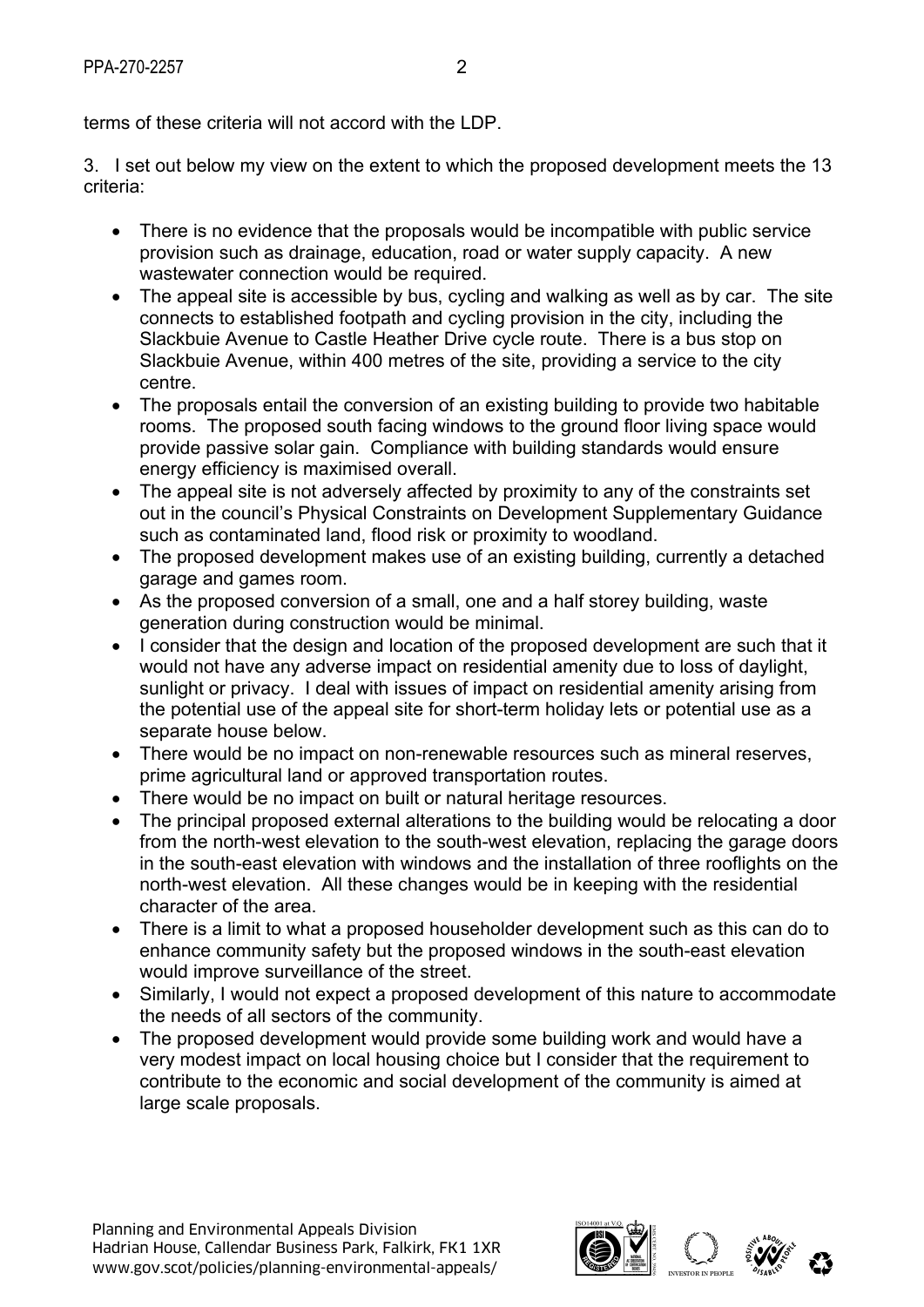terms of these criteria will not accord with the LDP.

3. I set out below my view on the extent to which the proposed development meets the 13 criteria:

- There is no evidence that the proposals would be incompatible with public service provision such as drainage, education, road or water supply capacity. A new wastewater connection would be required.
- The appeal site is accessible by bus, cycling and walking as well as by car. The site connects to established footpath and cycling provision in the city, including the Slackbuie Avenue to Castle Heather Drive cycle route. There is a bus stop on Slackbuie Avenue, within 400 metres of the site, providing a service to the city centre.
- The proposals entail the conversion of an existing building to provide two habitable rooms. The proposed south facing windows to the ground floor living space would provide passive solar gain. Compliance with building standards would ensure energy efficiency is maximised overall.
- The appeal site is not adversely affected by proximity to any of the constraints set out in the council's Physical Constraints on Development Supplementary Guidance such as contaminated land, flood risk or proximity to woodland.
- The proposed development makes use of an existing building, currently a detached garage and games room.
- As the proposed conversion of a small, one and a half storey building, waste generation during construction would be minimal.
- I consider that the design and location of the proposed development are such that it would not have any adverse impact on residential amenity due to loss of daylight, sunlight or privacy. I deal with issues of impact on residential amenity arising from the potential use of the appeal site for short-term holiday lets or potential use as a separate house below.
- There would be no impact on non-renewable resources such as mineral reserves, prime agricultural land or approved transportation routes.
- There would be no impact on built or natural heritage resources.
- The principal proposed external alterations to the building would be relocating a door from the north-west elevation to the south-west elevation, replacing the garage doors in the south-east elevation with windows and the installation of three rooflights on the north-west elevation. All these changes would be in keeping with the residential character of the area.
- There is a limit to what a proposed householder development such as this can do to enhance community safety but the proposed windows in the south-east elevation would improve surveillance of the street.
- Similarly, I would not expect a proposed development of this nature to accommodate the needs of all sectors of the community.
- The proposed development would provide some building work and would have a very modest impact on local housing choice but I consider that the requirement to contribute to the economic and social development of the community is aimed at large scale proposals.

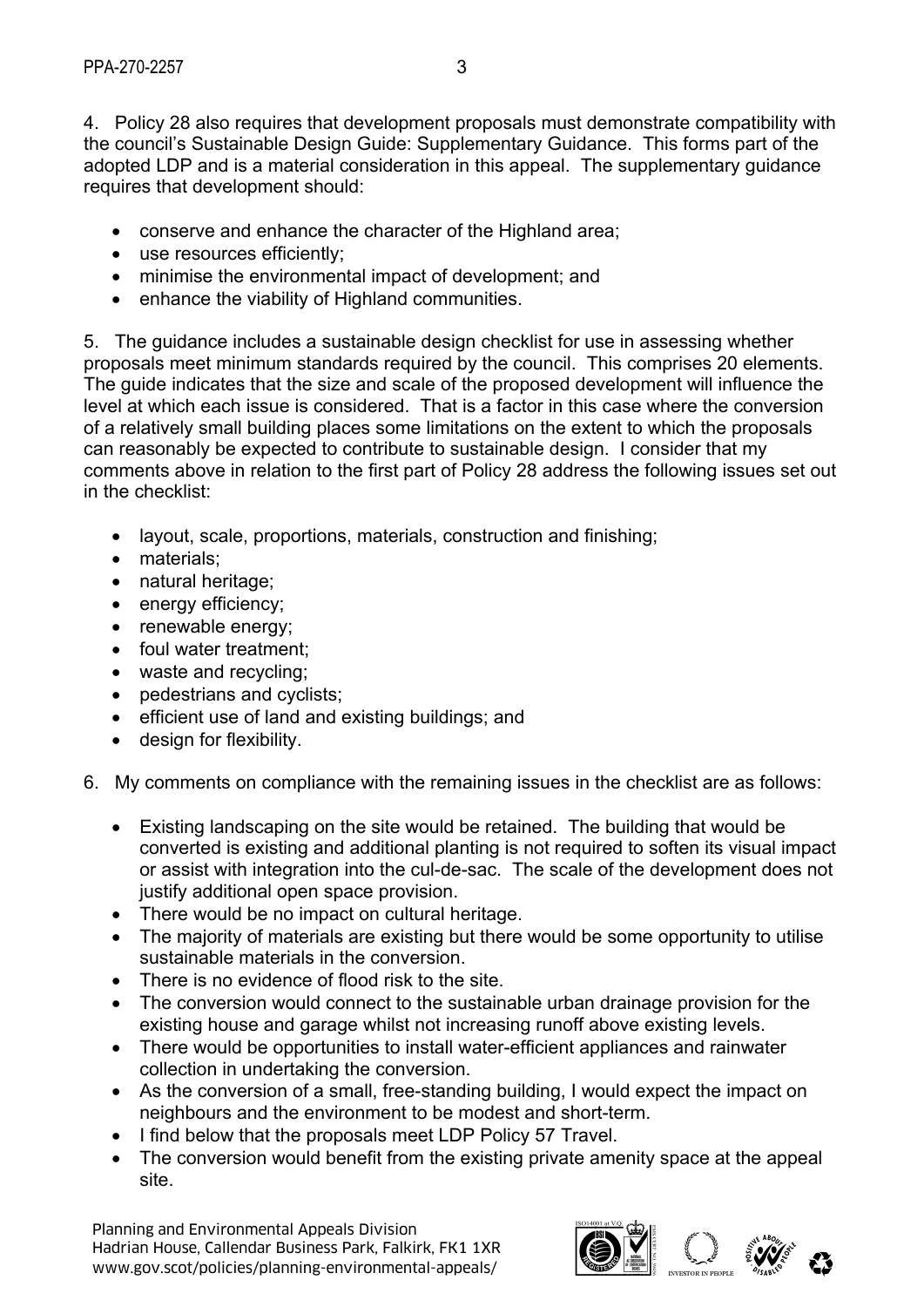4. Policy 28 also requires that development proposals must demonstrate compatibility with the council's Sustainable Design Guide: Supplementary Guidance. This forms part of the adopted LDP and is a material consideration in this appeal. The supplementary guidance requires that development should:

- conserve and enhance the character of the Highland area;
- use resources efficiently;
- minimise the environmental impact of development; and
- enhance the viability of Highland communities.

5. The guidance includes a sustainable design checklist for use in assessing whether proposals meet minimum standards required by the council. This comprises 20 elements. The guide indicates that the size and scale of the proposed development will influence the level at which each issue is considered. That is a factor in this case where the conversion of a relatively small building places some limitations on the extent to which the proposals can reasonably be expected to contribute to sustainable design. I consider that my comments above in relation to the first part of Policy 28 address the following issues set out in the checklist:

- layout, scale, proportions, materials, construction and finishing;
- materials:
- natural heritage;
- energy efficiency:
- renewable energy;
- foul water treatment:
- waste and recycling;
- pedestrians and cyclists;
- efficient use of land and existing buildings; and
- design for flexibility.
- 6. My comments on compliance with the remaining issues in the checklist are as follows:
	- Existing landscaping on the site would be retained. The building that would be converted is existing and additional planting is not required to soften its visual impact or assist with integration into the cul-de-sac. The scale of the development does not justify additional open space provision.
	- There would be no impact on cultural heritage.
	- The majority of materials are existing but there would be some opportunity to utilise sustainable materials in the conversion.
	- There is no evidence of flood risk to the site.
	- The conversion would connect to the sustainable urban drainage provision for the existing house and garage whilst not increasing runoff above existing levels.
	- There would be opportunities to install water-efficient appliances and rainwater collection in undertaking the conversion.
	- As the conversion of a small, free-standing building, I would expect the impact on neighbours and the environment to be modest and short-term.
	- I find below that the proposals meet LDP Policy 57 Travel.
	- The conversion would benefit from the existing private amenity space at the appeal site.

Planning and Environmental Appeals Division Hadrian House, Callendar Business Park, Falkirk, FK1 1XR Planning and Environmental Appeals Division<br>Hadrian House, Callendar Business Park, Falkirk, FK1 1XR<br>www.gov.scot/policies/planning-environmental-appeals/ abcorded about a correct about a correct about a correct

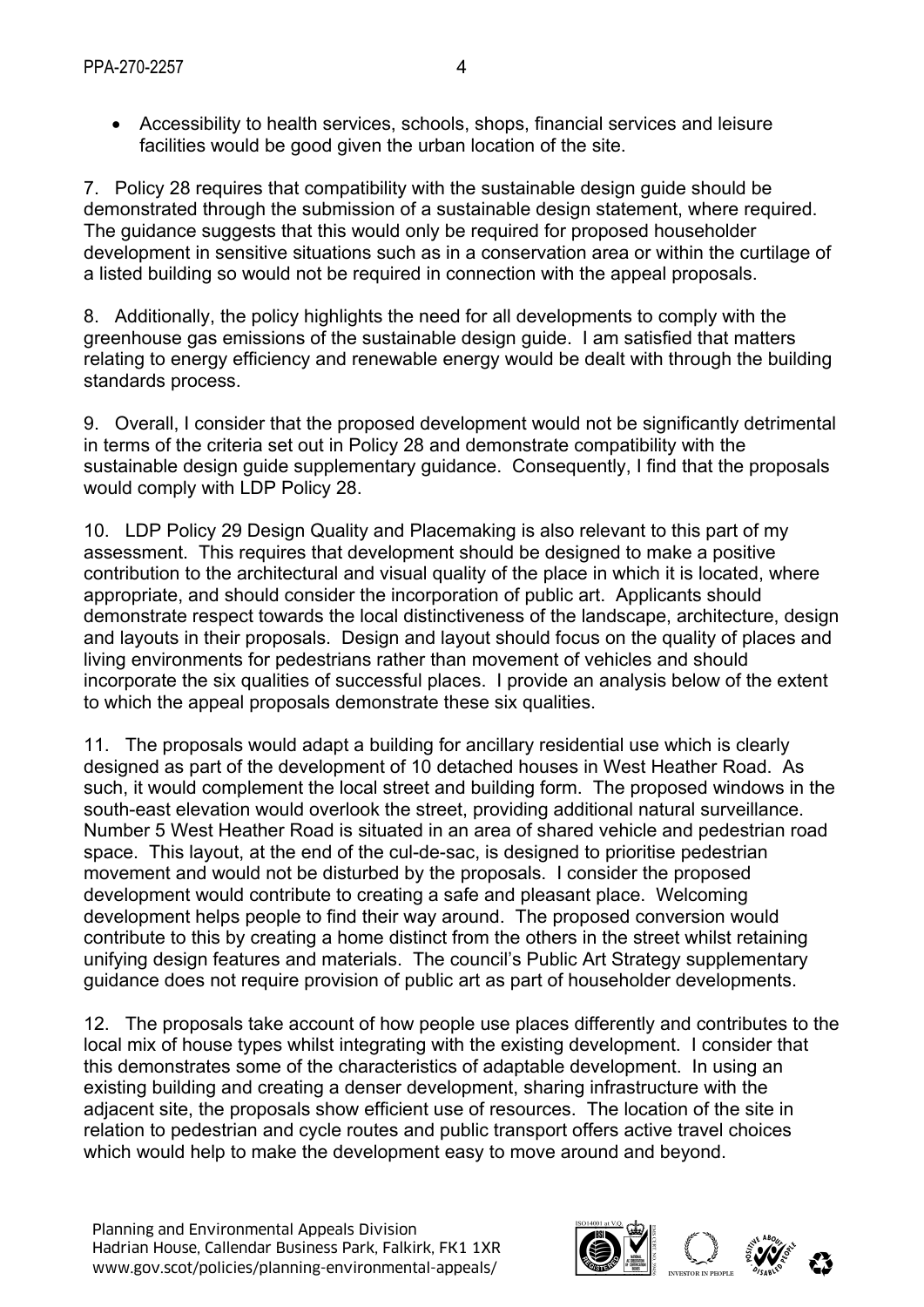Accessibility to health services, schools, shops, financial services and leisure facilities would be good given the urban location of the site.

7. Policy 28 requires that compatibility with the sustainable design guide should be demonstrated through the submission of a sustainable design statement, where required. The guidance suggests that this would only be required for proposed householder development in sensitive situations such as in a conservation area or within the curtilage of a listed building so would not be required in connection with the appeal proposals.

8. Additionally, the policy highlights the need for all developments to comply with the greenhouse gas emissions of the sustainable design guide. I am satisfied that matters relating to energy efficiency and renewable energy would be dealt with through the building standards process.

9. Overall, I consider that the proposed development would not be significantly detrimental in terms of the criteria set out in Policy 28 and demonstrate compatibility with the sustainable design guide supplementary guidance. Consequently, I find that the proposals would comply with LDP Policy 28.

10. LDP Policy 29 Design Quality and Placemaking is also relevant to this part of my assessment. This requires that development should be designed to make a positive contribution to the architectural and visual quality of the place in which it is located, where appropriate, and should consider the incorporation of public art. Applicants should demonstrate respect towards the local distinctiveness of the landscape, architecture, design and layouts in their proposals. Design and layout should focus on the quality of places and living environments for pedestrians rather than movement of vehicles and should incorporate the six qualities of successful places. I provide an analysis below of the extent to which the appeal proposals demonstrate these six qualities.

11. The proposals would adapt a building for ancillary residential use which is clearly designed as part of the development of 10 detached houses in West Heather Road. As such, it would complement the local street and building form. The proposed windows in the south-east elevation would overlook the street, providing additional natural surveillance. Number 5 West Heather Road is situated in an area of shared vehicle and pedestrian road space. This layout, at the end of the cul-de-sac, is designed to prioritise pedestrian movement and would not be disturbed by the proposals. I consider the proposed development would contribute to creating a safe and pleasant place. Welcoming development helps people to find their way around. The proposed conversion would contribute to this by creating a home distinct from the others in the street whilst retaining unifying design features and materials. The council's Public Art Strategy supplementary guidance does not require provision of public art as part of householder developments.

12. The proposals take account of how people use places differently and contributes to the local mix of house types whilst integrating with the existing development. I consider that this demonstrates some of the characteristics of adaptable development. In using an existing building and creating a denser development, sharing infrastructure with the adjacent site, the proposals show efficient use of resources. The location of the site in relation to pedestrian and cycle routes and public transport offers active travel choices which would help to make the development easy to move around and beyond.

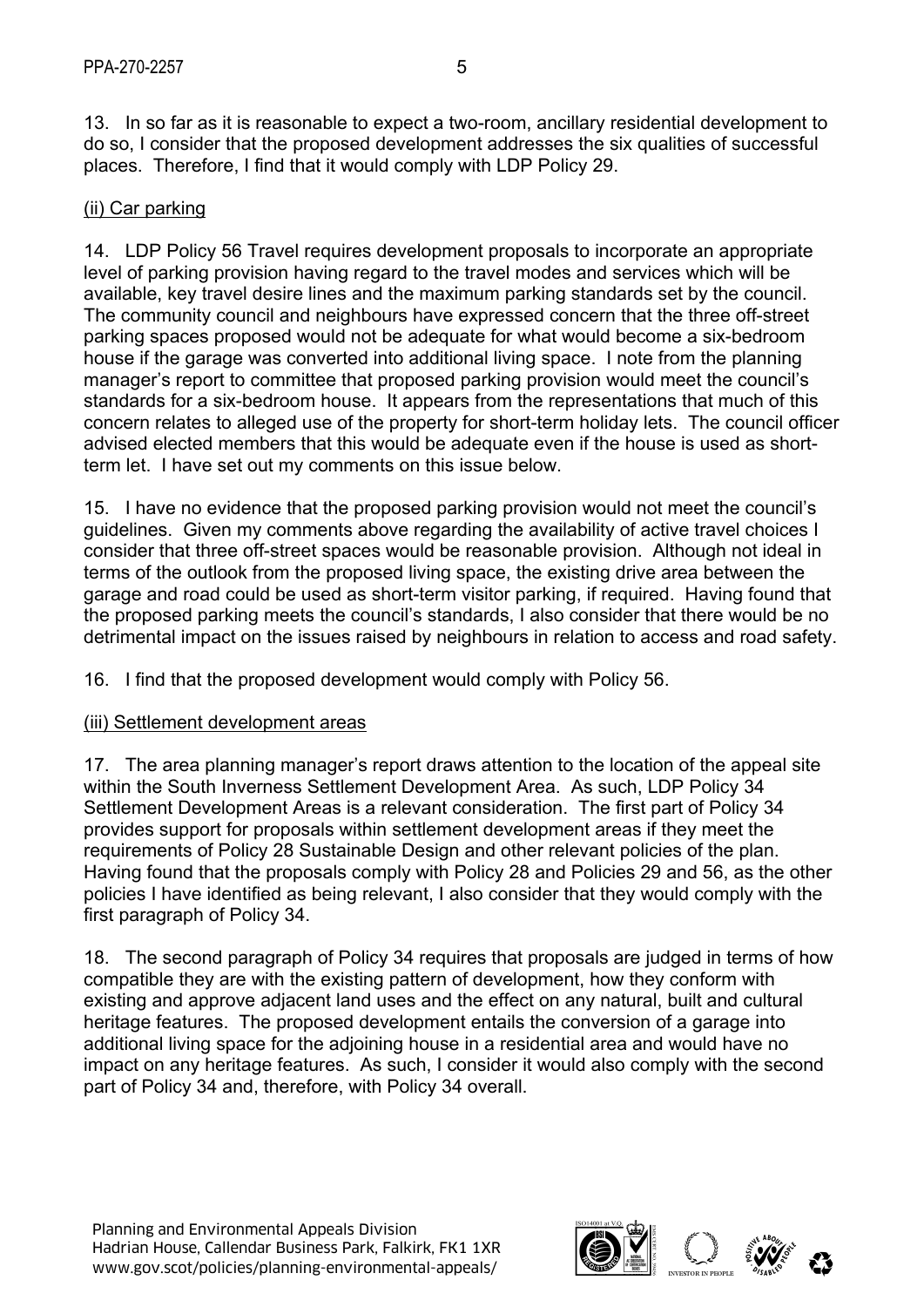13. In so far as it is reasonable to expect a two-room, ancillary residential development to do so, I consider that the proposed development addresses the six qualities of successful places. Therefore, I find that it would comply with LDP Policy 29.

# (ii) Car parking

14. LDP Policy 56 Travel requires development proposals to incorporate an appropriate level of parking provision having regard to the travel modes and services which will be available, key travel desire lines and the maximum parking standards set by the council. The community council and neighbours have expressed concern that the three off-street parking spaces proposed would not be adequate for what would become a six-bedroom house if the garage was converted into additional living space. I note from the planning manager's report to committee that proposed parking provision would meet the council's standards for a six-bedroom house. It appears from the representations that much of this concern relates to alleged use of the property for short-term holiday lets. The council officer advised elected members that this would be adequate even if the house is used as shortterm let. I have set out my comments on this issue below.

15. I have no evidence that the proposed parking provision would not meet the council's guidelines. Given my comments above regarding the availability of active travel choices I consider that three off-street spaces would be reasonable provision. Although not ideal in terms of the outlook from the proposed living space, the existing drive area between the garage and road could be used as short-term visitor parking, if required. Having found that the proposed parking meets the council's standards, I also consider that there would be no detrimental impact on the issues raised by neighbours in relation to access and road safety.

16. I find that the proposed development would comply with Policy 56.

### (iii) Settlement development areas

17. The area planning manager's report draws attention to the location of the appeal site within the South Inverness Settlement Development Area. As such, LDP Policy 34 Settlement Development Areas is a relevant consideration. The first part of Policy 34 provides support for proposals within settlement development areas if they meet the requirements of Policy 28 Sustainable Design and other relevant policies of the plan. Having found that the proposals comply with Policy 28 and Policies 29 and 56, as the other policies I have identified as being relevant, I also consider that they would comply with the first paragraph of Policy 34.

18. The second paragraph of Policy 34 requires that proposals are judged in terms of how compatible they are with the existing pattern of development, how they conform with existing and approve adjacent land uses and the effect on any natural, built and cultural heritage features. The proposed development entails the conversion of a garage into additional living space for the adjoining house in a residential area and would have no impact on any heritage features. As such, I consider it would also comply with the second part of Policy 34 and, therefore, with Policy 34 overall.

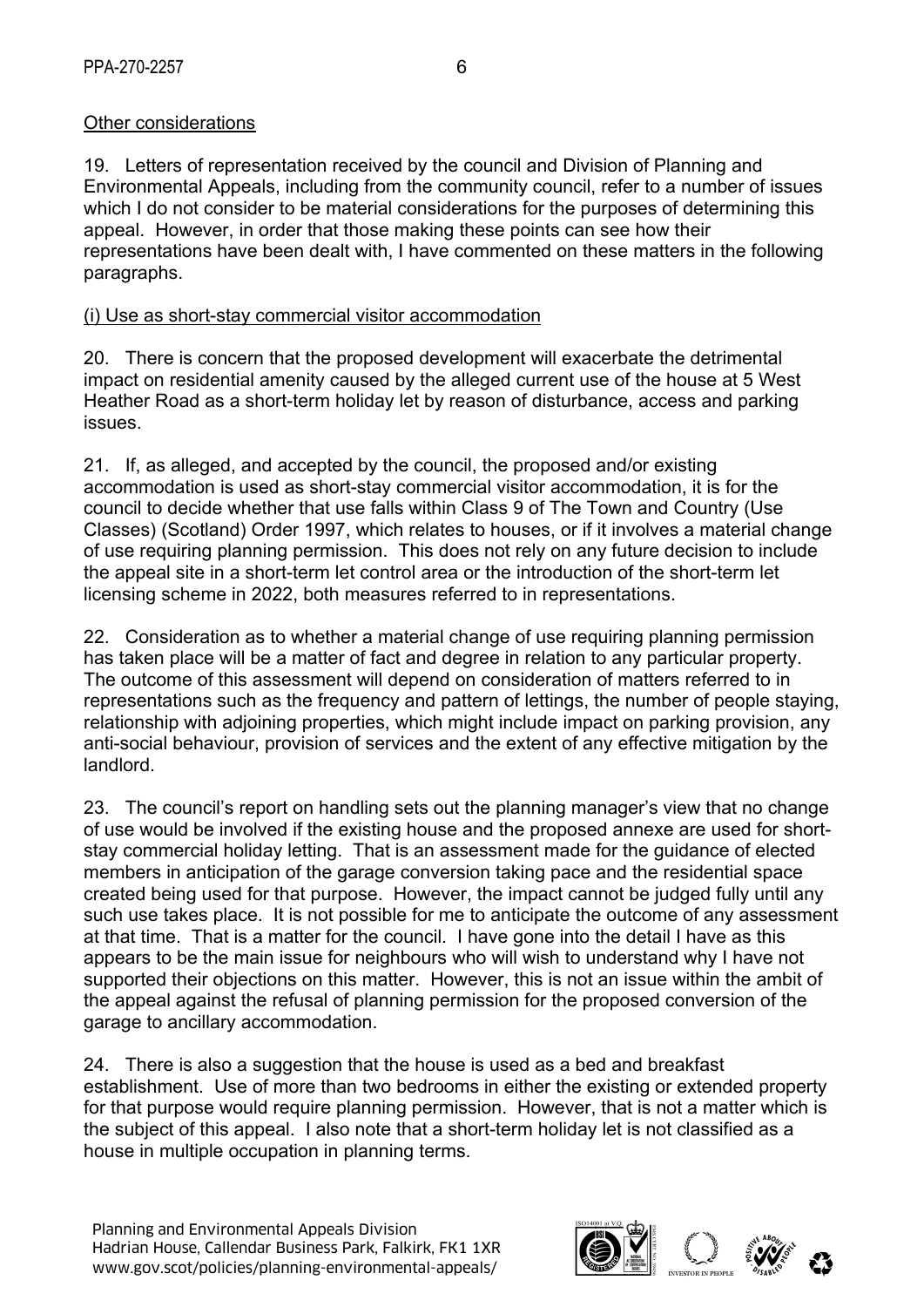# Other considerations

19. Letters of representation received by the council and Division of Planning and Environmental Appeals, including from the community council, refer to a number of issues which I do not consider to be material considerations for the purposes of determining this appeal. However, in order that those making these points can see how their representations have been dealt with, I have commented on these matters in the following paragraphs.

### (i) Use as short-stay commercial visitor accommodation

20. There is concern that the proposed development will exacerbate the detrimental impact on residential amenity caused by the alleged current use of the house at 5 West Heather Road as a short-term holiday let by reason of disturbance, access and parking issues.

21. If, as alleged, and accepted by the council, the proposed and/or existing accommodation is used as short-stay commercial visitor accommodation, it is for the council to decide whether that use falls within Class 9 of The Town and Country (Use Classes) (Scotland) Order 1997, which relates to houses, or if it involves a material change of use requiring planning permission. This does not rely on any future decision to include the appeal site in a short-term let control area or the introduction of the short-term let licensing scheme in 2022, both measures referred to in representations.

22. Consideration as to whether a material change of use requiring planning permission has taken place will be a matter of fact and degree in relation to any particular property. The outcome of this assessment will depend on consideration of matters referred to in representations such as the frequency and pattern of lettings, the number of people staying, relationship with adjoining properties, which might include impact on parking provision, any anti-social behaviour, provision of services and the extent of any effective mitigation by the landlord.

23. The council's report on handling sets out the planning manager's view that no change of use would be involved if the existing house and the proposed annexe are used for shortstay commercial holiday letting. That is an assessment made for the guidance of elected members in anticipation of the garage conversion taking pace and the residential space created being used for that purpose. However, the impact cannot be judged fully until any such use takes place. It is not possible for me to anticipate the outcome of any assessment at that time. That is a matter for the council. I have gone into the detail I have as this appears to be the main issue for neighbours who will wish to understand why I have not supported their objections on this matter. However, this is not an issue within the ambit of the appeal against the refusal of planning permission for the proposed conversion of the garage to ancillary accommodation.

24. There is also a suggestion that the house is used as a bed and breakfast establishment. Use of more than two bedrooms in either the existing or extended property for that purpose would require planning permission. However, that is not a matter which is the subject of this appeal. I also note that a short-term holiday let is not classified as a house in multiple occupation in planning terms.

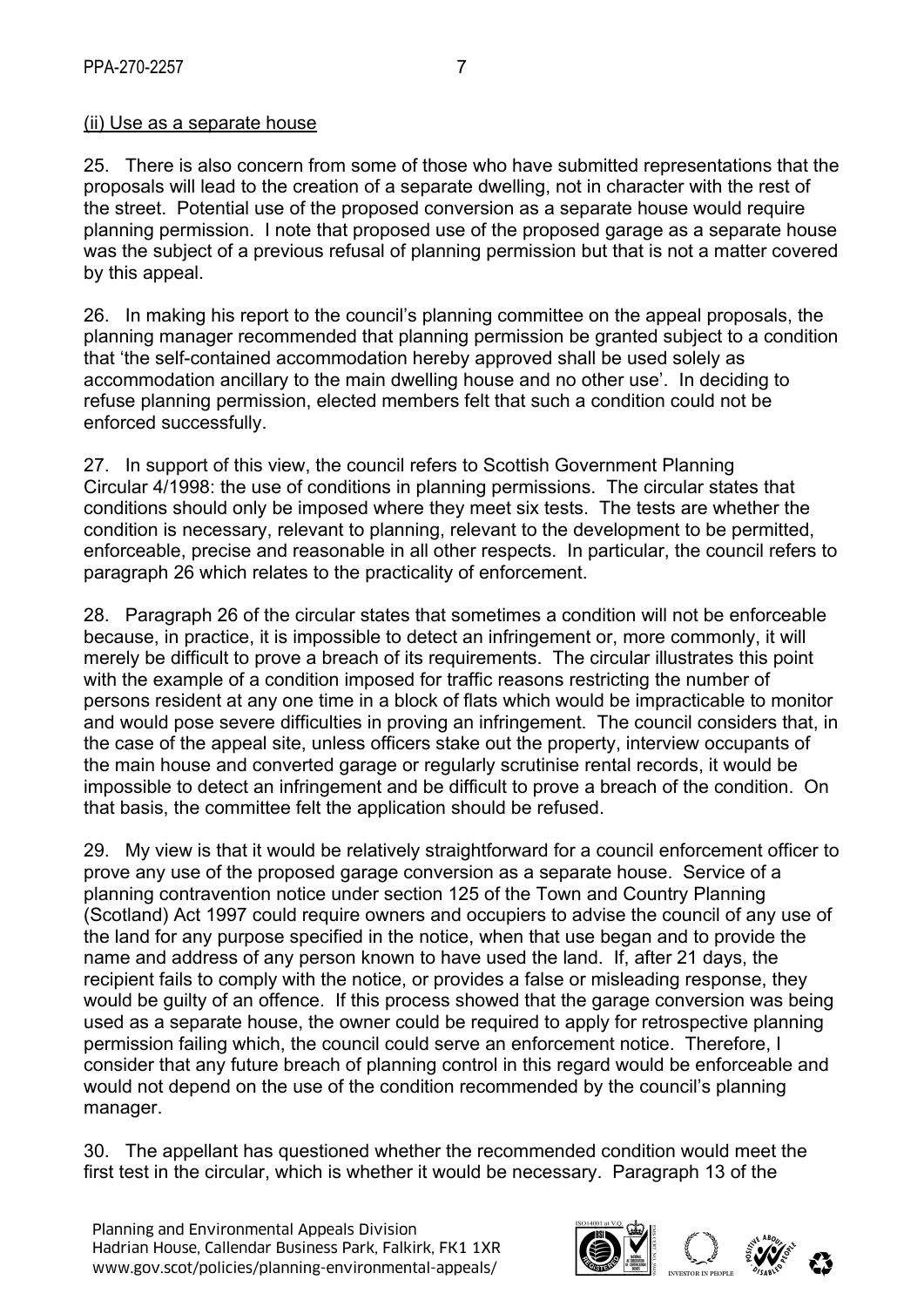#### (ii) Use as a separate house

25. There is also concern from some of those who have submitted representations that the proposals will lead to the creation of a separate dwelling, not in character with the rest of the street. Potential use of the proposed conversion as a separate house would require planning permission. I note that proposed use of the proposed garage as a separate house was the subject of a previous refusal of planning permission but that is not a matter covered by this appeal.

26. In making his report to the council's planning committee on the appeal proposals, the planning manager recommended that planning permission be granted subject to a condition that 'the self-contained accommodation hereby approved shall be used solely as accommodation ancillary to the main dwelling house and no other use'. In deciding to refuse planning permission, elected members felt that such a condition could not be enforced successfully.

27. In support of this view, the council refers to Scottish Government Planning Circular 4/1998: the use of conditions in planning permissions. The circular states that conditions should only be imposed where they meet six tests. The tests are whether the condition is necessary, relevant to planning, relevant to the development to be permitted, enforceable, precise and reasonable in all other respects. In particular, the council refers to paragraph 26 which relates to the practicality of enforcement.

28. Paragraph 26 of the circular states that sometimes a condition will not be enforceable because, in practice, it is impossible to detect an infringement or, more commonly, it will merely be difficult to prove a breach of its requirements. The circular illustrates this point with the example of a condition imposed for traffic reasons restricting the number of persons resident at any one time in a block of flats which would be impracticable to monitor and would pose severe difficulties in proving an infringement. The council considers that, in the case of the appeal site, unless officers stake out the property, interview occupants of the main house and converted garage or regularly scrutinise rental records, it would be impossible to detect an infringement and be difficult to prove a breach of the condition. On that basis, the committee felt the application should be refused.

29. My view is that it would be relatively straightforward for a council enforcement officer to prove any use of the proposed garage conversion as a separate house. Service of a planning contravention notice under section 125 of the Town and Country Planning (Scotland) Act 1997 could require owners and occupiers to advise the council of any use of the land for any purpose specified in the notice, when that use began and to provide the name and address of any person known to have used the land. If, after 21 days, the recipient fails to comply with the notice, or provides a false or misleading response, they would be guilty of an offence. If this process showed that the garage conversion was being used as a separate house, the owner could be required to apply for retrospective planning permission failing which, the council could serve an enforcement notice. Therefore, I consider that any future breach of planning control in this regard would be enforceable and would not depend on the use of the condition recommended by the council's planning manager.

30. The appellant has questioned whether the recommended condition would meet the first test in the circular, which is whether it would be necessary. Paragraph 13 of the

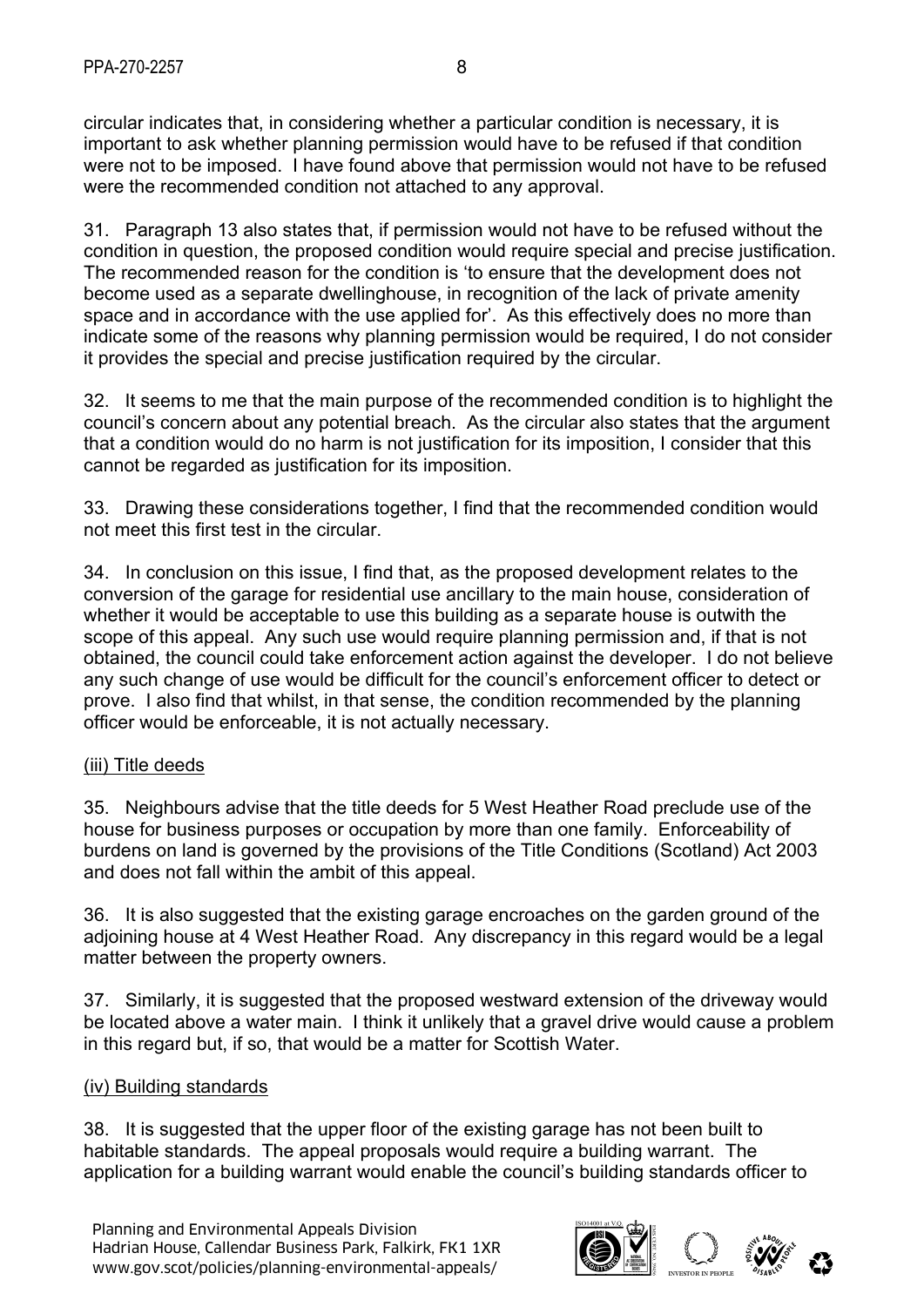circular indicates that, in considering whether a particular condition is necessary, it is important to ask whether planning permission would have to be refused if that condition were not to be imposed. I have found above that permission would not have to be refused were the recommended condition not attached to any approval.

31. Paragraph 13 also states that, if permission would not have to be refused without the condition in question, the proposed condition would require special and precise justification. The recommended reason for the condition is 'to ensure that the development does not become used as a separate dwellinghouse, in recognition of the lack of private amenity space and in accordance with the use applied for'. As this effectively does no more than indicate some of the reasons why planning permission would be required, I do not consider it provides the special and precise justification required by the circular.

32. It seems to me that the main purpose of the recommended condition is to highlight the council's concern about any potential breach. As the circular also states that the argument that a condition would do no harm is not justification for its imposition, I consider that this cannot be regarded as justification for its imposition.

33. Drawing these considerations together, I find that the recommended condition would not meet this first test in the circular.

34. In conclusion on this issue, I find that, as the proposed development relates to the conversion of the garage for residential use ancillary to the main house, consideration of whether it would be acceptable to use this building as a separate house is outwith the scope of this appeal. Any such use would require planning permission and, if that is not obtained, the council could take enforcement action against the developer. I do not believe any such change of use would be difficult for the council's enforcement officer to detect or prove. I also find that whilst, in that sense, the condition recommended by the planning officer would be enforceable, it is not actually necessary.

### (iii) Title deeds

35. Neighbours advise that the title deeds for 5 West Heather Road preclude use of the house for business purposes or occupation by more than one family. Enforceability of burdens on land is governed by the provisions of the Title Conditions (Scotland) Act 2003 and does not fall within the ambit of this appeal.

36. It is also suggested that the existing garage encroaches on the garden ground of the adjoining house at 4 West Heather Road. Any discrepancy in this regard would be a legal matter between the property owners.

37. Similarly, it is suggested that the proposed westward extension of the driveway would be located above a water main. I think it unlikely that a gravel drive would cause a problem in this regard but, if so, that would be a matter for Scottish Water.

#### (iv) Building standards

38. It is suggested that the upper floor of the existing garage has not been built to habitable standards. The appeal proposals would require a building warrant. The application for a building warrant would enable the council's building standards officer to

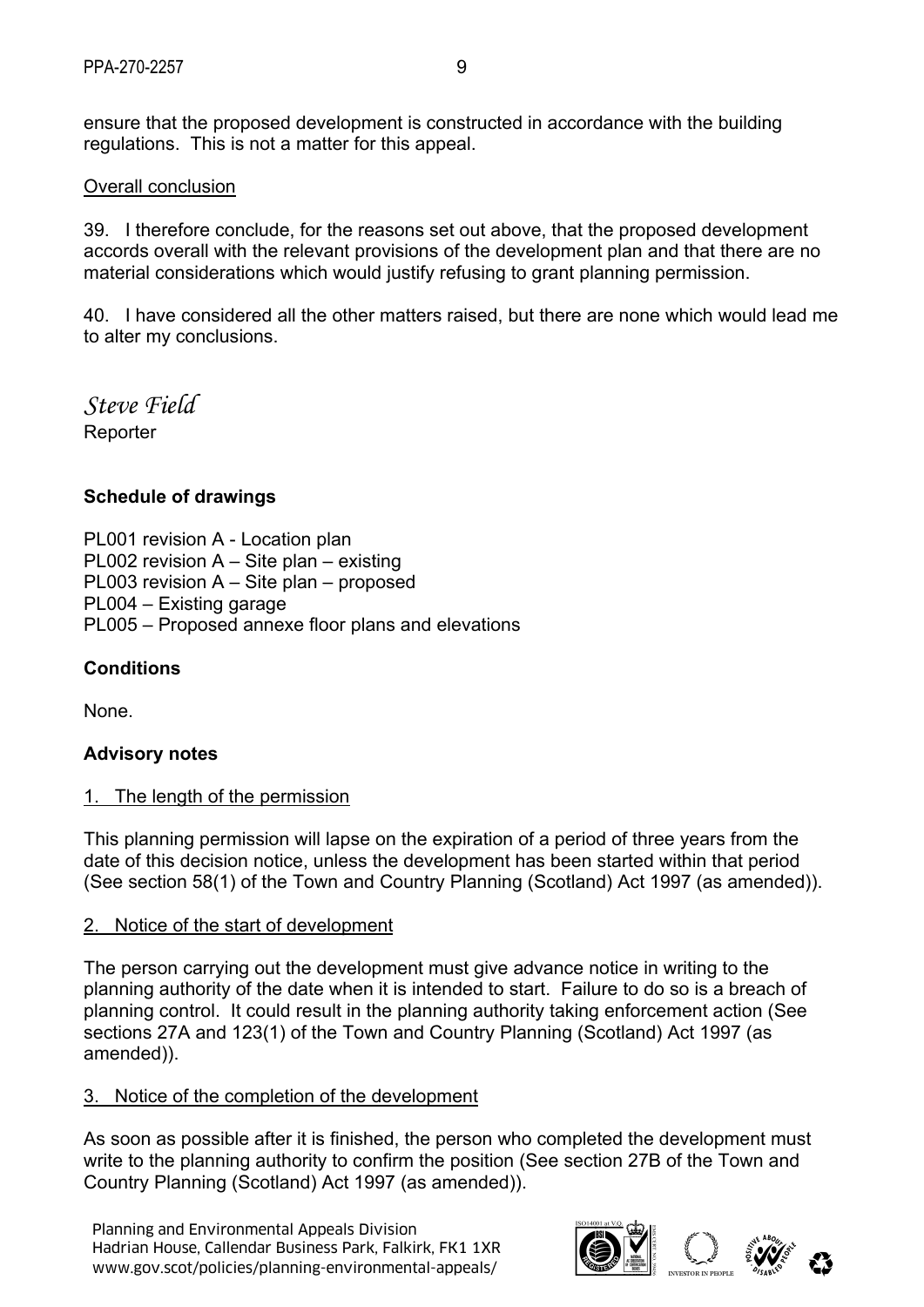ensure that the proposed development is constructed in accordance with the building regulations. This is not a matter for this appeal.

#### Overall conclusion

39. I therefore conclude, for the reasons set out above, that the proposed development accords overall with the relevant provisions of the development plan and that there are no material considerations which would justify refusing to grant planning permission.

40. I have considered all the other matters raised, but there are none which would lead me to alter my conclusions.

*Steve Field*  Reporter

### **Schedule of drawings**

PL001 revision A - Location plan PL002 revision A – Site plan – existing PL003 revision A – Site plan – proposed PL004 – Existing garage PL005 – Proposed annexe floor plans and elevations

### **Conditions**

None.

### **Advisory notes**

### 1. The length of the permission

This planning permission will lapse on the expiration of a period of three years from the date of this decision notice, unless the development has been started within that period (See section 58(1) of the Town and Country Planning (Scotland) Act 1997 (as amended)).

### 2. Notice of the start of development

The person carrying out the development must give advance notice in writing to the planning authority of the date when it is intended to start. Failure to do so is a breach of planning control. It could result in the planning authority taking enforcement action (See sections 27A and 123(1) of the Town and Country Planning (Scotland) Act 1997 (as amended)).

#### 3. Notice of the completion of the development

As soon as possible after it is finished, the person who completed the development must write to the planning authority to confirm the position (See section 27B of the Town and Country Planning (Scotland) Act 1997 (as amended)).

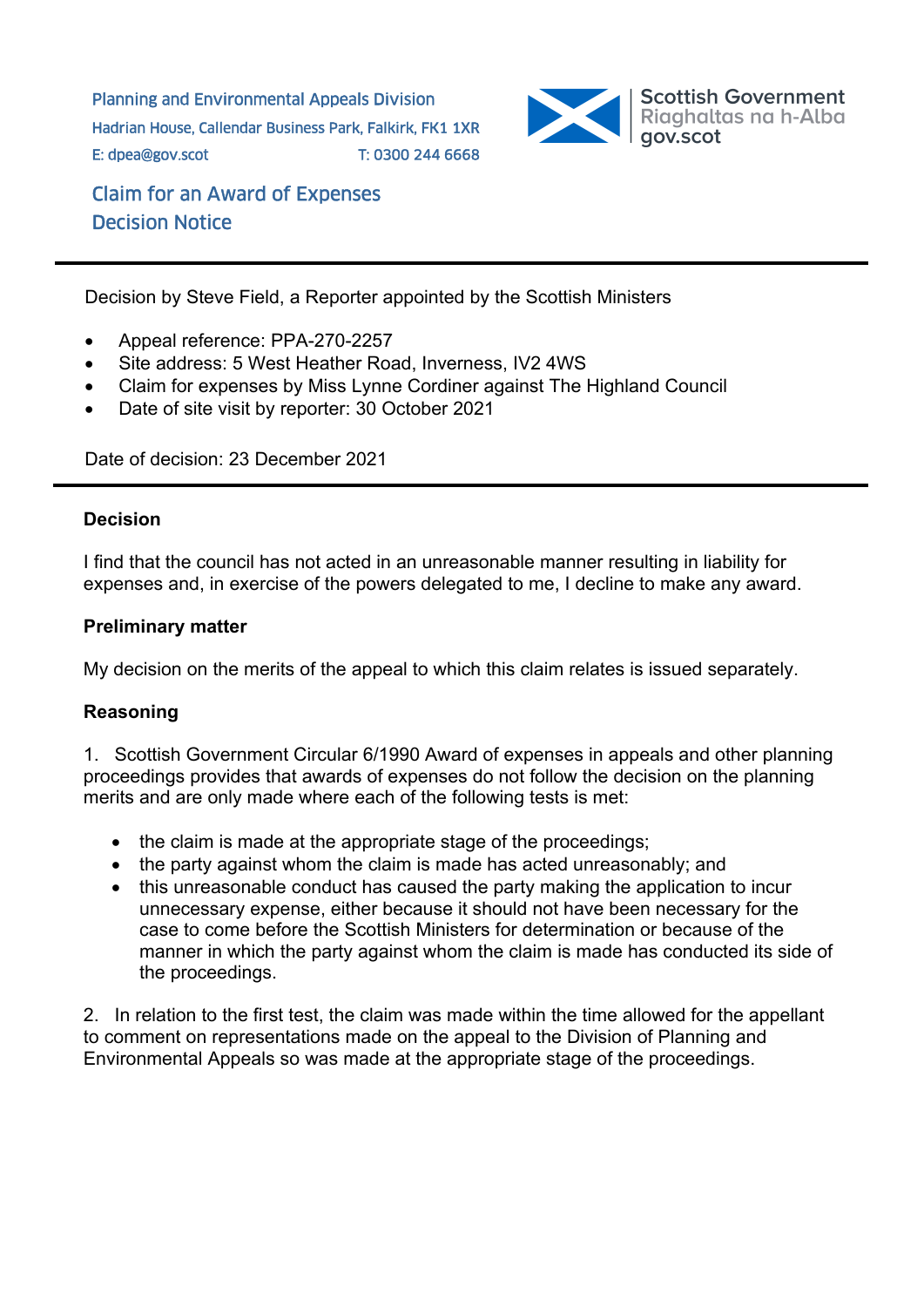Planning and Environmental Appeals Division Hadrian House, Callendar Business Park, Falkirk, FK1 1XR E: dpea@gov.scot T: 0300 244 6668



Claim for an Award of Expenses Decision Notice

Decision by Steve Field, a Reporter appointed by the Scottish Ministers

- Appeal reference: PPA-270-2257
- Site address: 5 West Heather Road, Inverness, IV2 4WS
- Claim for expenses by Miss Lynne Cordiner against The Highland Council
- Date of site visit by reporter: 30 October 2021

Date of decision: 23 December 2021

#### **Decision**

I find that the council has not acted in an unreasonable manner resulting in liability for expenses and, in exercise of the powers delegated to me, I decline to make any award.

#### **Preliminary matter**

My decision on the merits of the appeal to which this claim relates is issued separately.

### **Reasoning**

1. Scottish Government Circular 6/1990 Award of expenses in appeals and other planning proceedings provides that awards of expenses do not follow the decision on the planning merits and are only made where each of the following tests is met:

- the claim is made at the appropriate stage of the proceedings;
- $\bullet$  the party against whom the claim is made has acted unreasonably; and
- this unreasonable conduct has caused the party making the application to incur unnecessary expense, either because it should not have been necessary for the case to come before the Scottish Ministers for determination or because of the manner in which the party against whom the claim is made has conducted its side of the proceedings.

2. In relation to the first test, the claim was made within the time allowed for the appellant to comment on representations made on the appeal to the Division of Planning and Environmental Appeals so was made at the appropriate stage of the proceedings.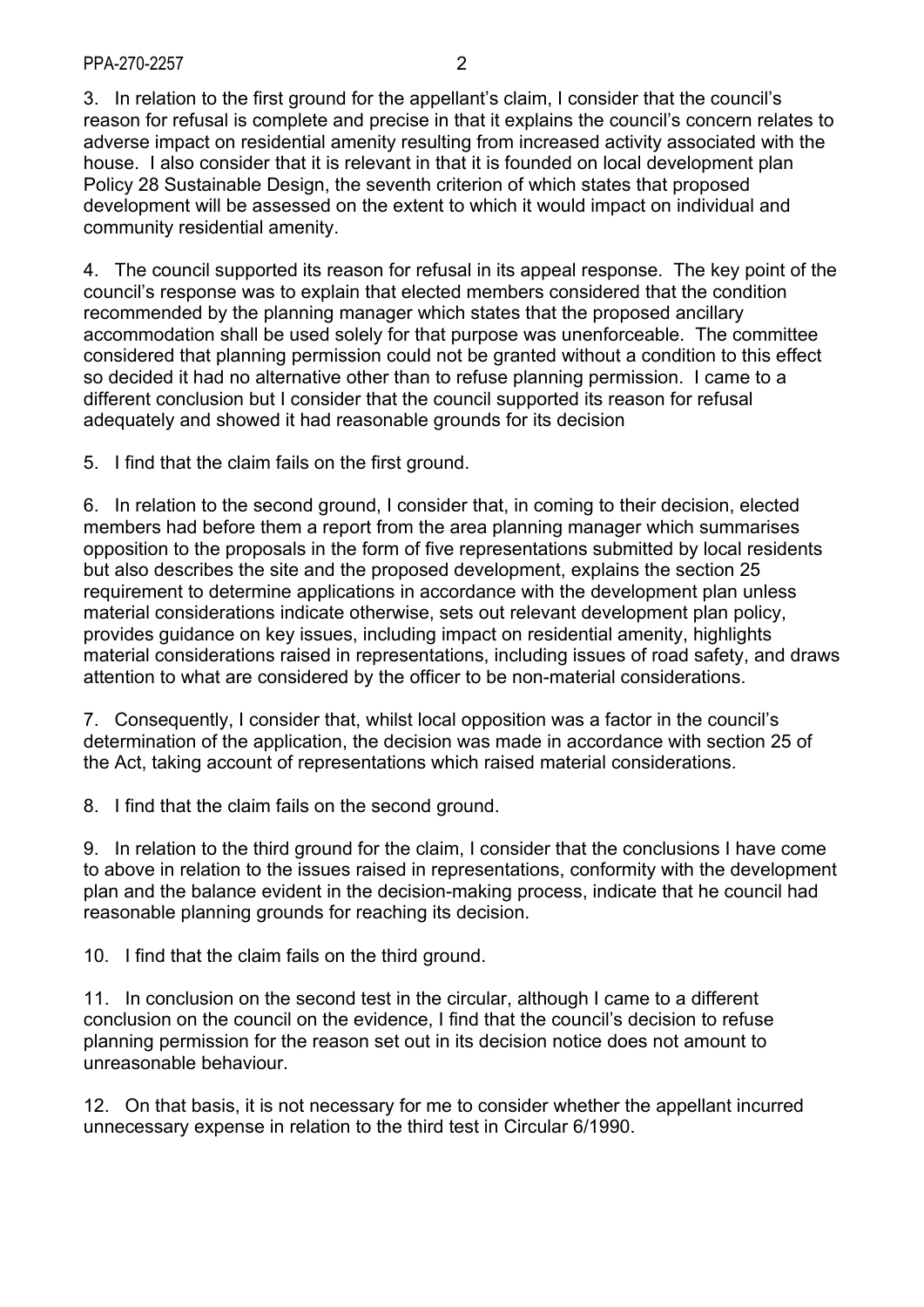3. In relation to the first ground for the appellant's claim, I consider that the council's reason for refusal is complete and precise in that it explains the council's concern relates to adverse impact on residential amenity resulting from increased activity associated with the house. I also consider that it is relevant in that it is founded on local development plan Policy 28 Sustainable Design, the seventh criterion of which states that proposed development will be assessed on the extent to which it would impact on individual and community residential amenity.

4. The council supported its reason for refusal in its appeal response. The key point of the council's response was to explain that elected members considered that the condition recommended by the planning manager which states that the proposed ancillary accommodation shall be used solely for that purpose was unenforceable. The committee considered that planning permission could not be granted without a condition to this effect so decided it had no alternative other than to refuse planning permission. I came to a different conclusion but I consider that the council supported its reason for refusal adequately and showed it had reasonable grounds for its decision

5. I find that the claim fails on the first ground.

6. In relation to the second ground, I consider that, in coming to their decision, elected members had before them a report from the area planning manager which summarises opposition to the proposals in the form of five representations submitted by local residents but also describes the site and the proposed development, explains the section 25 requirement to determine applications in accordance with the development plan unless material considerations indicate otherwise, sets out relevant development plan policy, provides guidance on key issues, including impact on residential amenity, highlights material considerations raised in representations, including issues of road safety, and draws attention to what are considered by the officer to be non-material considerations.

7. Consequently, I consider that, whilst local opposition was a factor in the council's determination of the application, the decision was made in accordance with section 25 of the Act, taking account of representations which raised material considerations.

8. I find that the claim fails on the second ground.

9. In relation to the third ground for the claim, I consider that the conclusions I have come to above in relation to the issues raised in representations, conformity with the development plan and the balance evident in the decision-making process, indicate that he council had reasonable planning grounds for reaching its decision.

10. I find that the claim fails on the third ground.

11. In conclusion on the second test in the circular, although I came to a different conclusion on the council on the evidence, I find that the council's decision to refuse planning permission for the reason set out in its decision notice does not amount to unreasonable behaviour.

12. On that basis, it is not necessary for me to consider whether the appellant incurred unnecessary expense in relation to the third test in Circular 6/1990.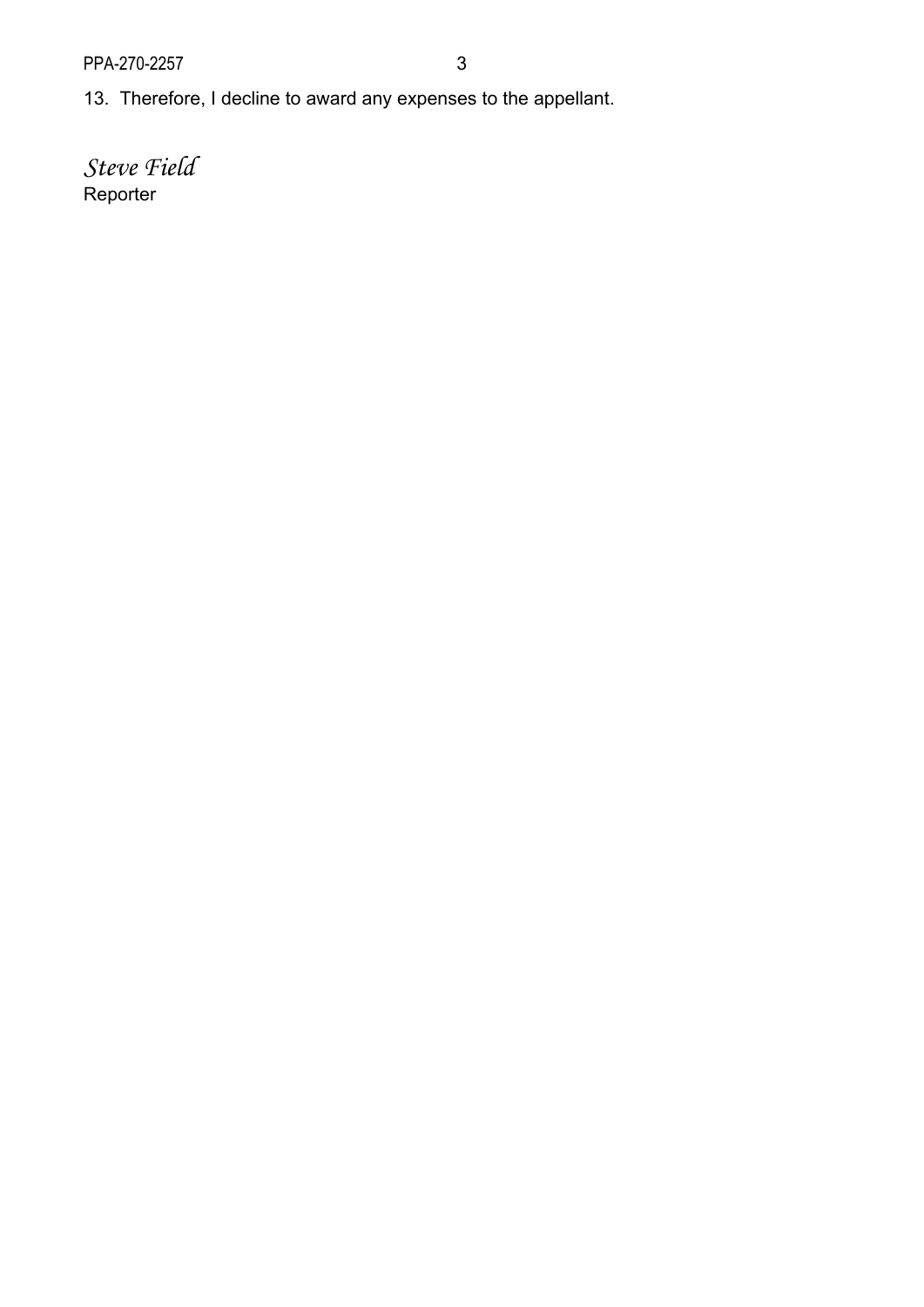13. Therefore, I decline to award any expenses to the appellant.

*Steve Field*  Reporter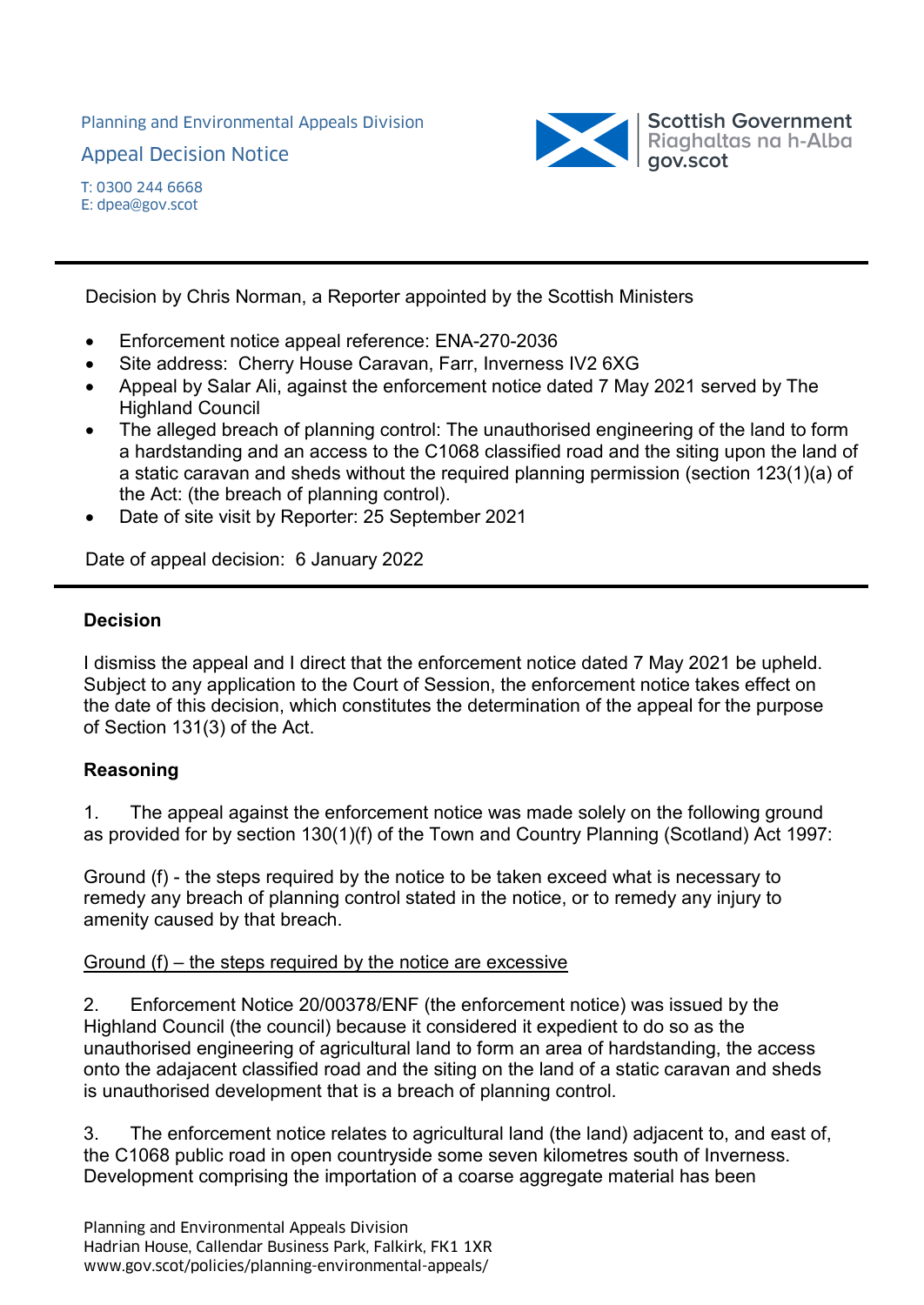Planning and Environmental Appeals Division

Appeal Decision Notice



Decision by Chris Norman, a Reporter appointed by the Scottish Ministers

- Enforcement notice appeal reference: ENA-270-2036
- Site address: Cherry House Caravan, Farr, Inverness IV2 6XG
- Appeal by Salar Ali, against the enforcement notice dated 7 May 2021 served by The Highland Council
- The alleged breach of planning control: The unauthorised engineering of the land to form a hardstanding and an access to the C1068 classified road and the siting upon the land of a static caravan and sheds without the required planning permission (section 123(1)(a) of the Act: (the breach of planning control).
- Date of site visit by Reporter: 25 September 2021

Date of appeal decision: 6 January 2022

#### **Decision**

I dismiss the appeal and I direct that the enforcement notice dated 7 May 2021 be upheld. Subject to any application to the Court of Session, the enforcement notice takes effect on the date of this decision, which constitutes the determination of the appeal for the purpose of Section 131(3) of the Act.

### **Reasoning**

1. The appeal against the enforcement notice was made solely on the following ground as provided for by section 130(1)(f) of the Town and Country Planning (Scotland) Act 1997:

Ground (f) - the steps required by the notice to be taken exceed what is necessary to remedy any breach of planning control stated in the notice, or to remedy any injury to amenity caused by that breach.

#### Ground (f) – the steps required by the notice are excessive

2. Enforcement Notice 20/00378/ENF (the enforcement notice) was issued by the Highland Council (the council) because it considered it expedient to do so as the unauthorised engineering of agricultural land to form an area of hardstanding, the access onto the adajacent classified road and the siting on the land of a static caravan and sheds is unauthorised development that is a breach of planning control.

3. The enforcement notice relates to agricultural land (the land) adjacent to, and east of, the C1068 public road in open countryside some seven kilometres south of Inverness. Development comprising the importation of a coarse aggregate material has been